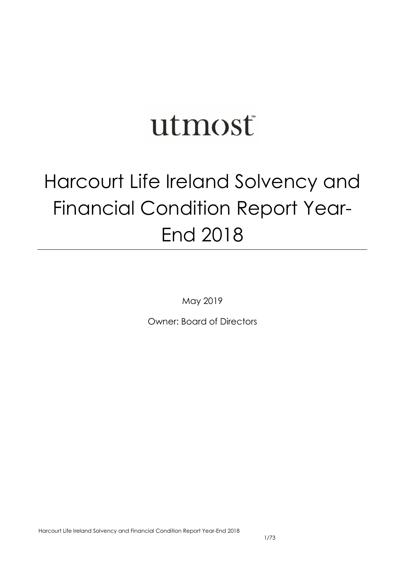# utmost

## Harcourt Life Ireland Solvency and Financial Condition Report Year-End 2018

May 2019

Owner: Board of Directors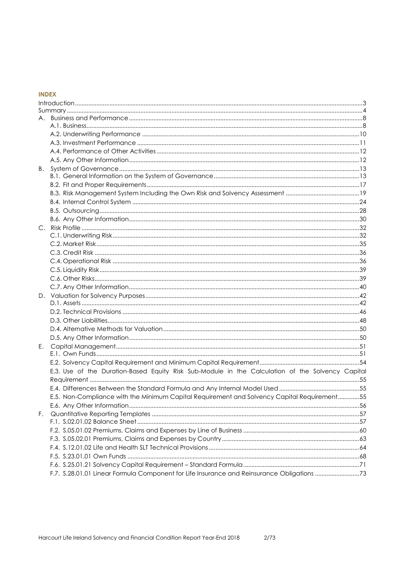## **INDEX**

| В. |                                                                                                  |  |
|----|--------------------------------------------------------------------------------------------------|--|
|    |                                                                                                  |  |
|    |                                                                                                  |  |
|    |                                                                                                  |  |
|    |                                                                                                  |  |
|    |                                                                                                  |  |
|    |                                                                                                  |  |
|    |                                                                                                  |  |
|    |                                                                                                  |  |
|    |                                                                                                  |  |
|    |                                                                                                  |  |
|    |                                                                                                  |  |
|    |                                                                                                  |  |
|    |                                                                                                  |  |
|    |                                                                                                  |  |
|    |                                                                                                  |  |
|    |                                                                                                  |  |
|    |                                                                                                  |  |
|    |                                                                                                  |  |
|    |                                                                                                  |  |
| Е. |                                                                                                  |  |
|    |                                                                                                  |  |
|    |                                                                                                  |  |
|    | E.3. Use of the Duration-Based Equity Risk Sub-Module in the Calculation of the Solvency Capital |  |
|    |                                                                                                  |  |
|    |                                                                                                  |  |
|    | E.5. Non-Compliance with the Minimum Capital Requirement and Solvency Capital Requirement55      |  |
|    |                                                                                                  |  |
| F. |                                                                                                  |  |
|    |                                                                                                  |  |
|    |                                                                                                  |  |
|    |                                                                                                  |  |
|    |                                                                                                  |  |
|    |                                                                                                  |  |
|    |                                                                                                  |  |
|    | F.7. S.28.01.01 Linear Formula Component for Life Insurance and Reinsurance Obligations 73       |  |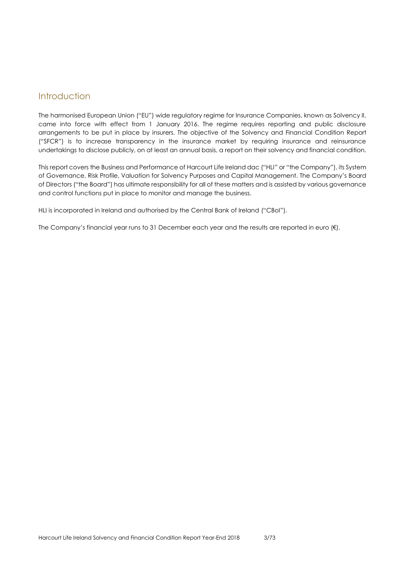## <span id="page-2-0"></span>Introduction

The harmonised European Union ("EU") wide regulatory regime for Insurance Companies, known as Solvency II, came into force with effect from 1 January 2016. The regime requires reporting and public disclosure arrangements to be put in place by insurers. The objective of the Solvency and Financial Condition Report ("SFCR") is to increase transparency in the insurance market by requiring insurance and reinsurance undertakings to disclose publicly, on at least an annual basis, a report on their solvency and financial condition.

This report covers the Business and Performance of Harcourt Life Ireland dac ("HLI" or "the Company"), its System of Governance, Risk Profile, Valuation for Solvency Purposes and Capital Management. The Company's Board of Directors ("the Board") has ultimate responsibility for all of these matters and is assisted by various governance and control functions put in place to monitor and manage the business.

HLI is incorporated in Ireland and authorised by the Central Bank of Ireland ("CBoI").

The Company's financial year runs to 31 December each year and the results are reported in euro (€).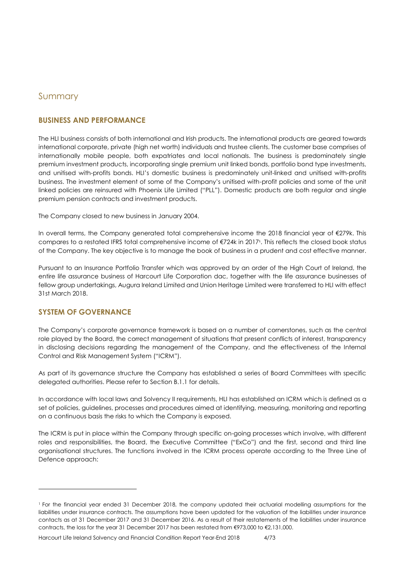## <span id="page-3-0"></span>Summary

## **BUSINESS AND PERFORMANCE**

The HLI business consists of both international and Irish products. The international products are geared towards international corporate, private (high net worth) individuals and trustee clients. The customer base comprises of internationally mobile people, both expatriates and local nationals. The business is predominately single premium investment products, incorporating single premium unit linked bonds, portfolio bond type investments, and unitised with-profits bonds. HLI's domestic business is predominately unit-linked and unitised with-profits business. The investment element of some of the Company's unitised with-profit policies and some of the unit linked policies are reinsured with Phoenix Life Limited ("PLL"). Domestic products are both regular and single premium pension contracts and investment products.

The Company closed to new business in January 2004.

In overall terms, the Company generated total comprehensive income the 2018 financial year of €279k. This compares to a restated IFRS total comprehensive income of €724k in 2017<sup>1</sup> . This reflects the closed book status of the Company. The key objective is to manage the book of business in a prudent and cost effective manner.

Pursuant to an Insurance Portfolio Transfer which was approved by an order of the High Court of Ireland, the entire life assurance business of Harcourt Life Corporation dac, together with the life assurance businesses of fellow group undertakings, Augura Ireland Limited and Union Heritage Limited were transferred to HLI with effect 31st March 2018.

## **SYSTEM OF GOVERNANCE**

-

The Company's corporate governance framework is based on a number of cornerstones, such as the central role played by the Board, the correct management of situations that present conflicts of interest, transparency in disclosing decisions regarding the management of the Company, and the effectiveness of the Internal Control and Risk Management System ("ICRM").

As part of its governance structure the Company has established a series of Board Committees with specific delegated authorities. Please refer to Section B.1.1 for details.

In accordance with local laws and Solvency II requirements, HLI has established an ICRM which is defined as a set of policies, guidelines, processes and procedures aimed at identifying, measuring, monitoring and reporting on a continuous basis the risks to which the Company is exposed.

The ICRM is put in place within the Company through specific on-going processes which involve, with different roles and responsibilities, the Board, the Executive Committee ("ExCo") and the first, second and third line organisational structures. The functions involved in the ICRM process operate according to the Three Line of Defence approach:

<sup>1</sup> For the financial year ended 31 December 2018, the company updated their actuarial modelling assumptions for the liabilities under insurance contracts. The assumptions have been updated for the valuation of the liabilities under insurance contacts as at 31 December 2017 and 31 December 2016. As a result of their restatements of the liabilities under insurance contracts, the loss for the year 31 December 2017 has been restated from €973,000 to €2,131,000.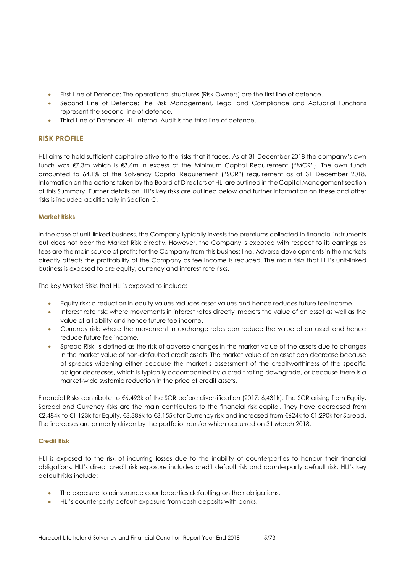- First Line of Defence: The operational structures (Risk Owners) are the first line of defence.
- Second Line of Defence: The Risk Management, Legal and Compliance and Actuarial Functions represent the second line of defence.
- Third Line of Defence: HLI Internal Audit is the third line of defence.

## **RISK PROFILE**

HLI aims to hold sufficient capital relative to the risks that it faces. As at 31 December 2018 the company's own funds was €7.3m which is €3.6m in excess of the Minimum Capital Requirement ("MCR"). The own funds amounted to 64.1% of the Solvency Capital Requirement ("SCR") requirement as at 31 December 2018. Information on the actions taken by the Board of Directors of HLI are outlined in the Capital Management section of this Summary. Further details on HLI's key risks are outlined below and further information on these and other risks is included additionally in Section C.

#### **Market Risks**

In the case of unit-linked business, the Company typically invests the premiums collected in financial instruments but does not bear the Market Risk directly. However, the Company is exposed with respect to its earnings as fees are the main source of profits for the Company from this business line. Adverse developments in the markets directly affects the profitability of the Company as fee income is reduced. The main risks that HLI's unit-linked business is exposed to are equity, currency and interest rate risks.

The key Market Risks that HLI is exposed to include:

- Equity risk: a reduction in equity values reduces asset values and hence reduces future fee income.
- Interest rate risk: where movements in interest rates directly impacts the value of an asset as well as the value of a liability and hence future fee income.
- Currency risk: where the movement in exchange rates can reduce the value of an asset and hence reduce future fee income.
- Spread Risk: is defined as the risk of adverse changes in the market value of the assets due to changes in the market value of non-defaulted credit assets. The market value of an asset can decrease because of spreads widening either because the market's assessment of the creditworthiness of the specific obligor decreases, which is typically accompanied by a credit rating downgrade, or because there is a market-wide systemic reduction in the price of credit assets.

Financial Risks contribute to €6,493k of the SCR before diversification (2017: 6,431k). The SCR arising from Equity, Spread and Currency risks are the main contributors to the financial risk capital. They have decreased from €2,484k to €1,123k for Equity, €3,386k to €3,155k for Currency risk and increased from €624k to €1,290k for Spread. The increases are primarily driven by the portfolio transfer which occurred on 31 March 2018.

#### **Credit Risk**

HLI is exposed to the risk of incurring losses due to the inability of counterparties to honour their financial obligations. HLI's direct credit risk exposure includes credit default risk and counterparty default risk. HLI's key default risks include:

- The exposure to reinsurance counterparties defaulting on their obligations.
- HLI's counterparty default exposure from cash deposits with banks.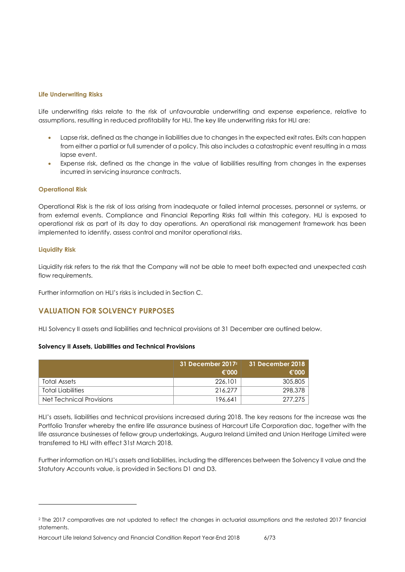#### **Life Underwriting Risks**

Life underwriting risks relate to the risk of unfavourable underwriting and expense experience, relative to assumptions, resulting in reduced profitability for HLI. The key life underwriting risks for HLI are:

- Lapse risk, defined as the change in liabilities due to changes in the expected exit rates. Exits can happen from either a partial or full surrender of a policy. This also includes a catastrophic event resulting in a mass lapse event.
- Expense risk, defined as the change in the value of liabilities resulting from changes in the expenses incurred in servicing insurance contracts.

#### **Operational Risk**

Operational Risk is the risk of loss arising from inadequate or failed internal processes, personnel or systems, or from external events. Compliance and Financial Reporting Risks fall within this category. HLI is exposed to operational risk as part of its day to day operations. An operational risk management framework has been implemented to identify, assess control and monitor operational risks.

#### **Liquidity Risk**

 $\overline{a}$ 

Liquidity risk refers to the risk that the Company will not be able to meet both expected and unexpected cash flow requirements.

Further information on HLI's risks is included in Section C.

#### **VALUATION FOR SOLVENCY PURPOSES**

HLI Solvency II assets and liabilities and technical provisions at 31 December are outlined below.

#### **Solvency II Assets, Liabilities and Technical Provisions**

|                          | 31 December $20172$<br>€'000 | 31 December 2018<br>€'000 |
|--------------------------|------------------------------|---------------------------|
| Total Assets             | 226,101                      | 305,805                   |
| <b>Total Liabilities</b> | 216.277                      | 298,378                   |
| Net Technical Provisions | 196.641                      | 277,275                   |

HLI's assets, liabilities and technical provisions increased during 2018. The key reasons for the increase was the Portfolio Transfer whereby the entire life assurance business of Harcourt Life Corporation dac, together with the life assurance businesses of fellow group undertakings, Augura Ireland Limited and Union Heritage Limited were transferred to HLI with effect 31st March 2018.

Further information on HLI's assets and liabilities, including the differences between the Solvency II value and the Statutory Accounts value, is provided in Sections D1 and D3.

<sup>2</sup> The 2017 comparatives are not updated to reflect the changes in actuarial assumptions and the restated 2017 financial statements.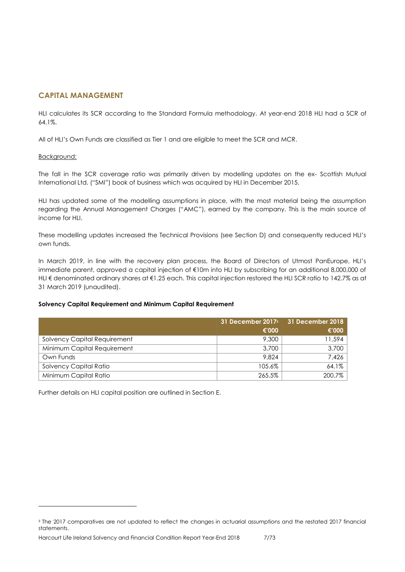## **CAPITAL MANAGEMENT**

HLI calculates its SCR according to the Standard Formula methodology. At year-end 2018 HLI had a SCR of 64.1%.

All of HLI's Own Funds are classified as Tier 1 and are eligible to meet the SCR and MCR.

#### Background:

-

The fall in the SCR coverage ratio was primarily driven by modelling updates on the ex- Scottish Mutual International Ltd. ("SMI") book of business which was acquired by HLI in December 2015.

HLI has updated some of the modelling assumptions in place, with the most material being the assumption regarding the Annual Management Charges ("AMC"), earned by the company. This is the main source of income for HLI.

These modelling updates increased the Technical Provisions (see Section D) and consequently reduced HLI's own funds.

In March 2019, in line with the recovery plan process, the Board of Directors of Utmost PanEurope, HLI's immediate parent, approved a capital injection of €10m into HLI by subscribing for an additional 8,000,000 of HLI € denominated ordinary shares at €1.25 each. This capital injection restored the HLI SCR ratio to 142.7% as at 31 March 2019 (unaudited).

#### **Solvency Capital Requirement and Minimum Capital Requirement**

|                              | 31 December 2017 <sup>3</sup> | 31 December 2018 |
|------------------------------|-------------------------------|------------------|
|                              | €'000                         | €'000            |
| Solvency Capital Requirement | 9,300                         | 11,594           |
| Minimum Capital Requirement  | 3,700                         | 3,700            |
| Own Funds                    | 9.824                         | 7,426            |
| Solvency Capital Ratio       | 105.6%                        | $64.1\%$         |
| Minimum Capital Ratio        | 265.5%                        | 200.7%           |

Further details on HLI capital position are outlined in Section E.

<sup>3</sup> The 2017 comparatives are not updated to reflect the changes in actuarial assumptions and the restated 2017 financial statements.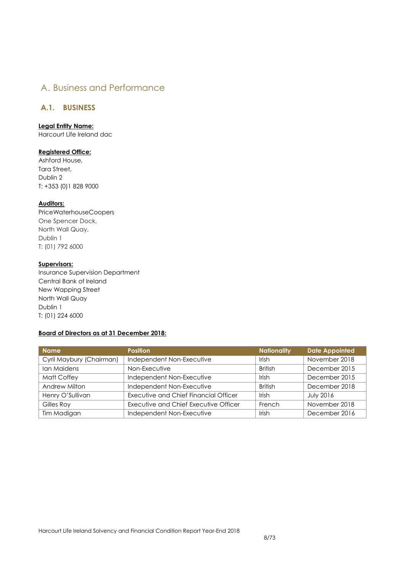## <span id="page-7-0"></span>A. Business and Performance

## <span id="page-7-1"></span>**A.1. BUSINESS**

#### **Legal Entity Name:**

Harcourt Life Ireland dac

#### **Registered Office:**

Ashford House, Tara Street, Dublin 2 T: +353 (0)1 828 9000

#### **Auditors:**

PriceWaterhouseCoopers One Spencer Dock, North Wall Quay, Dublin 1 T: (01) 792 6000

## **Supervisors:**

Insurance Supervision Department Central Bank of Ireland New Wapping Street North Wall Quay Dublin 1 T: (01) 224 6000

## **Board of Directors as at 31 December 2018:**

| <b>Name</b>              | <b>Position</b>                       | <b>Nationality</b> | <b>Date Appointed</b> |
|--------------------------|---------------------------------------|--------------------|-----------------------|
| Cyril Maybury (Chairman) | Independent Non-Executive             | Irish              | November 2018         |
| Ian Maidens              | Non-Executive                         | <b>British</b>     | December 2015         |
| Matt Coffey              | Independent Non-Executive             | Irish              | December 2015         |
| Andrew Milton            | Independent Non-Executive             | <b>British</b>     | December 2018         |
| Henry O'Sullivan         | Executive and Chief Financial Officer | Irish              | <b>July 2016</b>      |
| Gilles Roy               | Executive and Chief Executive Officer | French             | November 2018         |
| Tim Madigan              | Independent Non-Executive             | Irish              | December 2016         |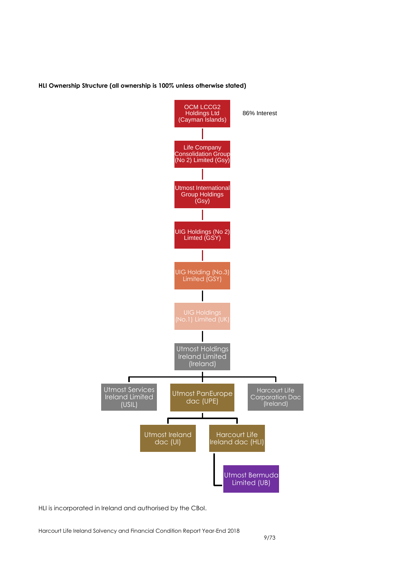#### **HLI Ownership Structure (all ownership is 100% unless otherwise stated)**



HLI is incorporated in Ireland and authorised by the CBoI.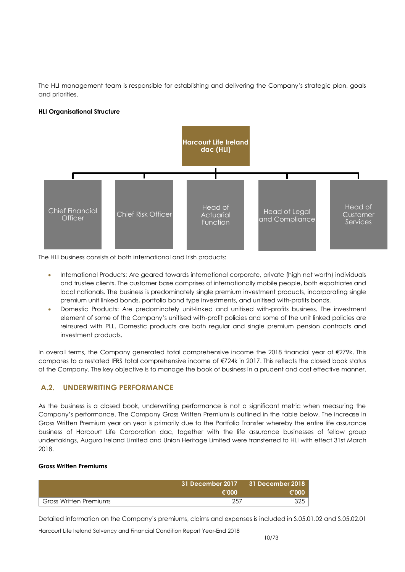The HLI management team is responsible for establishing and delivering the Company's strategic plan, goals and priorities.

#### **HLI Organisational Structure**



The HLI business consists of both international and Irish products:

- International Products: Are geared towards international corporate, private (high net worth) individuals and trustee clients. The customer base comprises of internationally mobile people, both expatriates and local nationals. The business is predominately single premium investment products, incorporating single premium unit linked bonds, portfolio bond type investments, and unitised with-profits bonds.
- Domestic Products: Are predominately unit-linked and unitised with-profits business. The investment element of some of the Company's unitised with-profit policies and some of the unit linked policies are reinsured with PLL. Domestic products are both regular and single premium pension contracts and investment products.

In overall terms, the Company generated total comprehensive income the 2018 financial year of €279k. This compares to a restated IFRS total comprehensive income of €724k in 2017. This reflects the closed book status of the Company. The key objective is to manage the book of business in a prudent and cost effective manner.

## <span id="page-9-0"></span>**A.2. UNDERWRITING PERFORMANCE**

As the business is a closed book, underwriting performance is not a significant metric when measuring the Company's performance. The Company Gross Written Premium is outlined in the table below. The increase in Gross Written Premium year on year is primarily due to the Portfolio Transfer whereby the entire life assurance business of Harcourt Life Corporation dac, together with the life assurance businesses of fellow group undertakings, Augura Ireland Limited and Union Heritage Limited were transferred to HLI with effect 31st March 2018.

#### **Gross Written Premiums**

|                               | $31$ December 2017 $\parallel$ 31 December 2018<br>€'000 | €'∩∩∩ |
|-------------------------------|----------------------------------------------------------|-------|
| <b>Gross Written Premiums</b> | -257                                                     |       |

Detailed information on the Company's premiums, claims and expenses is included in S.05.01.02 and S.05.02.01

Harcourt Life Ireland Solvency and Financial Condition Report Year-End 2018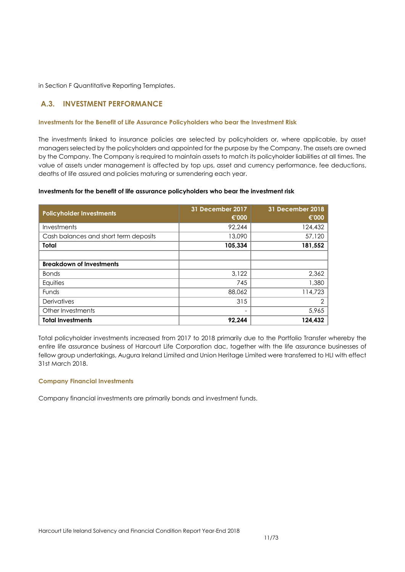in Section F Quantitative Reporting Templates.

## <span id="page-10-0"></span>**A.3. INVESTMENT PERFORMANCE**

#### **Investments for the Benefit of Life Assurance Policyholders who bear the Investment Risk**

The investments linked to insurance policies are selected by policyholders or, where applicable, by asset managers selected by the policyholders and appointed for the purpose by the Company. The assets are owned by the Company. The Company is required to maintain assets to match its policyholder liabilities at all times. The value of assets under management is affected by top ups, asset and currency performance, fee deductions, deaths of life assured and policies maturing or surrendering each year.

#### **Investments for the benefit of life assurance policyholders who bear the investment risk**

| <b>Policyholder Investments</b>       | 31 December 2017<br>€'000 | <b>31 December 2018</b><br>€'000 |
|---------------------------------------|---------------------------|----------------------------------|
| Investments                           | 92,244                    | 124,432                          |
| Cash balances and short term deposits | 13,090                    | 57,120                           |
| Total                                 | 105,334                   | 181,552                          |
|                                       |                           |                                  |
| <b>Breakdown of Investments</b>       |                           |                                  |
| <b>Bonds</b>                          | 3,122                     | 2,362                            |
| Equities                              | 745                       | 1,380                            |
| <b>Funds</b>                          | 88,062                    | 114,723                          |
| Derivatives                           | 315                       | $\overline{2}$                   |
| Other Investments                     | -                         | 5,965                            |
| <b>Total Investments</b>              | 92.244                    | 124.432                          |

Total policyholder investments increased from 2017 to 2018 primarily due to the Portfolio Transfer whereby the entire life assurance business of Harcourt Life Corporation dac, together with the life assurance businesses of fellow group undertakings, Augura Ireland Limited and Union Heritage Limited were transferred to HLI with effect 31st March 2018.

#### **Company Financial Investments**

Company financial investments are primarily bonds and investment funds.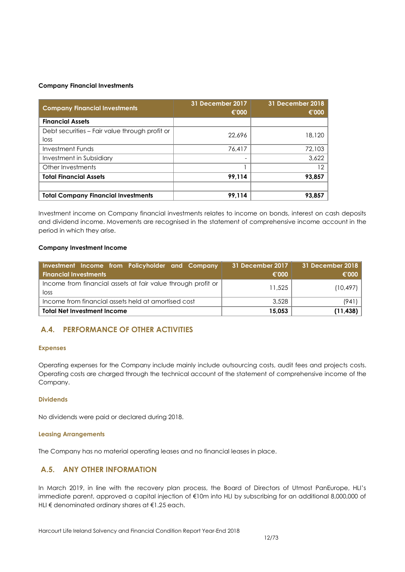#### **Company Financial Investments**

| <b>Company Financial Investments</b>                   | 31 December 2017<br>€'000 | 31 December 2018<br>€'000 |
|--------------------------------------------------------|---------------------------|---------------------------|
| <b>Financial Assets</b>                                |                           |                           |
| Debt securities – Fair value through profit or<br>loss | 22,696                    | 18,120                    |
| <b>Investment Funds</b>                                | 76,417                    | 72,103                    |
| Investment in Subsidiary                               |                           | 3,622                     |
| Other Investments                                      |                           | 12                        |
| <b>Total Financial Assets</b>                          | 99,114                    | 93,857                    |
|                                                        |                           |                           |
| <b>Total Company Financial Investments</b>             | 99,114                    | 93,857                    |

Investment income on Company financial investments relates to income on bonds, interest on cash deposits and dividend income. Movements are recognised in the statement of comprehensive income account in the period in which they arise.

#### **Company Investment Income**

| Investment Income from Policyholder and Company<br><b>Financial Investments</b> | 31 December 2017<br>€'000 | 31 December 2018<br>€'000 |
|---------------------------------------------------------------------------------|---------------------------|---------------------------|
| Income from financial assets at fair value through profit or<br>loss            | 11,525                    | (10, 497)                 |
| Income from financial assets held at amortised cost                             | 3,528                     | (941                      |
| <b>Total Net Investment Income</b>                                              | 15,053                    | (11, 438)                 |

## <span id="page-11-0"></span>**A.4. PERFORMANCE OF OTHER ACTIVITIES**

#### **Expenses**

Operating expenses for the Company include mainly include outsourcing costs, audit fees and projects costs. Operating costs are charged through the technical account of the statement of comprehensive income of the Company.

#### **Dividends**

No dividends were paid or declared during 2018.

#### **Leasing Arrangements**

The Company has no material operating leases and no financial leases in place.

## <span id="page-11-1"></span>**A.5. ANY OTHER INFORMATION**

In March 2019, in line with the recovery plan process, the Board of Directors of Utmost PanEurope, HLI's immediate parent, approved a capital injection of €10m into HLI by subscribing for an additional 8,000,000 of HLI € denominated ordinary shares at €1.25 each.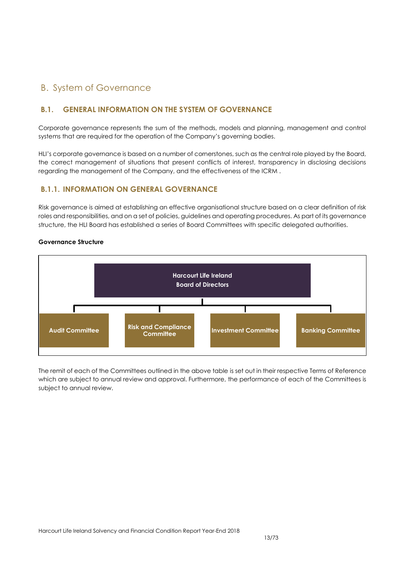## <span id="page-12-0"></span>B. System of Governance

## <span id="page-12-1"></span>**B.1. GENERAL INFORMATION ON THE SYSTEM OF GOVERNANCE**

Corporate governance represents the sum of the methods, models and planning, management and control systems that are required for the operation of the Company's governing bodies.

HLI's corporate governance is based on a number of cornerstones, such as the central role played by the Board, the correct management of situations that present conflicts of interest, transparency in disclosing decisions regarding the management of the Company, and the effectiveness of the ICRM .

## **B.1.1. INFORMATION ON GENERAL GOVERNANCE**

Risk governance is aimed at establishing an effective organisational structure based on a clear definition of risk roles and responsibilities, and on a set of policies, guidelines and operating procedures. As part of its governance structure, the HLI Board has established a series of Board Committees with specific delegated authorities.

#### **Governance Structure**



The remit of each of the Committees outlined in the above table is set out in their respective Terms of Reference which are subject to annual review and approval. Furthermore, the performance of each of the Committees is subject to annual review.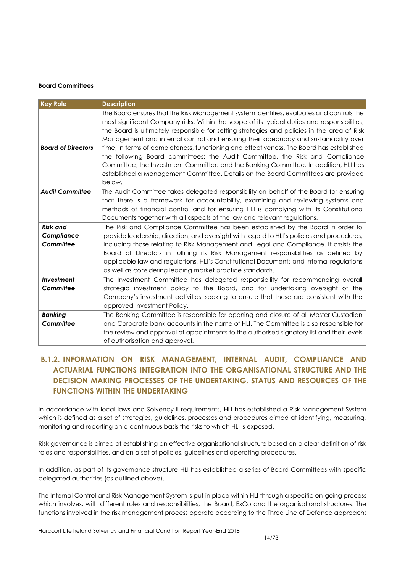#### **Board Committees**

| <b>Key Role</b>                            | <b>Description</b>                                                                                                                                                                                                                                                                                                                                                                                                                                                                                                                                                                                                                                                                                                                              |
|--------------------------------------------|-------------------------------------------------------------------------------------------------------------------------------------------------------------------------------------------------------------------------------------------------------------------------------------------------------------------------------------------------------------------------------------------------------------------------------------------------------------------------------------------------------------------------------------------------------------------------------------------------------------------------------------------------------------------------------------------------------------------------------------------------|
| <b>Board of Directors</b>                  | The Board ensures that the Risk Management system identifies, evaluates and controls the<br>most significant Company risks. Within the scope of its typical duties and responsibilities,<br>the Board is ultimately responsible for setting strategies and policies in the area of Risk<br>Management and internal control and ensuring their adequacy and sustainability over<br>time, in terms of completeness, functioning and effectiveness. The Board has established<br>the following Board committees: the Audit Committee, the Risk and Compliance<br>Committee, the Investment Committee and the Banking Committee. In addition, HLI has<br>established a Management Committee. Details on the Board Committees are provided<br>below. |
| <b>Audit Committee</b>                     | The Audit Committee takes delegated responsibility on behalf of the Board for ensuring<br>that there is a framework for accountability, examining and reviewing systems and<br>methods of financial control and for ensuring HLI is complying with its Constitutional<br>Documents together with all aspects of the law and relevant regulations.                                                                                                                                                                                                                                                                                                                                                                                               |
| <b>Risk and</b><br>Compliance<br>Committee | The Risk and Compliance Committee has been established by the Board in order to<br>provide leadership, direction, and oversight with regard to HLI's policies and procedures,<br>including those relating to Risk Management and Legal and Compliance. It assists the<br>Board of Directors in fulfilling its Risk Management responsibilities as defined by<br>applicable law and regulations, HLI's Constitutional Documents and internal regulations<br>as well as considering leading market practice standards.                                                                                                                                                                                                                            |
| Investment<br>Committee                    | The Investment Committee has delegated responsibility for recommending overall<br>strategic investment policy to the Board, and for undertaking oversight of the<br>Company's investment activities, seeking to ensure that these are consistent with the<br>approved Investment Policy.                                                                                                                                                                                                                                                                                                                                                                                                                                                        |
| <b>Banking</b><br>Committee                | The Banking Committee is responsible for opening and closure of all Master Custodian<br>and Corporate bank accounts in the name of HLI. The Committee is also responsible for<br>the review and approval of appointments to the authorised signatory list and their levels<br>of authorisation and approval.                                                                                                                                                                                                                                                                                                                                                                                                                                    |

## **B.1.2. INFORMATION ON RISK MANAGEMENT, INTERNAL AUDIT, COMPLIANCE AND ACTUARIAL FUNCTIONS INTEGRATION INTO THE ORGANISATIONAL STRUCTURE AND THE DECISION MAKING PROCESSES OF THE UNDERTAKING, STATUS AND RESOURCES OF THE FUNCTIONS WITHIN THE UNDERTAKING**

In accordance with local laws and Solvency II requirements, HLI has established a Risk Management System which is defined as a set of strategies, guidelines, processes and procedures aimed at identifying, measuring, monitoring and reporting on a continuous basis the risks to which HLI is exposed.

Risk governance is aimed at establishing an effective organisational structure based on a clear definition of risk roles and responsibilities, and on a set of policies, guidelines and operating procedures.

In addition, as part of its governance structure HLI has established a series of Board Committees with specific delegated authorities (as outlined above).

The Internal Control and Risk Management System is put in place within HLI through a specific on-going process which involves, with different roles and responsibilities, the Board, ExCo and the organisational structures. The functions involved in the risk management process operate according to the Three Line of Defence approach: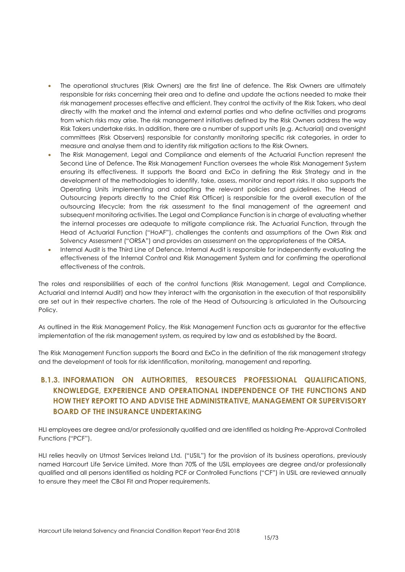- The operational structures (Risk Owners) are the first line of defence. The Risk Owners are ultimately responsible for risks concerning their area and to define and update the actions needed to make their risk management processes effective and efficient. They control the activity of the Risk Takers, who deal directly with the market and the internal and external parties and who define activities and programs from which risks may arise. The risk management initiatives defined by the Risk Owners address the way Risk Takers undertake risks. In addition, there are a number of support units (e.g. Actuarial) and oversight committees (Risk Observers) responsible for constantly monitoring specific risk categories, in order to measure and analyse them and to identity risk mitigation actions to the Risk Owners.
- The Risk Management, Legal and Compliance and elements of the Actuarial Function represent the Second Line of Defence. The Risk Management Function oversees the whole Risk Management System ensuring its effectiveness. It supports the Board and ExCo in defining the Risk Strategy and in the development of the methodologies to identify, take, assess, monitor and report risks. It also supports the Operating Units implementing and adopting the relevant policies and guidelines. The Head of Outsourcing (reports directly to the Chief Risk Officer) is responsible for the overall execution of the outsourcing lifecycle; from the risk assessment to the final management of the agreement and subsequent monitoring activities. The Legal and Compliance Function is in charge of evaluating whether the internal processes are adequate to mitigate compliance risk. The Actuarial Function, through the Head of Actuarial Function ("HoAF"), challenges the contents and assumptions of the Own Risk and Solvency Assessment ("ORSA") and provides an assessment on the appropriateness of the ORSA.
- Internal Audit is the Third Line of Defence. Internal Audit is responsible for independently evaluating the effectiveness of the Internal Control and Risk Management System and for confirming the operational effectiveness of the controls.

The roles and responsibilities of each of the control functions (Risk Management, Legal and Compliance, Actuarial and Internal Audit) and how they interact with the organisation in the execution of that responsibility are set out in their respective charters. The role of the Head of Outsourcing is articulated in the Outsourcing Policy.

As outlined in the Risk Management Policy, the Risk Management Function acts as guarantor for the effective implementation of the risk management system, as required by law and as established by the Board.

The Risk Management Function supports the Board and ExCo in the definition of the risk management strategy and the development of tools for risk identification, monitoring, management and reporting.

## **B.1.3. INFORMATION ON AUTHORITIES, RESOURCES PROFESSIONAL QUALIFICATIONS, KNOWLEDGE, EXPERIENCE AND OPERATIONAL INDEPENDENCE OF THE FUNCTIONS AND HOW THEY REPORT TO AND ADVISE THE ADMINISTRATIVE, MANAGEMENT OR SUPERVISORY BOARD OF THE INSURANCE UNDERTAKING**

HLI employees are degree and/or professionally qualified and are identified as holding Pre-Approval Controlled Functions ("PCF").

HLI relies heavily on Utmost Services Ireland Ltd. ("USIL") for the provision of its business operations, previously named Harcourt Life Service Limited. More than 70% of the USIL employees are degree and/or professionally qualified and all persons identified as holding PCF or Controlled Functions ("CF") in USIL are reviewed annually to ensure they meet the CBoI Fit and Proper requirements.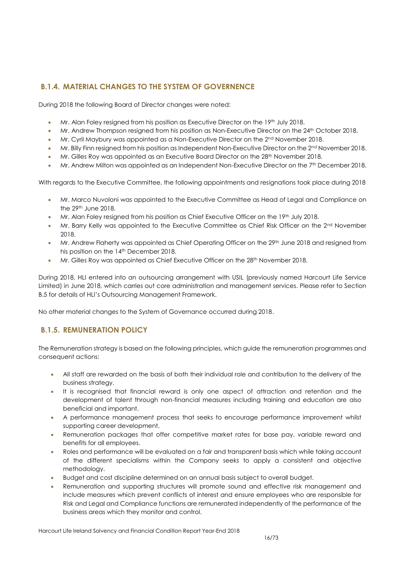## **B.1.4. MATERIAL CHANGES TO THE SYSTEM OF GOVERNENCE**

During 2018 the following Board of Director changes were noted:

- Mr. Alan Foley resigned from his position as Executive Director on the 19th July 2018.
- Mr. Andrew Thompson resigned from his position as Non-Executive Director on the 24<sup>th</sup> October 2018.
- Mr. Cyril Maybury was appointed as a Non-Executive Director on the 2<sup>nd</sup> November 2018.
- $\bullet$  Mr. Billy Finn resigned from his position as Independent Non-Executive Director on the 2<sup>nd</sup> November 2018.
- Mr. Gilles Roy was appointed as an Executive Board Director on the 28<sup>th</sup> November 2018.
- Mr. Andrew Milton was appointed as an Independent Non-Executive Director on the 7th December 2018.

With regards to the Executive Committee, the following appointments and resignations took place during 2018

- Mr. Marco Nuvoloni was appointed to the Executive Committee as Head of Legal and Compliance on the 29th June 2018.
- Mr. Alan Foley resigned from his position as Chief Executive Officer on the 19th July 2018.
- Mr. Barry Kelly was appointed to the Executive Committee as Chief Risk Officer on the 2<sup>nd</sup> November 2018.
- Mr. Andrew Flaherty was appointed as Chief Operating Officer on the 29<sup>th</sup> June 2018 and resigned from his position on the 14th December 2018.
- Mr. Gilles Roy was appointed as Chief Executive Officer on the 28<sup>th</sup> November 2018.

During 2018, HLI entered into an outsourcing arrangement with USIL (previously named Harcourt Life Service Limited) in June 2018, which carries out core administration and management services. Please refer to Section B.5 for details of HLI's Outsourcing Management Framework.

No other material changes to the System of Governance occurred during 2018.

## **B.1.5. REMUNERATION POLICY**

The Remuneration strategy is based on the following principles, which guide the remuneration programmes and consequent actions:

- All staff are rewarded on the basis of both their individual role and contribution to the delivery of the business strategy.
- It is recognised that financial reward is only one aspect of attraction and retention and the development of talent through non-financial measures including training and education are also beneficial and important.
- A performance management process that seeks to encourage performance improvement whilst supporting career development.
- Remuneration packages that offer competitive market rates for base pay, variable reward and benefits for all employees.
- Roles and performance will be evaluated on a fair and transparent basis which while taking account of the different specialisms within the Company seeks to apply a consistent and objective methodology.
- Budget and cost discipline determined on an annual basis subject to overall budget.
- Remuneration and supporting structures will promote sound and effective risk management and include measures which prevent conflicts of interest and ensure employees who are responsible for Risk and Legal and Compliance functions are remunerated independently of the performance of the business areas which they monitor and control.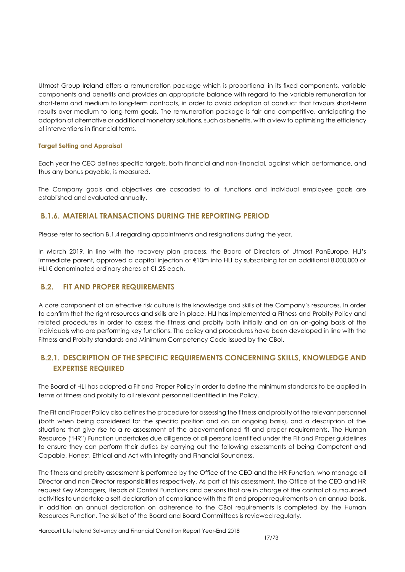Utmost Group Ireland offers a remuneration package which is proportional in its fixed components, variable components and benefits and provides an appropriate balance with regard to the variable remuneration for short-term and medium to long-term contracts, in order to avoid adoption of conduct that favours short-term results over medium to long-term goals. The remuneration package is fair and competitive, anticipating the adoption of alternative or additional monetary solutions, such as benefits, with a view to optimising the efficiency of interventions in financial terms.

#### **Target Setting and Appraisal**

Each year the CEO defines specific targets, both financial and non-financial, against which performance, and thus any bonus payable, is measured.

The Company goals and objectives are cascaded to all functions and individual employee goals are established and evaluated annually.

## **B.1.6. MATERIAL TRANSACTIONS DURING THE REPORTING PERIOD**

Please refer to section B.1.4 regarding appointments and resignations during the year.

In March 2019, in line with the recovery plan process, the Board of Directors of Utmost PanEurope, HLI's immediate parent, approved a capital injection of €10m into HLI by subscribing for an additional 8,000,000 of HLI € denominated ordinary shares at €1.25 each.

#### <span id="page-16-0"></span>**B.2. FIT AND PROPER REQUIREMENTS**

A core component of an effective risk culture is the knowledge and skills of the Company's resources. In order to confirm that the right resources and skills are in place, HLI has implemented a Fitness and Probity Policy and related procedures in order to assess the fitness and probity both initially and on an on-going basis of the individuals who are performing key functions. The policy and procedures have been developed in line with the Fitness and Probity standards and Minimum Competency Code issued by the CBoI.

## **B.2.1. DESCRIPTION OF THE SPECIFIC REQUIREMENTS CONCERNING SKILLS, KNOWLEDGE AND EXPERTISE REQUIRED**

The Board of HLI has adopted a Fit and Proper Policy in order to define the minimum standards to be applied in terms of fitness and probity to all relevant personnel identified in the Policy.

The Fit and Proper Policy also defines the procedure for assessing the fitness and probity of the relevant personnel (both when being considered for the specific position and on an ongoing basis), and a description of the situations that give rise to a re-assessment of the abovementioned fit and proper requirements. The Human Resource ("HR") Function undertakes due diligence of all persons identified under the Fit and Proper guidelines to ensure they can perform their duties by carrying out the following assessments of being Competent and Capable, Honest, Ethical and Act with Integrity and Financial Soundness.

The fitness and probity assessment is performed by the Office of the CEO and the HR Function, who manage all Director and non-Director responsibilities respectively. As part of this assessment, the Office of the CEO and HR request Key Managers, Heads of Control Functions and persons that are in charge of the control of outsourced activities to undertake a self-declaration of compliance with the fit and proper requirements on an annual basis. In addition an annual declaration on adherence to the CBoI requirements is completed by the Human Resources Function. The skillset of the Board and Board Committees is reviewed regularly.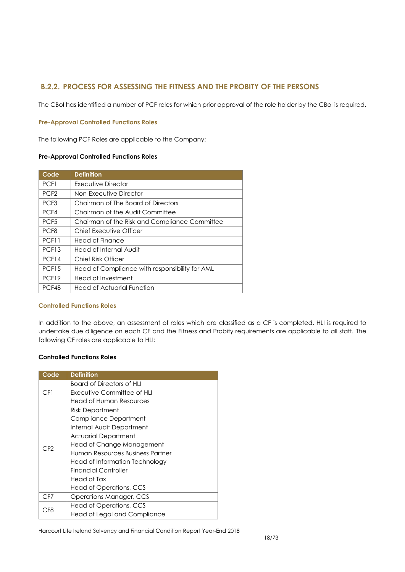## **B.2.2. PROCESS FOR ASSESSING THE FITNESS AND THE PROBITY OF THE PERSONS**

The CBoI has identified a number of PCF roles for which prior approval of the role holder by the CBoI is required.

#### **Pre-Approval Controlled Functions Roles**

The following PCF Roles are applicable to the Company:

#### **Pre-Approval Controlled Functions Roles**

| Code              | <b>Definition</b>                              |
|-------------------|------------------------------------------------|
| PCF1              | Executive Director                             |
| PCF <sub>2</sub>  | Non-Executive Director                         |
| PCF <sub>3</sub>  | Chairman of The Board of Directors             |
| PCF4              | Chairman of the Audit Committee                |
| PCF <sub>5</sub>  | Chairman of the Risk and Compliance Committee  |
| PCF <sub>8</sub>  | Chief Executive Officer                        |
| PCF11             | Head of Finance                                |
| PCF <sub>13</sub> | Head of Internal Audit                         |
| PCF14             | Chief Risk Officer                             |
| PCF <sub>15</sub> | Head of Compliance with responsibility for AML |
| PCF <sub>19</sub> | Head of Investment                             |
| PCF48             | <b>Head of Actuarial Function</b>              |

#### **Controlled Functions Roles**

In addition to the above, an assessment of roles which are classified as a CF is completed. HLI is required to undertake due diligence on each CF and the Fitness and Probity requirements are applicable to all staff. The following CF roles are applicable to HLI:

#### **Controlled Functions Roles**

| Code            | <b>Definition</b>                |
|-----------------|----------------------------------|
|                 | Board of Directors of HLI        |
| CF1             | Executive Committee of HLI       |
|                 | Head of Human Resources          |
|                 | <b>Risk Department</b>           |
|                 | <b>Compliance Department</b>     |
|                 | Internal Audit Department        |
|                 | <b>Actuarial Department</b>      |
| CF2             | Head of Change Management        |
|                 | Human Resources Business Partner |
|                 | Head of Information Technology   |
|                 | <b>Financial Controller</b>      |
|                 | Head of Tax                      |
|                 | Head of Operations, CCS          |
| CF7             | Operations Manager, CCS          |
| C <sub>F8</sub> | Head of Operations, CCS          |
|                 | Head of Legal and Compliance     |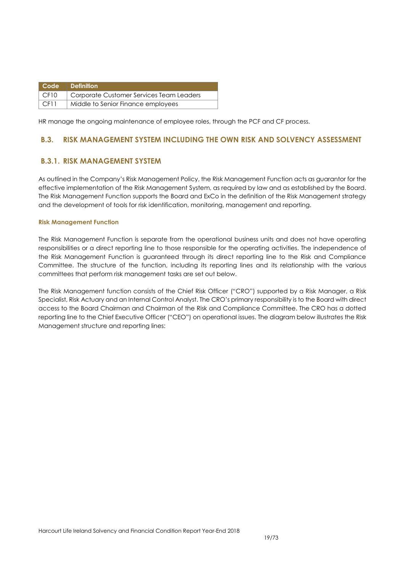|             | Code   Definition                        |
|-------------|------------------------------------------|
| $\mid$ CF10 | Corporate Customer Services Team Leaders |
| $\mid$ CF11 | Middle to Senior Finance employees       |

HR manage the ongoing maintenance of employee roles, through the PCF and CF process.

## <span id="page-18-0"></span>**B.3. RISK MANAGEMENT SYSTEM INCLUDING THE OWN RISK AND SOLVENCY ASSESSMENT**

## **B.3.1. RISK MANAGEMENT SYSTEM**

As outlined in the Company's Risk Management Policy, the Risk Management Function acts as guarantor for the effective implementation of the Risk Management System, as required by law and as established by the Board. The Risk Management Function supports the Board and ExCo in the definition of the Risk Management strategy and the development of tools for risk identification, monitoring, management and reporting.

#### **Risk Management Function**

The Risk Management Function is separate from the operational business units and does not have operating responsibilities or a direct reporting line to those responsible for the operating activities. The independence of the Risk Management Function is guaranteed through its direct reporting line to the Risk and Compliance Committee. The structure of the function, including its reporting lines and its relationship with the various committees that perform risk management tasks are set out below.

The Risk Management function consists of the Chief Risk Officer ("CRO") supported by a Risk Manager, a Risk Specialist, Risk Actuary and an Internal Control Analyst. The CRO's primary responsibility is to the Board with direct access to the Board Chairman and Chairman of the Risk and Compliance Committee. The CRO has a dotted reporting line to the Chief Executive Officer ("CEO") on operational issues. The diagram below illustrates the Risk Management structure and reporting lines: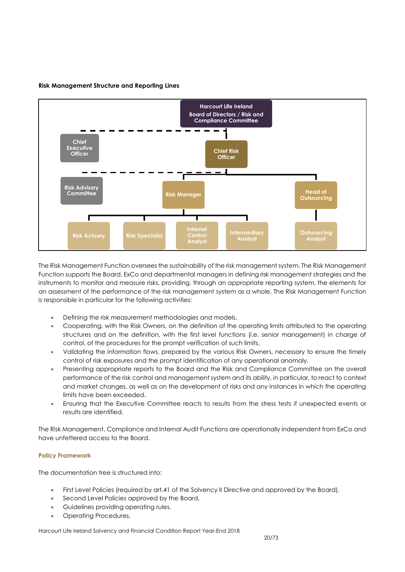

#### **Risk Management Structure and Reporting Lines**

The Risk Management Function oversees the sustainability of the risk management system. The Risk Management Function supports the Board, ExCo and departmental managers in defining risk management strategies and the instruments to monitor and measure risks, providing, through an appropriate reporting system, the elements for an assessment of the performance of the risk management system as a whole. The Risk Management Function is responsible in particular for the following activities:

- Defining the risk measurement methodologies and models.
- Cooperating, with the Risk Owners, on the definition of the operating limits attributed to the operating structures and on the definition, with the first level functions (i.e. senior management) in charge of control, of the procedures for the prompt verification of such limits.
- Validating the information flows, prepared by the various Risk Owners, necessary to ensure the timely control of risk exposures and the prompt identification of any operational anomaly.
- Presenting appropriate reports to the Board and the Risk and Compliance Committee on the overall performance of the risk control and management system and its ability, in particular, to react to context and market changes, as well as on the development of risks and any instances in which the operating limits have been exceeded.
- Ensuring that the Executive Committee reacts to results from the stress tests if unexpected events or results are identified.

The Risk Management, Compliance and Internal Audit Functions are operationally independent from ExCo and have unfettered access to the Board.

#### **Policy Framework**

The documentation tree is structured into:

- First Level Policies (required by art.41 of the Solvency II Directive and approved by the Board).
- Second Level Policies approved by the Board.
- **•** Guidelines providing operating rules.
- Operating Procedures.

Harcourt Life Ireland Solvency and Financial Condition Report Year-End 2018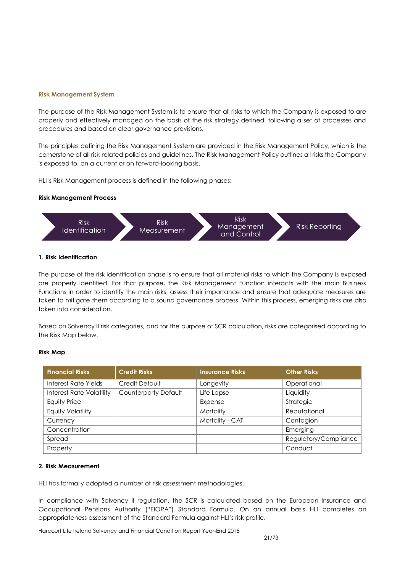#### **Risk Management System**

The purpose of the Risk Management System is to ensure that all risks to which the Company is exposed to are properly and effectively managed on the basis of the risk strategy defined, following a set of processes and procedures and based on clear governance provisions.

The principles defining the Risk Management System are provided in the Risk Management Policy, which is the cornerstone of all risk-related policies and guidelines. The Risk Management Policy outlines all risks the Company is exposed to, on a current or on forward-looking basis.

HLI's Risk Management process is defined in the following phases:

#### **Risk Management Process**



#### **1. Risk Identification**

The purpose of the risk identification phase is to ensure that all material risks to which the Company is exposed are properly identified. For that purpose, the Risk Management Function interacts with the main Business Functions in order to identify the main risks, assess their importance and ensure that adequate measures are taken to mitigate them according to a sound governance process. Within this process, emerging risks are also taken into consideration.

Based on Solvency II risk categories, and for the purpose of SCR calculation, risks are categorised according to the Risk Map below.

#### **Risk Map**

| <b>Financial Risks</b>          | <b>Credit Risks</b>         | <b>Insurance Risks</b> | <b>Other Risks</b>    |
|---------------------------------|-----------------------------|------------------------|-----------------------|
| Interest Rate Yields            | Credit Default              | Longevity              | Operational           |
| <b>Interest Rate Volatility</b> | <b>Counterparty Default</b> | Life Lapse             | Liquidity             |
| <b>Equity Price</b>             |                             | Expense                | Strategic             |
| <b>Equity Volatility</b>        |                             | Mortality              | Reputational          |
| Currency                        |                             | Mortality - CAT        | Contagion             |
| Concentration                   |                             |                        | Emerging              |
| Spread                          |                             |                        | Regulatory/Compliance |
| Property                        |                             |                        | Conduct               |

#### **2. Risk Measurement**

HLI has formally adopted a number of risk assessment methodologies.

In compliance with Solvency II regulation, the SCR is calculated based on the European Insurance and Occupational Pensions Authority ("EIOPA") Standard Formula. On an annual basis HLI completes an appropriateness assessment of the Standard Formula against HLI's risk profile.

Harcourt Life Ireland Solvency and Financial Condition Report Year-End 2018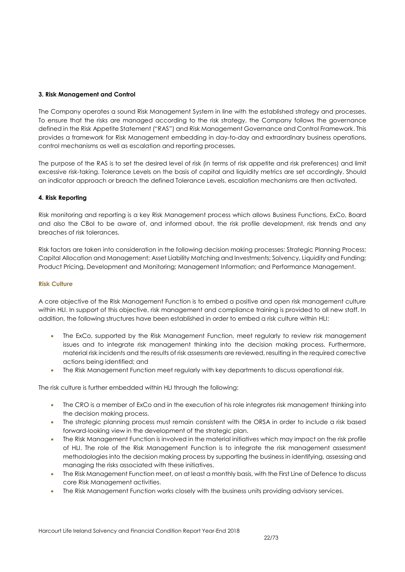#### **3. Risk Management and Control**

The Company operates a sound Risk Management System in line with the established strategy and processes. To ensure that the risks are managed according to the risk strategy, the Company follows the governance defined in the Risk Appetite Statement ("RAS") and Risk Management Governance and Control Framework. This provides a framework for Risk Management embedding in day-to-day and extraordinary business operations, control mechanisms as well as escalation and reporting processes.

The purpose of the RAS is to set the desired level of risk (in terms of risk appetite and risk preferences) and limit excessive risk-taking. Tolerance Levels on the basis of capital and liquidity metrics are set accordingly. Should an indicator approach or breach the defined Tolerance Levels, escalation mechanisms are then activated.

#### **4. Risk Reporting**

Risk monitoring and reporting is a key Risk Management process which allows Business Functions, ExCo, Board and also the CBoI to be aware of, and informed about, the risk profile development, risk trends and any breaches of risk tolerances.

Risk factors are taken into consideration in the following decision making processes: Strategic Planning Process; Capital Allocation and Management; Asset Liability Matching and Investments; Solvency, Liquidity and Funding; Product Pricing, Development and Monitoring; Management Information; and Performance Management.

#### **Risk Culture**

A core objective of the Risk Management Function is to embed a positive and open risk management culture within HLI. In support of this objective, risk management and compliance training is provided to all new staff. In addition, the following structures have been established in order to embed a risk culture within HLI:

- The ExCo, supported by the Risk Management Function, meet regularly to review risk management issues and to integrate risk management thinking into the decision making process. Furthermore, material risk incidents and the results of risk assessments are reviewed, resulting in the required corrective actions being identified; and
- The Risk Management Function meet regularly with key departments to discuss operational risk.

The risk culture is further embedded within HLI through the following:

- The CRO is a member of ExCo and in the execution of his role integrates risk management thinking into the decision making process.
- The strategic planning process must remain consistent with the ORSA in order to include a risk based forward-looking view in the development of the strategic plan.
- The Risk Management Function is involved in the material initiatives which may impact on the risk profile of HLI. The role of the Risk Management Function is to integrate the risk management assessment methodologies into the decision making process by supporting the business in identifying, assessing and managing the risks associated with these initiatives.
- The Risk Management Function meet, on at least a monthly basis, with the First Line of Defence to discuss core Risk Management activities.
- The Risk Management Function works closely with the business units providing advisory services.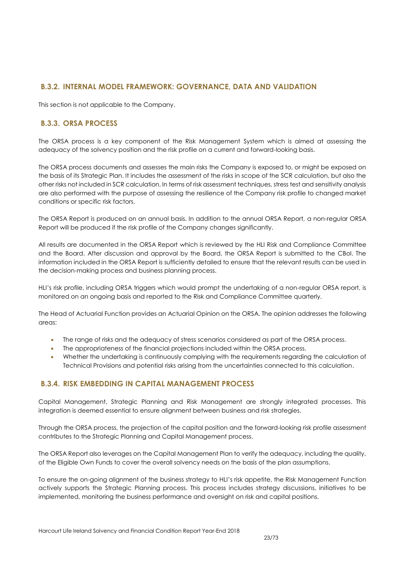## **B.3.2. INTERNAL MODEL FRAMEWORK: GOVERNANCE, DATA AND VALIDATION**

This section is not applicable to the Company.

## **B.3.3. ORSA PROCESS**

The ORSA process is a key component of the Risk Management System which is aimed at assessing the adequacy of the solvency position and the risk profile on a current and forward-looking basis.

The ORSA process documents and assesses the main risks the Company is exposed to, or might be exposed on the basis of its Strategic Plan. It includes the assessment of the risks in scope of the SCR calculation, but also the other risks not included in SCR calculation. In terms of risk assessment techniques, stress test and sensitivity analysis are also performed with the purpose of assessing the resilience of the Company risk profile to changed market conditions or specific risk factors.

The ORSA Report is produced on an annual basis. In addition to the annual ORSA Report, a non-regular ORSA Report will be produced if the risk profile of the Company changes significantly.

All results are documented in the ORSA Report which is reviewed by the HLI Risk and Compliance Committee and the Board. After discussion and approval by the Board, the ORSA Report is submitted to the CBoI. The information included in the ORSA Report is sufficiently detailed to ensure that the relevant results can be used in the decision-making process and business planning process.

HLI's risk profile, including ORSA triggers which would prompt the undertaking of a non-regular ORSA report, is monitored on an ongoing basis and reported to the Risk and Compliance Committee quarterly.

The Head of Actuarial Function provides an Actuarial Opinion on the ORSA. The opinion addresses the following areas:

- The range of risks and the adequacy of stress scenarios considered as part of the ORSA process.
- The appropriateness of the financial projections included within the ORSA process.
- Whether the undertaking is continuously complying with the requirements regarding the calculation of Technical Provisions and potential risks arising from the uncertainties connected to this calculation.

## **B.3.4. RISK EMBEDDING IN CAPITAL MANAGEMENT PROCESS**

Capital Management, Strategic Planning and Risk Management are strongly integrated processes. This integration is deemed essential to ensure alignment between business and risk strategies.

Through the ORSA process, the projection of the capital position and the forward-looking risk profile assessment contributes to the Strategic Planning and Capital Management process.

The ORSA Report also leverages on the Capital Management Plan to verify the adequacy, including the quality, of the Eligible Own Funds to cover the overall solvency needs on the basis of the plan assumptions.

To ensure the on-going alignment of the business strategy to HLI's risk appetite, the Risk Management Function actively supports the Strategic Planning process. This process includes strategy discussions, initiatives to be implemented, monitoring the business performance and oversight on risk and capital positions.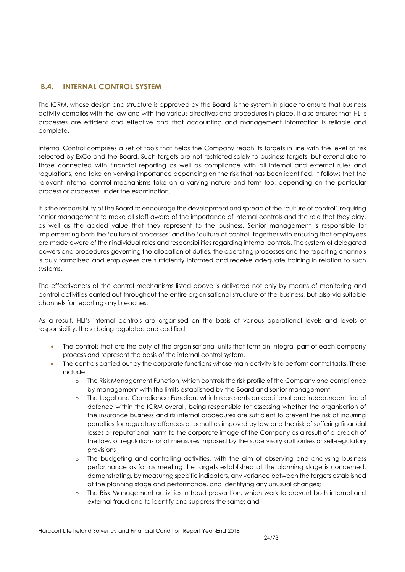## <span id="page-23-0"></span>**B.4. INTERNAL CONTROL SYSTEM**

The ICRM, whose design and structure is approved by the Board, is the system in place to ensure that business activity complies with the law and with the various directives and procedures in place. It also ensures that HLI's processes are efficient and effective and that accounting and management information is reliable and complete.

Internal Control comprises a set of tools that helps the Company reach its targets in line with the level of risk selected by ExCo and the Board. Such targets are not restricted solely to business targets, but extend also to those connected with financial reporting as well as compliance with all internal and external rules and regulations, and take on varying importance depending on the risk that has been identified. It follows that the relevant internal control mechanisms take on a varying nature and form too, depending on the particular process or processes under the examination.

It is the responsibility of the Board to encourage the development and spread of the 'culture of control', requiring senior management to make all staff aware of the importance of internal controls and the role that they play, as well as the added value that they represent to the business. Senior management is responsible for implementing both the 'culture of processes' and the 'culture of control' together with ensuring that employees are made aware of their individual roles and responsibilities regarding internal controls. The system of delegated powers and procedures governing the allocation of duties, the operating processes and the reporting channels is duly formalised and employees are sufficiently informed and receive adequate training in relation to such systems.

The effectiveness of the control mechanisms listed above is delivered not only by means of monitoring and control activities carried out throughout the entire organisational structure of the business, but also via suitable channels for reporting any breaches.

As a result, HLI's internal controls are organised on the basis of various operational levels and levels of responsibility, these being regulated and codified:

- The controls that are the duty of the organisational units that form an integral part of each company process and represent the basis of the internal control system.
- The controls carried out by the corporate functions whose main activity is to perform control tasks. These include:
	- o The Risk Management Function, which controls the risk profile of the Company and compliance by management with the limits established by the Board and senior management;
	- o The Legal and Compliance Function, which represents an additional and independent line of defence within the ICRM overall, being responsible for assessing whether the organisation of the insurance business and its internal procedures are sufficient to prevent the risk of incurring penalties for regulatory offences or penalties imposed by law and the risk of suffering financial losses or reputational harm to the corporate image of the Company as a result of a breach of the law, of regulations or of measures imposed by the supervisory authorities or self-regulatory provisions
	- o The budgeting and controlling activities, with the aim of observing and analysing business performance as far as meeting the targets established at the planning stage is concerned, demonstrating, by measuring specific indicators, any variance between the targets established at the planning stage and performance, and identifying any unusual changes;
	- o The Risk Management activities in fraud prevention, which work to prevent both internal and external fraud and to identify and suppress the same; and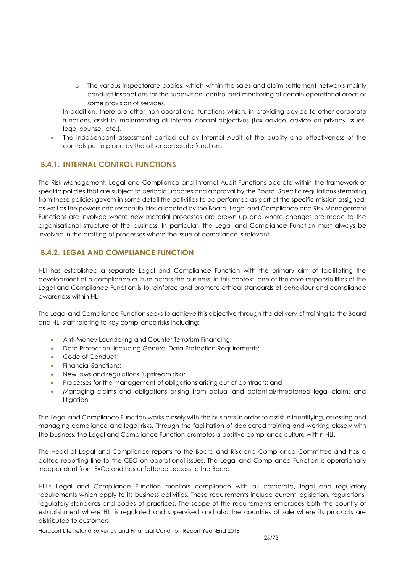o The various inspectorate bodies, which within the sales and claim settlement networks mainly conduct inspections for the supervision, control and monitoring of certain operational areas or some provision of services.

In addition, there are other non-operational functions which, in providing advice to other corporate functions, assist in implementing all internal control objectives (tax advice, advice on privacy issues, legal counsel, etc.).

 The independent assessment carried out by Internal Audit of the quality and effectiveness of the controls put in place by the other corporate functions.

## **B.4.1. INTERNAL CONTROL FUNCTIONS**

The Risk Management, Legal and Compliance and Internal Audit Functions operate within the framework of specific policies that are subject to periodic updates and approval by the Board. Specific regulations stemming from these policies govern in some detail the activities to be performed as part of the specific mission assigned, as well as the powers and responsibilities allocated by the Board. Legal and Compliance and Risk Management Functions are involved where new material processes are drawn up and where changes are made to the organisational structure of the business. In particular, the Legal and Compliance Function must always be involved in the drafting of processes where the issue of compliance is relevant.

## **B.4.2. LEGAL AND COMPLIANCE FUNCTION**

HLI has established a separate Legal and Compliance Function with the primary aim of facilitating the development of a compliance culture across the business. In this context, one of the core responsibilities of the Legal and Compliance Function is to reinforce and promote ethical standards of behaviour and compliance awareness within HLI.

The Legal and Compliance Function seeks to achieve this objective through the delivery of training to the Board and HLI staff relating to key compliance risks including:

- Anti-Money Laundering and Counter Terrorism Financing;
- Data Protection, including General Data Protection Requirements;
- Code of Conduct;
- Financial Sanctions;
- New laws and regulations (upstream risk);
- Processes for the management of obligations arising out of contracts; and
- Managing claims and obligations arising from actual and potential/threatened legal claims and litigation.

The Legal and Compliance Function works closely with the business in order to assist in identifying, assessing and managing compliance and legal risks. Through the facilitation of dedicated training and working closely with the business, the Legal and Compliance Function promotes a positive compliance culture within HLI.

The Head of Legal and Compliance reports to the Board and Risk and Compliance Committee and has a dotted reporting line to the CEO on operational issues. The Legal and Compliance Function is operationally independent from ExCo and has unfettered access to the Board.

HLI's Legal and Compliance Function monitors compliance with all corporate, legal and regulatory requirements which apply to its business activities. These requirements include current legislation, regulations, regulatory standards and codes of practices. The scope of the requirements embraces both the country of establishment where HLI is regulated and supervised and also the countries of sale where its products are distributed to customers.

Harcourt Life Ireland Solvency and Financial Condition Report Year-End 2018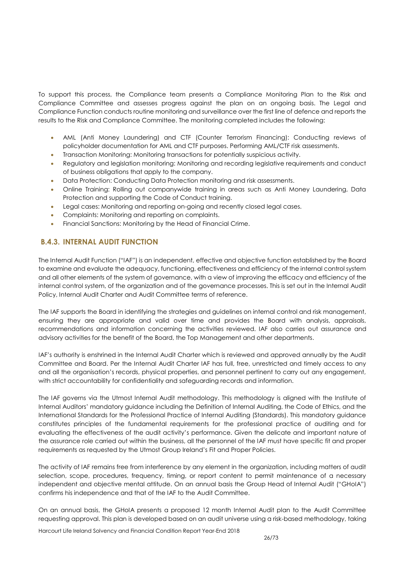To support this process, the Compliance team presents a Compliance Monitoring Plan to the Risk and Compliance Committee and assesses progress against the plan on an ongoing basis. The Legal and Compliance Function conducts routine monitoring and surveillance over the first line of defence and reports the results to the Risk and Compliance Committee. The monitoring completed includes the following:

- AML (Anti Money Laundering) and CTF (Counter Terrorism Financing): Conducting reviews of policyholder documentation for AML and CTF purposes. Performing AML/CTF risk assessments.
- Transaction Monitoring: Monitoring transactions for potentially suspicious activity.
- Regulatory and legislation monitoring: Monitoring and recording legislative requirements and conduct of business obligations that apply to the company.
- Data Protection: Conducting Data Protection monitoring and risk assessments.
- Online Training: Rolling out companywide training in areas such as Anti Money Laundering, Data Protection and supporting the Code of Conduct training.
- Legal cases: Monitoring and reporting on-going and recently closed legal cases.
- Complaints: Monitoring and reporting on complaints.
- Financial Sanctions: Monitoring by the Head of Financial Crime.

## **B.4.3. INTERNAL AUDIT FUNCTION**

The Internal Audit Function ("IAF") is an independent, effective and objective function established by the Board to examine and evaluate the adequacy, functioning, effectiveness and efficiency of the internal control system and all other elements of the system of governance, with a view of improving the efficacy and efficiency of the internal control system, of the organization and of the governance processes. This is set out in the Internal Audit Policy, Internal Audit Charter and Audit Committee terms of reference.

The IAF supports the Board in identifying the strategies and guidelines on internal control and risk management, ensuring they are appropriate and valid over time and provides the Board with analysis, appraisals, recommendations and information concerning the activities reviewed. IAF also carries out assurance and advisory activities for the benefit of the Board, the Top Management and other departments.

IAF's authority is enshrined in the Internal Audit Charter which is reviewed and approved annually by the Audit Committee and Board. Per the Internal Audit Charter IAF has full, free, unrestricted and timely access to any and all the organisation's records, physical properties, and personnel pertinent to carry out any engagement, with strict accountability for confidentiality and safeguarding records and information.

The IAF governs via the Utmost Internal Audit methodology. This methodology is aligned with the Institute of Internal Auditors' mandatory guidance including the Definition of Internal Auditing, the Code of Ethics, and the International Standards for the Professional Practice of Internal Auditing (Standards). This mandatory guidance constitutes principles of the fundamental requirements for the professional practice of auditing and for evaluating the effectiveness of the audit activity's performance. Given the delicate and important nature of the assurance role carried out within the business, all the personnel of the IAF must have specific fit and proper requirements as requested by the Utmost Group Ireland's Fit and Proper Policies.

The activity of IAF remains free from interference by any element in the organization, including matters of audit selection, scope, procedures, frequency, timing, or report content to permit maintenance of a necessary independent and objective mental attitude. On an annual basis the Group Head of Internal Audit ("GHoIA") confirms his independence and that of the IAF to the Audit Committee.

On an annual basis, the GHoIA presents a proposed 12 month Internal Audit plan to the Audit Committee requesting approval. This plan is developed based on an audit universe using a risk-based methodology, taking

Harcourt Life Ireland Solvency and Financial Condition Report Year-End 2018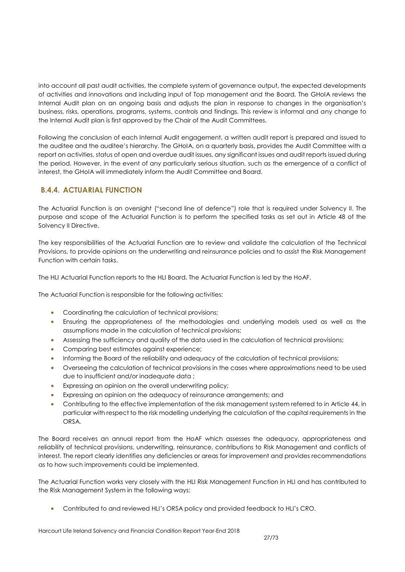into account all past audit activities, the complete system of governance output, the expected developments of activities and innovations and including input of Top management and the Board. The GHoIA reviews the Internal Audit plan on an ongoing basis and adjusts the plan in response to changes in the organisation's business, risks, operations, programs, systems, controls and findings. This review is informal and any change to the Internal Audit plan is first approved by the Chair of the Audit Committees.

Following the conclusion of each Internal Audit engagement, a written audit report is prepared and issued to the auditee and the auditee's hierarchy. The GHoIA, on a quarterly basis, provides the Audit Committee with a report on activities, status of open and overdue audit issues, any significant issues and audit reports issued during the period. However, in the event of any particularly serious situation, such as the emergence of a conflict of interest, the GHoIA will immediately inform the Audit Committee and Board.

## **B.4.4. ACTUARIAL FUNCTION**

The Actuarial Function is an oversight ("second line of defence") role that is required under Solvency II. The purpose and scope of the Actuarial Function is to perform the specified tasks as set out in Article 48 of the Solvency II Directive.

The key responsibilities of the Actuarial Function are to review and validate the calculation of the Technical Provisions, to provide opinions on the underwriting and reinsurance policies and to assist the Risk Management Function with certain tasks.

The HLI Actuarial Function reports to the HLI Board. The Actuarial Function is led by the HoAF.

The Actuarial Function is responsible for the following activities:

- Coordinating the calculation of technical provisions;
- Ensuring the appropriateness of the methodologies and underlying models used as well as the assumptions made in the calculation of technical provisions;
- Assessing the sufficiency and quality of the data used in the calculation of technical provisions;
- Comparing best estimates against experience;
- Informing the Board of the reliability and adequacy of the calculation of technical provisions;
- Overseeing the calculation of technical provisions in the cases where approximations need to be used due to insufficient and/or inadequate data ;
- **Expressing an opinion on the overall underwriting policy;**
- Expressing an opinion on the adequacy of reinsurance arrangements; and
- Contributing to the effective implementation of the risk management system referred to in Article 44, in particular with respect to the risk modelling underlying the calculation of the capital requirements in the ORSA.

The Board receives an annual report from the HoAF which assesses the adequacy, appropriateness and reliability of technical provisions, underwriting, reinsurance, contributions to Risk Management and conflicts of interest. The report clearly identifies any deficiencies or areas for improvement and provides recommendations as to how such improvements could be implemented.

The Actuarial Function works very closely with the HLI Risk Management Function in HLI and has contributed to the Risk Management System in the following ways:

Contributed to and reviewed HLI's ORSA policy and provided feedback to HLI's CRO.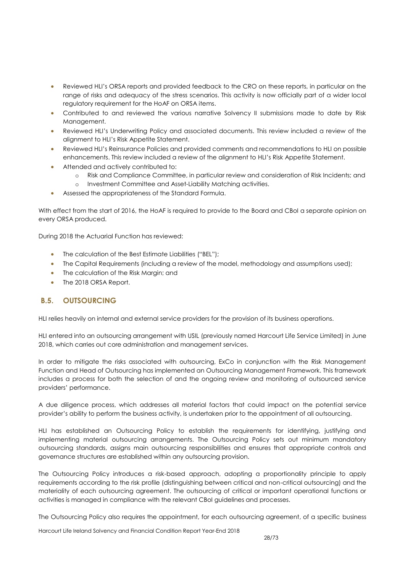- Reviewed HLI's ORSA reports and provided feedback to the CRO on these reports, in particular on the range of risks and adequacy of the stress scenarios. This activity is now officially part of a wider local regulatory requirement for the HoAF on ORSA items.
- Contributed to and reviewed the various narrative Solvency II submissions made to date by Risk Management.
- Reviewed HLI's Underwriting Policy and associated documents. This review included a review of the alignment to HLI's Risk Appetite Statement.
- Reviewed HLI's Reinsurance Policies and provided comments and recommendations to HLI on possible enhancements. This review included a review of the alignment to HLI's Risk Appetite Statement.
- Attended and actively contributed to:
	- o Risk and Compliance Committee, in particular review and consideration of Risk Incidents; and
	- o Investment Committee and Asset-Liability Matching activities.
- Assessed the appropriateness of the Standard Formula.

With effect from the start of 2016, the HoAF is required to provide to the Board and CBoI a separate opinion on every ORSA produced.

During 2018 the Actuarial Function has reviewed:

- The calculation of the Best Estimate Liabilities ("BEL");
- The Capital Requirements (including a review of the model, methodology and assumptions used);
- The calculation of the Risk Margin; and
- The 2018 ORSA Report.

## <span id="page-27-0"></span>**B.5. OUTSOURCING**

HLI relies heavily on internal and external service providers for the provision of its business operations.

HLI entered into an outsourcing arrangement with USIL (previously named Harcourt Life Service Limited) in June 2018, which carries out core administration and management services.

In order to mitigate the risks associated with outsourcing, ExCo in conjunction with the Risk Management Function and Head of Outsourcing has implemented an Outsourcing Management Framework. This framework includes a process for both the selection of and the ongoing review and monitoring of outsourced service providers' performance.

A due diligence process, which addresses all material factors that could impact on the potential service provider's ability to perform the business activity, is undertaken prior to the appointment of all outsourcing.

HLI has established an Outsourcing Policy to establish the requirements for identifying, justifying and implementing material outsourcing arrangements. The Outsourcing Policy sets out minimum mandatory outsourcing standards, assigns main outsourcing responsibilities and ensures that appropriate controls and governance structures are established within any outsourcing provision.

The Outsourcing Policy introduces a risk-based approach, adopting a proportionality principle to apply requirements according to the risk profile (distinguishing between critical and non-critical outsourcing) and the materiality of each outsourcing agreement. The outsourcing of critical or important operational functions or activities is managed in compliance with the relevant CBoI guidelines and processes.

The Outsourcing Policy also requires the appointment, for each outsourcing agreement, of a specific business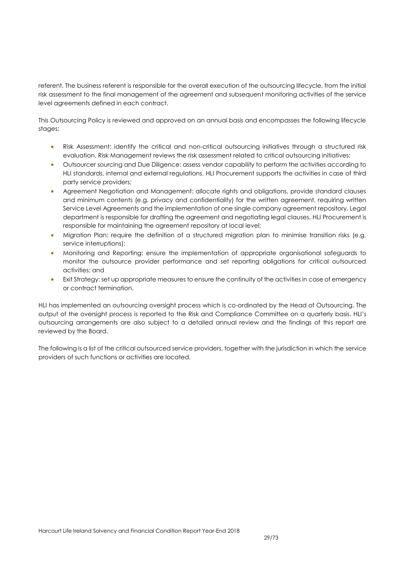referent. The business referent is responsible for the overall execution of the outsourcing lifecycle, from the initial risk assessment to the final management of the agreement and subsequent monitoring activities of the service level agreements defined in each contract.

This Outsourcing Policy is reviewed and approved on an annual basis and encompasses the following lifecycle stages:

- Risk Assessment: identify the critical and non-critical outsourcing initiatives through a structured risk evaluation. Risk Management reviews the risk assessment related to critical outsourcing initiatives;
- Outsourcer sourcing and Due Diligence: assess vendor capability to perform the activities according to HLI standards, internal and external regulations. HLI Procurement supports the activities in case of third party service providers;
- Agreement Negotiation and Management: allocate rights and obligations, provide standard clauses and minimum contents (e.g. privacy and confidentiality) for the written agreement, requiring written Service Level Agreements and the implementation of one single company agreement repository. Legal department is responsible for drafting the agreement and negotiating legal clauses. HLI Procurement is responsible for maintaining the agreement repository at local level;
- Migration Plan: require the definition of a structured migration plan to minimise transition risks (e.g. service interruptions);
- Monitoring and Reporting: ensure the implementation of appropriate organisational safeguards to monitor the outsource provider performance and set reporting obligations for critical outsourced activities; and
- Exit Strategy: set up appropriate measures to ensure the continuity of the activities in case of emergency or contract termination.

HLI has implemented an outsourcing oversight process which is co-ordinated by the Head of Outsourcing. The output of the oversight process is reported to the Risk and Compliance Committee on a quarterly basis. HLI's outsourcing arrangements are also subject to a detailed annual review and the findings of this report are reviewed by the Board.

The following is a list of the critical outsourced service providers, together with the jurisdiction in which the service providers of such functions or activities are located.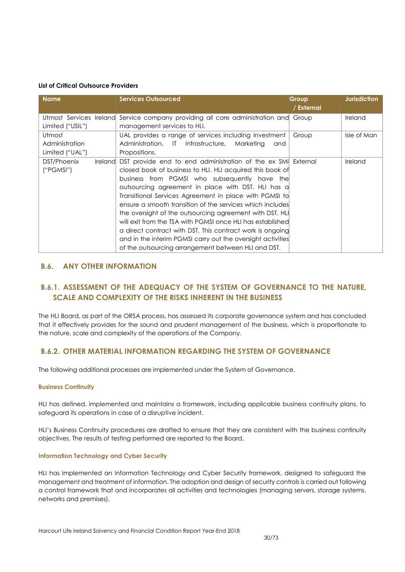#### **List of Critical Outsource Providers**

| <b>Name</b>                                              | <b>Services Outsourced</b>                                                                                                                                                                                                                                                                                                                                                                                                                                                                                                                                                                                                                                           | Group<br>/ External | <b>Jurisdiction</b> |
|----------------------------------------------------------|----------------------------------------------------------------------------------------------------------------------------------------------------------------------------------------------------------------------------------------------------------------------------------------------------------------------------------------------------------------------------------------------------------------------------------------------------------------------------------------------------------------------------------------------------------------------------------------------------------------------------------------------------------------------|---------------------|---------------------|
| Utmost Services Ireland<br>Limited ("USIL")              | Service company providing all core administration and<br>management services to HLI.                                                                                                                                                                                                                                                                                                                                                                                                                                                                                                                                                                                 | Group               | Ireland             |
| Utmost<br>Administration<br>Limited ("UAL")              | UAL provides a range of services including Investment<br>Administration, IT Infrastructure,<br>Marketing<br>and<br>Propositions.                                                                                                                                                                                                                                                                                                                                                                                                                                                                                                                                     | Group               | Isle of Man         |
| DST/Phoenix<br><i><u><b>Ireland</b></u></i><br>("PGMSI") | DST provide end to end administration of the ex SMI External<br>closed book of business to HLI. HLI acquired this book of<br>business from PGMSI who subsequently have the<br>outsourcing agreement in place with DST. HLI has a<br>Transitional Services Agreement in place with PGMSI to<br>ensure a smooth transition of the services which includes<br>the oversight of the outsourcing agreement with DST. HLI<br>will exit from the TSA with PGMSI once HLI has established<br>a direct contract with DST. This contract work is ongoing<br>and in the interim PGMSI carry out the oversight activities<br>of the outsourcing arrangement between HLI and DST. |                     | Ireland             |

## <span id="page-29-0"></span>**B.6. ANY OTHER INFORMATION**

## **B.6.1. ASSESSMENT OF THE ADEQUACY OF THE SYSTEM OF GOVERNANCE TO THE NATURE, SCALE AND COMPLEXITY OF THE RISKS INHERENT IN THE BUSINESS**

The HLI Board, as part of the ORSA process, has assessed its corporate governance system and has concluded that it effectively provides for the sound and prudent management of the business, which is proportionate to the nature, scale and complexity of the operations of the Company.

## **B.6.2. OTHER MATERIAL INFORMATION REGARDING THE SYSTEM OF GOVERNANCE**

The following additional processes are implemented under the System of Governance.

#### **Business Continuity**

HLI has defined, implemented and maintains a framework, including applicable business continuity plans, to safeguard its operations in case of a disruptive incident.

HLI's Business Continuity procedures are drafted to ensure that they are consistent with the business continuity objectives. The results of testing performed are reported to the Board.

#### **Information Technology and Cyber Security**

HLI has implemented an Information Technology and Cyber Security framework, designed to safeguard the management and treatment of information. The adoption and design of security controls is carried out following a control framework that and incorporates all activities and technologies (managing servers, storage systems, networks and premises).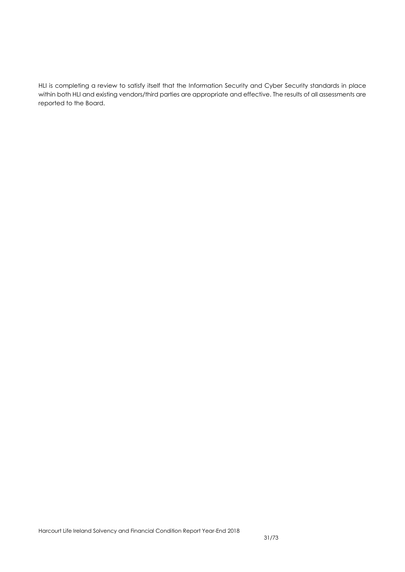HLI is completing a review to satisfy itself that the Information Security and Cyber Security standards in place within both HLI and existing vendors/third parties are appropriate and effective. The results of all assessments are reported to the Board.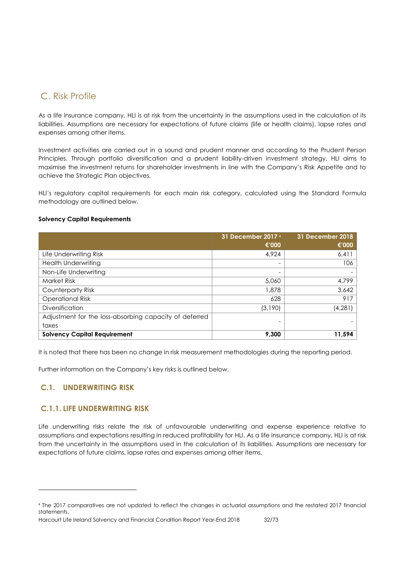## <span id="page-31-0"></span>C. Risk Profile

As a life insurance company, HLI is at risk from the uncertainty in the assumptions used in the calculation of its liabilities. Assumptions are necessary for expectations of future claims (life or health claims), lapse rates and expenses among other items.

Investment activities are carried out in a sound and prudent manner and according to the Prudent Person Principles. Through portfolio diversification and a prudent liability-driven investment strategy, HLI aims to maximise the investment returns for shareholder investments in line with the Company's Risk Appetite and to achieve the Strategic Plan objectives.

HLI's regulatory capital requirements for each main risk category, calculated using the Standard Formula methodology are outlined below.

#### **Solvency Capital Requirements**

|                                                        | 31 December 2017 4<br>€'000 | 31 December 2018<br>€'000 |
|--------------------------------------------------------|-----------------------------|---------------------------|
| Life Underwriting Risk                                 | 4.924                       | 6,411                     |
| <b>Health Underwriting</b>                             | $\overline{\phantom{0}}$    | 106                       |
| Non-Life Underwriting                                  | -                           |                           |
| <b>Market Risk</b>                                     | 5,060                       | 4,799                     |
| Counterparty Risk                                      | 1,878                       | 3,642                     |
| <b>Operational Risk</b>                                | 628                         | 917                       |
| <b>Diversification</b>                                 | (3,190)                     | (4, 281)                  |
| Adjustment for the loss-absorbing capacity of deferred |                             |                           |
| taxes                                                  | $\overline{\phantom{0}}$    |                           |
| <b>Solvency Capital Requirement</b>                    | 9,300                       | 11,594                    |

It is noted that there has been no change in risk measurement methodologies during the reporting period.

Further information on the Company's key risks is outlined below.

## <span id="page-31-1"></span>**C.1. UNDERWRITING RISK**

 $\overline{a}$ 

## **C.1.1. LIFE UNDERWRITING RISK**

Life underwriting risks relate the risk of unfavourable underwriting and expense experience relative to assumptions and expectations resulting in reduced profitability for HLI. As a life insurance company, HLI is at risk from the uncertainty in the assumptions used in the calculation of its liabilities. Assumptions are necessary for expectations of future claims, lapse rates and expenses among other items.

<sup>4</sup> The 2017 comparatives are not updated to reflect the changes in actuarial assumptions and the restated 2017 financial statements.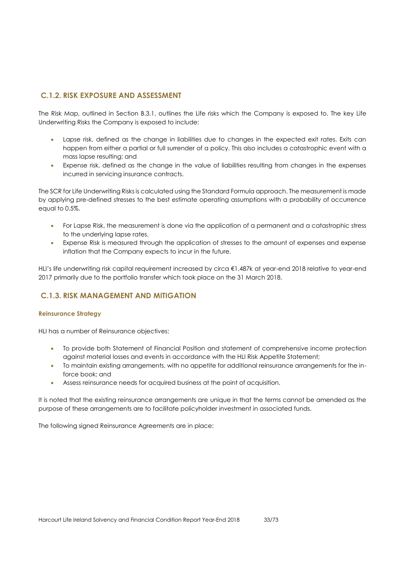## **C.1.2. RISK EXPOSURE AND ASSESSMENT**

The Risk Map, outlined in Section B.3.1, outlines the Life risks which the Company is exposed to. The key Life Underwriting Risks the Company is exposed to include:

- Lapse risk, defined as the change in liabilities due to changes in the expected exit rates. Exits can happen from either a partial or full surrender of a policy. This also includes a catastrophic event with a mass lapse resulting; and
- Expense risk, defined as the change in the value of liabilities resulting from changes in the expenses incurred in servicing insurance contracts.

The SCR for Life Underwriting Risks is calculated using the Standard Formula approach. The measurement is made by applying pre-defined stresses to the best estimate operating assumptions with a probability of occurrence equal to 0.5%.

- For Lapse Risk, the measurement is done via the application of a permanent and a catastrophic stress to the underlying lapse rates.
- Expense Risk is measured through the application of stresses to the amount of expenses and expense inflation that the Company expects to incur in the future.

HLI's life underwriting risk capital requirement increased by circa €1,487k at year-end 2018 relative to year-end 2017 primarily due to the portfolio transfer which took place on the 31 March 2018.

## **C.1.3. RISK MANAGEMENT AND MITIGATION**

#### **Reinsurance Strategy**

HLI has a number of Reinsurance objectives:

- To provide both Statement of Financial Position and statement of comprehensive income protection against material losses and events in accordance with the HLI Risk Appetite Statement;
- To maintain existing arrangements, with no appetite for additional reinsurance arrangements for the inforce book; and
- Assess reinsurance needs for acquired business at the point of acquisition.

It is noted that the existing reinsurance arrangements are unique in that the terms cannot be amended as the purpose of these arrangements are to facilitate policyholder investment in associated funds.

The following signed Reinsurance Agreements are in place: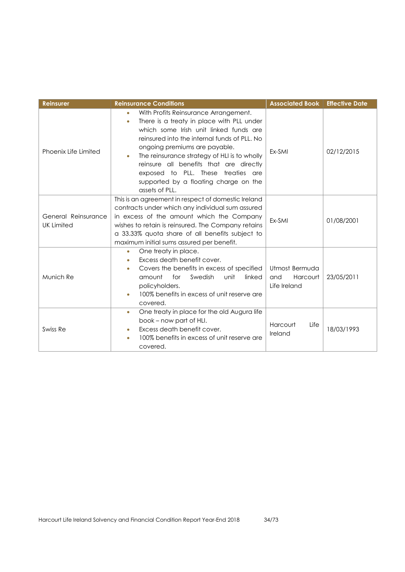| <b>Reinsurer</b>                         | <b>Reinsurance Conditions</b>                                                                                                                                                                                                                                                                                                                                                                                            | <b>Associated Book</b>                            | <b>Effective Date</b> |
|------------------------------------------|--------------------------------------------------------------------------------------------------------------------------------------------------------------------------------------------------------------------------------------------------------------------------------------------------------------------------------------------------------------------------------------------------------------------------|---------------------------------------------------|-----------------------|
| Phoenix Life Limited                     | With Profits Reinsurance Arrangement.<br>۰<br>There is a treaty in place with PLL under<br>٠<br>which some Irish unit linked funds are<br>reinsured into the internal funds of PLL. No<br>ongoing premiums are payable.<br>The reinsurance strategy of HLI is to wholly<br>۰<br>reinsure all benefits that are directly<br>exposed to PLL. These treaties are<br>supported by a floating charge on the<br>assets of PLL. | Ex-SMI                                            | 02/12/2015            |
| General Reinsurance<br><b>UK Limited</b> | This is an agreement in respect of domestic Ireland<br>contracts under which any individual sum assured<br>in excess of the amount which the Company<br>wishes to retain is reinsured. The Company retains<br>a 33.33% quota share of all benefits subject to<br>maximum initial sums assured per benefit.                                                                                                               | Ex-SMI                                            | 01/08/2001            |
| Munich Re                                | One treaty in place.<br>$\bullet$<br>Excess death benefit cover.<br>Covers the benefits in excess of specified<br>$\bullet$<br>amount<br>for<br>Swedish<br>unit<br>linked<br>policyholders.<br>100% benefits in excess of unit reserve are<br>covered.                                                                                                                                                                   | Utmost Bermuda<br>Harcourt<br>and<br>Life Ireland | 23/05/2011            |
| Swiss Re                                 | One treaty in place for the old Augura life<br>$\bullet$<br>book - now part of HLI.<br>Excess death benefit cover.<br>100% benefits in excess of unit reserve are<br>covered.                                                                                                                                                                                                                                            | Harcourt<br>Life<br>Ireland                       | 18/03/1993            |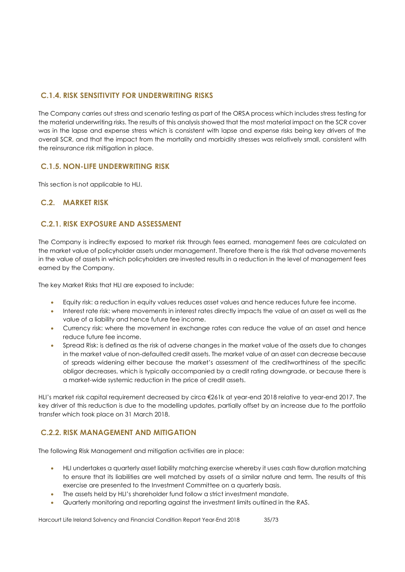## **C.1.4. RISK SENSITIVITY FOR UNDERWRITING RISKS**

The Company carries out stress and scenario testing as part of the ORSA process which includes stress testing for the material underwriting risks. The results of this analysis showed that the most material impact on the SCR cover was in the lapse and expense stress which is consistent with lapse and expense risks being key drivers of the overall SCR, and that the impact from the mortality and morbidity stresses was relatively small, consistent with the reinsurance risk mitigation in place.

## **C.1.5. NON-LIFE UNDERWRITING RISK**

This section is not applicable to HLI.

## <span id="page-34-0"></span>**C.2. MARKET RISK**

## **C.2.1. RISK EXPOSURE AND ASSESSMENT**

The Company is indirectly exposed to market risk through fees earned, management fees are calculated on the market value of policyholder assets under management. Therefore there is the risk that adverse movements in the value of assets in which policyholders are invested results in a reduction in the level of management fees earned by the Company.

The key Market Risks that HLI are exposed to include:

- Equity risk: a reduction in equity values reduces asset values and hence reduces future fee income.
- Interest rate risk: where movements in interest rates directly impacts the value of an asset as well as the value of a liability and hence future fee income.
- Currency risk: where the movement in exchange rates can reduce the value of an asset and hence reduce future fee income.
- Spread Risk: is defined as the risk of adverse changes in the market value of the assets due to changes in the market value of non-defaulted credit assets. The market value of an asset can decrease because of spreads widening either because the market's assessment of the creditworthiness of the specific obligor decreases, which is typically accompanied by a credit rating downgrade, or because there is a market-wide systemic reduction in the price of credit assets.

HLI's market risk capital requirement decreased by circa €261k at year-end 2018 relative to year-end 2017. The key driver of this reduction is due to the modelling updates, partially offset by an increase due to the portfolio transfer which took place on 31 March 2018.

## **C.2.2. RISK MANAGEMENT AND MITIGATION**

The following Risk Management and mitigation activities are in place:

- HLI undertakes a quarterly asset liability matching exercise whereby it uses cash flow duration matching to ensure that its liabilities are well matched by assets of a similar nature and term. The results of this exercise are presented to the Investment Committee on a quarterly basis.
- The assets held by HLI's shareholder fund follow a strict investment mandate.
- Quarterly monitoring and reporting against the investment limits outlined in the RAS.

Harcourt Life Ireland Solvency and Financial Condition Report Year-End 2018 35/73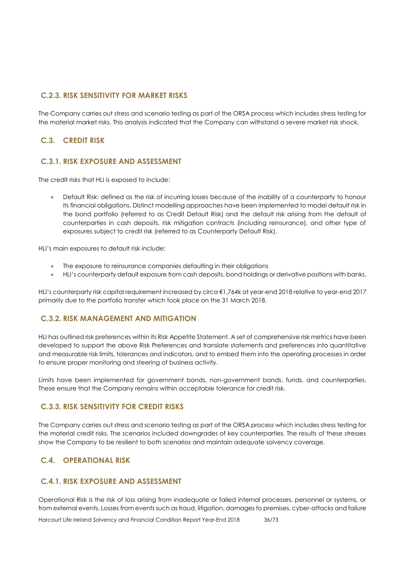## **C.2.3. RISK SENSITIVITY FOR MARKET RISKS**

The Company carries out stress and scenario testing as part of the ORSA process which includes stress testing for the material market risks. This analysis indicated that the Company can withstand a severe market risk shock.

#### <span id="page-35-0"></span>**C.3. CREDIT RISK**

## **C.3.1. RISK EXPOSURE AND ASSESSMENT**

The credit risks that HLI is exposed to include:

 Default Risk: defined as the risk of incurring losses because of the inability of a counterparty to honour its financial obligations. Distinct modelling approaches have been implemented to model default risk in the bond portfolio (referred to as Credit Default Risk) and the default risk arising from the default of counterparties in cash deposits, risk mitigation contracts (including reinsurance), and other type of exposures subject to credit risk (referred to as Counterparty Default Risk).

HLI's main exposures to default risk include:

- The exposure to reinsurance companies defaulting in their obligations
- HLI's counterparty default exposure from cash deposits, bond holdings or derivative positions with banks.

HLI's counterparty risk capital requirement increased by circa €1,764k at year-end 2018 relative to year-end 2017 primarily due to the portfolio transfer which took place on the 31 March 2018.

#### **C.3.2. RISK MANAGEMENT AND MITIGATION**

HLI has outlined risk preferences within its Risk Appetite Statement. A set of comprehensive risk metrics have been developed to support the above Risk Preferences and translate statements and preferences into quantitative and measurable risk limits, tolerances and indicators, and to embed them into the operating processes in order to ensure proper monitoring and steering of business activity.

Limits have been implemented for government bonds, non-government bonds, funds, and counterparties. These ensure that the Company remains within acceptable tolerance for credit risk.

#### **C.3.3. RISK SENSITIVITY FOR CREDIT RISKS**

The Company carries out stress and scenario testing as part of the ORSA process which includes stress testing for the material credit risks. The scenarios included downgrades of key counterparties. The results of these stresses show the Company to be resilient to both scenarios and maintain adequate solvency coverage.

## <span id="page-35-1"></span>**C.4. OPERATIONAL RISK**

#### **C.4.1. RISK EXPOSURE AND ASSESSMENT**

Operational Risk is the risk of loss arising from inadequate or failed internal processes, personnel or systems, or from external events. Losses from events such as fraud, litigation, damages to premises, cyber-attacks and failure

Harcourt Life Ireland Solvency and Financial Condition Report Year-End 2018 36/73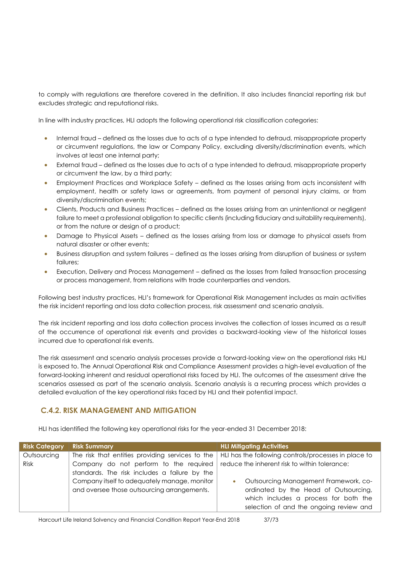to comply with regulations are therefore covered in the definition. It also includes financial reporting risk but excludes strategic and reputational risks.

In line with industry practices, HLI adopts the following operational risk classification categories:

- Internal fraud defined as the losses due to acts of a type intended to defraud, misappropriate property or circumvent regulations, the law or Company Policy, excluding diversity/discrimination events, which involves at least one internal party;
- External fraud defined as the losses due to acts of a type intended to defraud, misappropriate property or circumvent the law, by a third party;
- Employment Practices and Workplace Safety defined as the losses arising from acts inconsistent with employment, health or safety laws or agreements, from payment of personal injury claims, or from diversity/discrimination events;
- Clients, Products and Business Practices defined as the losses arising from an unintentional or negligent failure to meet a professional obligation to specific clients (including fiduciary and suitability requirements), or from the nature or design of a product;
- Damage to Physical Assets defined as the losses arising from loss or damage to physical assets from natural disaster or other events;
- Business disruption and system failures defined as the losses arising from disruption of business or system failures;
- Execution, Delivery and Process Management defined as the losses from failed transaction processing or process management, from relations with trade counterparties and vendors.

Following best industry practices, HLI's framework for Operational Risk Management includes as main activities the risk incident reporting and loss data collection process, risk assessment and scenario analysis.

The risk incident reporting and loss data collection process involves the collection of losses incurred as a result of the occurrence of operational risk events and provides a backward-looking view of the historical losses incurred due to operational risk events.

The risk assessment and scenario analysis processes provide a forward-looking view on the operational risks HLI is exposed to. The Annual Operational Risk and Compliance Assessment provides a high-level evaluation of the forward-looking inherent and residual operational risks faced by HLI. The outcomes of the assessment drive the scenarios assessed as part of the scenario analysis. Scenario analysis is a recurring process which provides a detailed evaluation of the key operational risks faced by HLI and their potential impact.

## **C.4.2. RISK MANAGEMENT AND MITIGATION**

HLI has identified the following key operational risks for the year-ended 31 December 2018:

| <b>Risk Category</b>       | <b>Risk Summary</b>                                                                                                                         | <b>HLI Mitigating Activities</b>                                                                                                                                                |
|----------------------------|---------------------------------------------------------------------------------------------------------------------------------------------|---------------------------------------------------------------------------------------------------------------------------------------------------------------------------------|
| Outsourcing<br><b>Risk</b> | The risk that entities providing services to the<br>Company do not perform to the required<br>standards. The risk includes a failure by the | HLI has the following controls/processes in place to<br>reduce the inherent risk to within tolerance:                                                                           |
|                            | Company itself to adequately manage, monitor<br>and oversee those outsourcing arrangements.                                                 | Outsourcing Management Framework, co-<br>$\bullet$<br>ordinated by the Head of Outsourcing,<br>which includes a process for both the<br>selection of and the ongoing review and |

Harcourt Life Ireland Solvency and Financial Condition Report Year-End 2018 37/73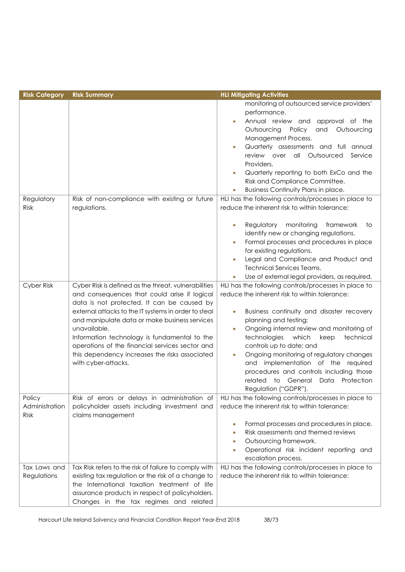| <b>Risk Category</b>                    | <b>Risk Summary</b>                                                                                                                                                                                                                                                                                                                                                                                                                                     | <b>HLI Mitigating Activities</b>                                                                                                                                                                                                                                                                                                                                                                                                                                                                                                                                                                                                                                                  |  |  |
|-----------------------------------------|---------------------------------------------------------------------------------------------------------------------------------------------------------------------------------------------------------------------------------------------------------------------------------------------------------------------------------------------------------------------------------------------------------------------------------------------------------|-----------------------------------------------------------------------------------------------------------------------------------------------------------------------------------------------------------------------------------------------------------------------------------------------------------------------------------------------------------------------------------------------------------------------------------------------------------------------------------------------------------------------------------------------------------------------------------------------------------------------------------------------------------------------------------|--|--|
| Regulatory<br><b>Risk</b>               | Risk of non-compliance with existing or future<br>regulations.                                                                                                                                                                                                                                                                                                                                                                                          | monitoring of outsourced service providers'<br>performance.<br>Annual review and<br>approval of the<br>Outsourcing<br>and<br>Policy<br>Outsourcing<br>Management Process.<br>Quarterly assessments and full annual<br>review over all Outsourced<br>Service<br>Providers.<br>Quarterly reporting to both ExCo and the<br>$\bullet$<br>Risk and Compliance Committee.<br><b>Business Continuity Plans in place.</b><br>$\bullet$<br>HLI has the following controls/processes in place to<br>reduce the inherent risk to within tolerance:<br>Regulatory<br>monitoring<br>framework<br>to<br>0<br>identify new or changing regulations.<br>Formal processes and procedures in place |  |  |
|                                         |                                                                                                                                                                                                                                                                                                                                                                                                                                                         | for existing regulations.<br>Legal and Compliance and Product and<br><b>Technical Services Teams.</b><br>Use of external legal providers, as required.                                                                                                                                                                                                                                                                                                                                                                                                                                                                                                                            |  |  |
| Cyber Risk                              | Cyber Risk is defined as the threat, vulnerabilities<br>and consequences that could arise if logical<br>data is not protected. It can be caused by<br>external attacks to the IT systems in order to steal<br>and manipulate data or make business services<br>unavailable.<br>Information technology is fundamental to the<br>operations of the financial services sector and<br>this dependency increases the risks associated<br>with cyber-attacks. | HLI has the following controls/processes in place to<br>reduce the inherent risk to within tolerance:<br>Business continuity and disaster recovery<br>0<br>planning and testing;<br>Ongoing internal review and monitoring of<br>$\bullet$<br>technologies<br>which<br>keep<br>technical<br>controls up to date; and<br>Ongoing monitoring of regulatory changes<br>$\bullet$<br>and implementation of the required<br>procedures and controls including those<br>related to General<br>Protection<br>Data<br>Regulation ("GDPR").                                                                                                                                                |  |  |
| Policy<br>Administration<br><b>Risk</b> | Risk of errors or delays in administration of<br>policyholder assets including investment and<br>claims management                                                                                                                                                                                                                                                                                                                                      | HLI has the following controls/processes in place to<br>reduce the inherent risk to within tolerance:<br>Formal processes and procedures in place.<br>$\bullet$<br>Risk assessments and themed reviews<br>0<br>Outsourcing framework.<br>Operational risk incident reporting and<br>escalation process.                                                                                                                                                                                                                                                                                                                                                                           |  |  |
| Tax Laws and<br>Regulations             | Tax Risk refers to the risk of failure to comply with<br>existing tax regulation or the risk of a change to<br>the International taxation treatment of life<br>assurance products in respect of policyholders.<br>Changes in the tax regimes and related                                                                                                                                                                                                | HLI has the following controls/processes in place to<br>reduce the inherent risk to within tolerance:                                                                                                                                                                                                                                                                                                                                                                                                                                                                                                                                                                             |  |  |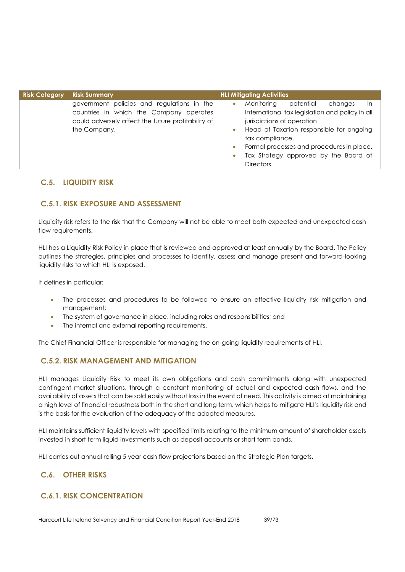| <b>Risk Category</b> | <b>Risk Summary</b>                                                                                                                                         | <b>HLI Mitigating Activities</b>                                                                                                                                                                                                                                                                                                                 |
|----------------------|-------------------------------------------------------------------------------------------------------------------------------------------------------------|--------------------------------------------------------------------------------------------------------------------------------------------------------------------------------------------------------------------------------------------------------------------------------------------------------------------------------------------------|
|                      | government policies and regulations in the<br>countries in which the Company operates<br>could adversely affect the future profitability of<br>the Company. | in<br>potential<br>Monitoring<br>changes<br>$\bullet$<br>International tax legislation and policy in all<br>jurisdictions of operation<br>Head of Taxation responsible for ongoing<br>$\bullet$<br>tax compliance.<br>Formal processes and procedures in place.<br>$\bullet$<br>Tax Strategy approved by the Board of<br>$\bullet$<br>Directors. |

## **C.5. LIQUIDITY RISK**

## **C.5.1. RISK EXPOSURE AND ASSESSMENT**

Liquidity risk refers to the risk that the Company will not be able to meet both expected and unexpected cash flow requirements.

HLI has a Liquidity Risk Policy in place that is reviewed and approved at least annually by the Board. The Policy outlines the strategies, principles and processes to identify, assess and manage present and forward-looking liquidity risks to which HLI is exposed.

It defines in particular:

- The processes and procedures to be followed to ensure an effective liquidity risk mitigation and management;
- The system of governance in place, including roles and responsibilities; and
- The internal and external reporting requirements.

The Chief Financial Officer is responsible for managing the on-going liquidity requirements of HLI.

## **C.5.2. RISK MANAGEMENT AND MITIGATION**

HLI manages Liquidity Risk to meet its own obligations and cash commitments along with unexpected contingent market situations, through a constant monitoring of actual and expected cash flows, and the availability of assets that can be sold easily without loss in the event of need. This activity is aimed at maintaining a high level of financial robustness both in the short and long term, which helps to mitigate HLI's liquidity risk and is the basis for the evaluation of the adequacy of the adopted measures.

HLI maintains sufficient liquidity levels with specified limits relating to the minimum amount of shareholder assets invested in short term liquid investments such as deposit accounts or short term bonds.

HLI carries out annual rolling 5 year cash flow projections based on the Strategic Plan targets.

## **C.6. OTHER RISKS**

## **C.6.1. RISK CONCENTRATION**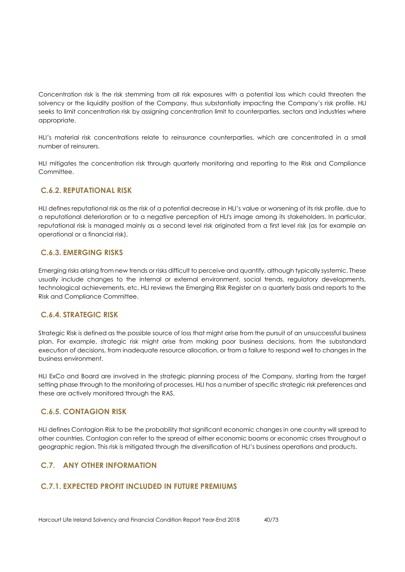Concentration risk is the risk stemming from all risk exposures with a potential loss which could threaten the solvency or the liquidity position of the Company, thus substantially impacting the Company's risk profile. HLI seeks to limit concentration risk by assigning concentration limit to counterparties, sectors and industries where appropriate.

HLI's material risk concentrations relate to reinsurance counterparties, which are concentrated in a small number of reinsurers.

HLI mitigates the concentration risk through quarterly monitoring and reporting to the Risk and Compliance Committee.

## **C.6.2. REPUTATIONAL RISK**

HLI defines reputational risk as the risk of a potential decrease in HLI's value or worsening of its risk profile, due to a reputational deterioration or to a negative perception of HLI's image among its stakeholders. In particular, reputational risk is managed mainly as a second level risk originated from a first level risk (as for example an operational or a financial risk).

## **C.6.3. EMERGING RISKS**

Emerging risks arising from new trends or risks difficult to perceive and quantify, although typically systemic. These usually include changes to the internal or external environment, social trends, regulatory developments, technological achievements, etc. HLI reviews the Emerging Risk Register on a quarterly basis and reports to the Risk and Compliance Committee.

## **C.6.4. STRATEGIC RISK**

Strategic Risk is defined as the possible source of loss that might arise from the pursuit of an unsuccessfu[l business](http://www.businessdictionary.com/definition/business-plan.html)  [plan.](http://www.businessdictionary.com/definition/business-plan.html) For example, strategic risk might arise from making poor [business](http://www.businessdictionary.com/definition/business.html) decisions, from the substandard [execution](http://www.businessdictionary.com/definition/execution.html) of decisions, from inadequate [resource](http://www.businessdictionary.com/definition/resource.html) [allocation,](http://www.businessdictionary.com/definition/allocation.html) or from a [failure](http://www.businessdictionary.com/definition/failure.html) to respond well to [changes](http://www.businessdictionary.com/definition/changes.html) in the [business environment.](http://www.businessdictionary.com/definition/business-environment.html)

HLI ExCo and Board are involved in the strategic planning process of the Company, starting from the target setting phase through to the monitoring of processes. HLI has a number of specific strategic risk preferences and these are actively monitored through the RAS.

## **C.6.5. CONTAGION RISK**

HLI defines Contagion Risk to be the probability that significant economic changes in one country will spread to other countries. Contagion can refer to the spread of either economic booms or economic crises throughout a geographic region. This risk is mitigated through the diversification of HLI's business operations and products.

## **C.7. ANY OTHER INFORMATION**

## **C.7.1. EXPECTED PROFIT INCLUDED IN FUTURE PREMIUMS**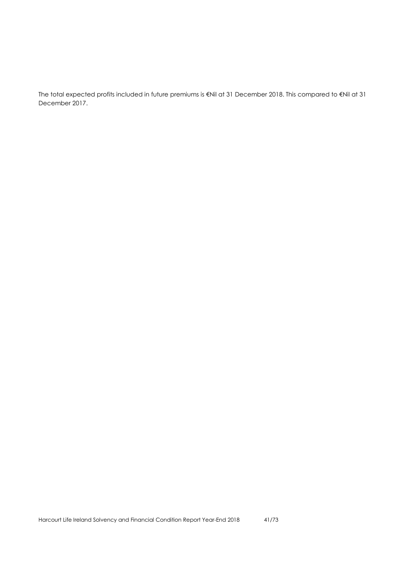The total expected profits included in future premiums is €Nil at 31 December 2018. This compared to €Nil at 31 December 2017.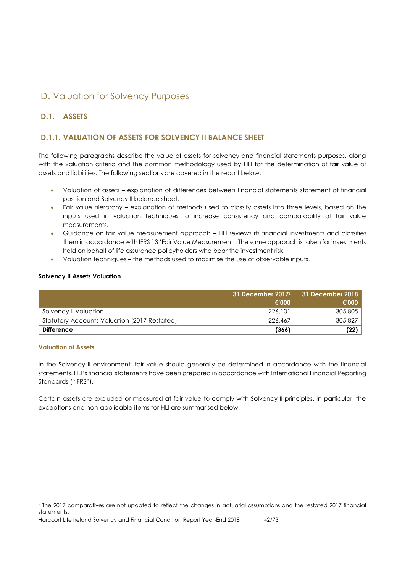# D. Valuation for Solvency Purposes

## **D.1. ASSETS**

## **D.1.1. VALUATION OF ASSETS FOR SOLVENCY II BALANCE SHEET**

The following paragraphs describe the value of assets for solvency and financial statements purposes, along with the valuation criteria and the common methodology used by HLI for the determination of fair value of assets and liabilities. The following sections are covered in the report below:

- Valuation of assets explanation of differences between financial statements statement of financial position and Solvency II balance sheet.
- Fair value hierarchy explanation of methods used to classify assets into three levels, based on the inputs used in valuation techniques to increase consistency and comparability of fair value measurements.
- Guidance on fair value measurement approach HLI reviews its financial investments and classifies them in accordance with IFRS 13 'Fair Value Measurement'. The same approach is taken for investments held on behalf of life assurance policyholders who bear the investment risk.
- Valuation techniques the methods used to maximise the use of observable inputs.

### **Solvency II Assets Valuation**

|                                              | 31 December 2017 <sup>5</sup> | 31 December 2018 |
|----------------------------------------------|-------------------------------|------------------|
|                                              | €'000                         | €'000            |
| Solvency II Valuation                        | 226.101                       | 305,805          |
| Statutory Accounts Valuation (2017 Restated) | 226,467                       | 305,827          |
| <b>Difference</b>                            | (366)                         | (22)             |

### **Valuation of Assets**

 $\overline{a}$ 

In the Solvency II environment, fair value should generally be determined in accordance with the financial statements. HLI's financial statements have been prepared in accordance with International Financial Reporting Standards ("IFRS").

Certain assets are excluded or measured at fair value to comply with Solvency II principles. In particular, the exceptions and non-applicable items for HLI are summarised below.

Harcourt Life Ireland Solvency and Financial Condition Report Year-End 2018 42/73

<sup>5</sup> The 2017 comparatives are not updated to reflect the changes in actuarial assumptions and the restated 2017 financial statements.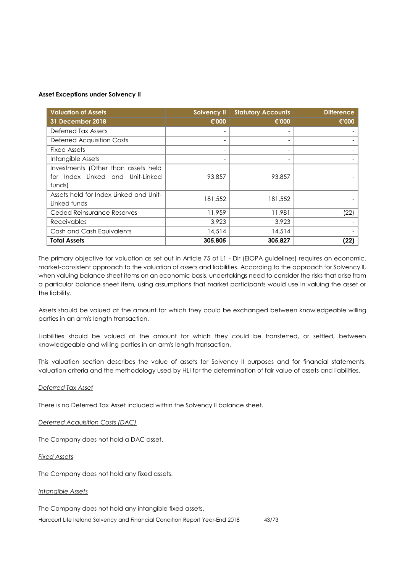#### **Asset Exceptions under Solvency II**

| <b>Valuation of Assets</b>             | <b>Solvency II</b> | <b>Statutory Accounts</b> | <b>Difference</b> |
|----------------------------------------|--------------------|---------------------------|-------------------|
| <b>31 December 2018</b>                | €'000              | €'000                     | €'000             |
| Deferred Tax Assets                    |                    |                           |                   |
| <b>Deferred Acquisition Costs</b>      |                    |                           |                   |
| <b>Fixed Assets</b>                    |                    |                           |                   |
| Intangible Assets                      |                    |                           |                   |
| Investments (Other than assets held    |                    |                           |                   |
| for Index Linked and Unit-Linked       | 93,857             | 93,857                    |                   |
| funds)                                 |                    |                           |                   |
| Assets held for Index Linked and Unit- | 181,552            | 181,552                   |                   |
| Linked funds                           |                    |                           |                   |
| Ceded Reinsurance Reserves             | 11,959             | 11,981                    | (22)              |
| <b>Receivables</b>                     | 3,923              | 3,923                     |                   |
| Cash and Cash Equivalents              | 14,514             | 14,514                    |                   |
| <b>Total Assets</b>                    | 305,805            | 305,827                   | (22)              |

The primary objective for valuation as set out in Article 75 of L1 - Dir (EIOPA guidelines) requires an economic, market-consistent approach to the valuation of assets and liabilities. According to the approach for Solvency II, when valuing balance sheet items on an economic basis, undertakings need to consider the risks that arise from a particular balance sheet item, using assumptions that market participants would use in valuing the asset or the liability.

Assets should be valued at the amount for which they could be exchanged between knowledgeable willing parties in an arm's length transaction.

Liabilities should be valued at the amount for which they could be transferred, or settled, between knowledgeable and willing parties in an arm's length transaction.

This valuation section describes the value of assets for Solvency II purposes and for financial statements, valuation criteria and the methodology used by HLI for the determination of fair value of assets and liabilities.

### *Deferred Tax Asset*

There is no Deferred Tax Asset included within the Solvency II balance sheet.

#### *Deferred Acquisition Costs (DAC)*

The Company does not hold a DAC asset.

#### *Fixed Assets*

The Company does not hold any fixed assets.

#### *Intangible Assets*

The Company does not hold any intangible fixed assets.

Harcourt Life Ireland Solvency and Financial Condition Report Year-End 2018 43/73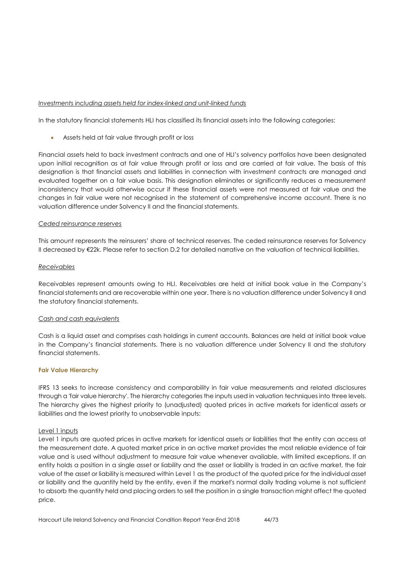## *Investments including assets held for index-linked and unit-linked funds*

In the statutory financial statements HLI has classified its financial assets into the following categories:

Assets held at fair value through profit or loss

Financial assets held to back investment contracts and one of HLI's solvency portfolios have been designated upon initial recognition as at fair value through profit or loss and are carried at fair value. The basis of this designation is that financial assets and liabilities in connection with investment contracts are managed and evaluated together on a fair value basis. This designation eliminates or significantly reduces a measurement inconsistency that would otherwise occur if these financial assets were not measured at fair value and the changes in fair value were not recognised in the statement of comprehensive income account. There is no valuation difference under Solvency II and the financial statements.

### *Ceded reinsurance reserves*

This amount represents the reinsurers' share of technical reserves. The ceded reinsurance reserves for Solvency II decreased by €22k. Please refer to section D.2 for detailed narrative on the valuation of technical liabilities.

### *Receivables*

Receivables represent amounts owing to HLI. Receivables are held at initial book value in the Company's financial statements and are recoverable within one year. There is no valuation difference under Solvency II and the statutory financial statements.

### *Cash and cash equivalents*

Cash is a liquid asset and comprises cash holdings in current accounts. Balances are held at initial book value in the Company's financial statements. There is no valuation difference under Solvency II and the statutory financial statements.

### **Fair Value Hierarchy**

IFRS 13 seeks to increase consistency and comparability in fair value measurements and related disclosures through a 'fair value hierarchy'. The hierarchy categories the inputs used in valuation [techniques](http://www.iasplus.com/en/standards/ifrs/ifrs13#measurement_techniques) into three levels. The hierarchy gives the highest priority to (unadjusted) quoted prices in active markets for identical assets or liabilities and the lowest priority to unobservable inputs:

### Level 1 inputs

Level 1 inputs are quoted prices in active markets for identical assets or liabilities that the entity can access at the measurement date. A quoted market price in an active market provides the most reliable evidence of fair value and is used without adjustment to measure fair value whenever available, with limited exceptions. If an entity holds a position in a single asset or liability and the asset or liability is traded in an active market, the fair value of the asset or liability is measured within Level 1 as the product of the quoted price for the individual asset or liability and the quantity held by the entity, even if the market's normal daily trading volume is not sufficient to absorb the quantity held and placing orders to sell the position in a single transaction might affect the quoted price.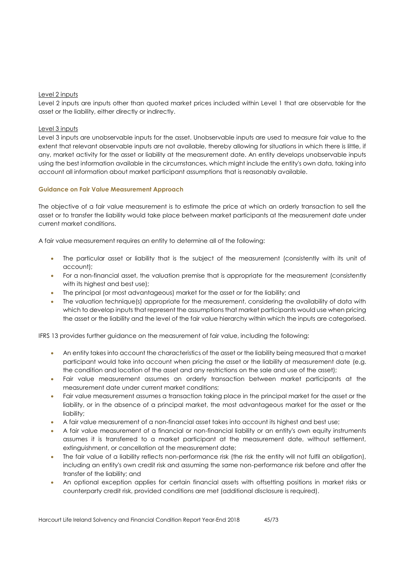### Level 2 inputs

Level 2 inputs are inputs other than quoted market prices included within Level 1 that are observable for the asset or the liability, either directly or indirectly.

## Level 3 inputs

Level 3 inputs are unobservable inputs for the asset. Unobservable inputs are used to measure fair value to the extent that relevant observable inputs are not available, thereby allowing for situations in which there is little, if any, market activity for the asset or liability at the measurement date. An entity develops unobservable inputs using the best information available in the circumstances, which might include the entity's own data, taking into account all information about market participant assumptions that is reasonably available.

### **Guidance on Fair Value Measurement Approach**

The objective of a fair value measurement is to estimate the price at which an orderly transaction to sell the asset or to transfer the liability would take place between market participants at the measurement date under current market conditions.

A fair value measurement requires an entity to determine all of the following:

- The particular asset or liability that is the subject of the measurement (consistently with its unit of account);
- For a non-financial asset, the valuation premise that is appropriate for the measurement (consistently with its highest and best use);
- The principal (or most advantageous) market for the asset or for the liability; and
- The valuation technique(s) appropriate for the measurement, considering the availability of data with which to develop inputs that represent the assumptions that market participants would use when pricing the asset or the liability and the level of the fair value hierarchy within which the inputs are categorised.

IFRS 13 provides further guidance on the measurement of fair value, including the following:

- An entity takes into account the characteristics of the asset or the liability being measured that a market participant would take into account when pricing the asset or the liability at measurement date (e.g. the condition and location of the asset and any restrictions on the sale and use of the asset);
- Fair value measurement assumes an orderly transaction between market participants at the measurement date under current market conditions;
- Fair value measurement assumes a transaction taking place in the principal market for the asset or the liability, or in the absence of a principal market, the most advantageous market for the asset or the liability;
- A fair value measurement of a non-financial asset takes into account its highest and best use;
- A fair value measurement of a financial or non-financial liability or an entity's own equity instruments assumes it is transferred to a market participant at the measurement date, without settlement, extinguishment, or cancellation at the measurement date;
- The fair value of a liability reflects non-performance risk (the risk the entity will not fulfil an obligation), including an entity's own credit risk and assuming the same non-performance risk before and after the transfer of the liability; and
- An optional exception applies for certain financial assets with offsetting positions in market risks or counterparty credit risk, provided conditions are met (additional disclosure is required).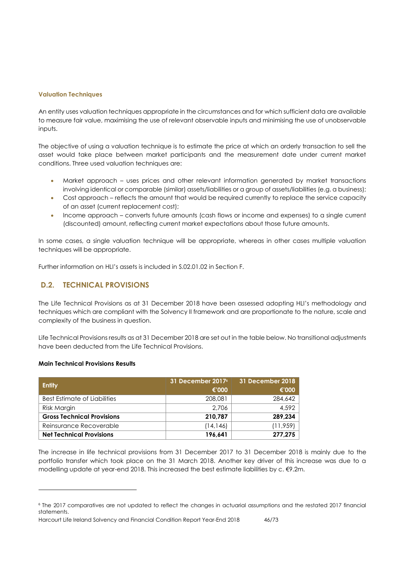#### **Valuation Techniques**

An entity uses valuation techniques appropriate in the circumstances and for which sufficient data are available to measure fair value, maximising the use of relevant observable inputs and minimising the use of unobservable inputs.

The objective of using a valuation technique is to estimate the price at which an orderly transaction to sell the asset would take place between market participants and the measurement date under current market conditions. Three used valuation techniques are:

- Market approach uses prices and other relevant information generated by market transactions involving identical or comparable (similar) assets/liabilities or a group of assets/liabilities (e.g. a business);
- Cost approach reflects the amount that would be required currently to replace the service capacity of an asset (current replacement cost);
- Income approach converts future amounts (cash flows or income and expenses) to a single current (discounted) amount, reflecting current market expectations about those future amounts.

In some cases, a single valuation technique will be appropriate, whereas in other cases multiple valuation techniques will be appropriate.

Further information on HLI's assets is included in S.02.01.02 in Section F.

## **D.2. TECHNICAL PROVISIONS**

The Life Technical Provisions as at 31 December 2018 have been assessed adopting HLI's methodology and techniques which are compliant with the Solvency II framework and are proportionate to the nature, scale and complexity of the business in question.

Life Technical Provisions results as at 31 December 2018 are set out in the table below. No transitional adjustments have been deducted from the Life Technical Provisions.

#### **Main Technical Provisions Results**

 $\overline{a}$ 

| <b>Entity</b>                     | 31 December 2017 <sup>6</sup><br>€'000 | 31 December 2018<br>€'000 |
|-----------------------------------|----------------------------------------|---------------------------|
| Best Estimate of Liabilities      | 208,081                                | 284,642                   |
| Risk Margin                       | 2.706                                  | 4,592                     |
| <b>Gross Technical Provisions</b> | 210.787                                | 289.234                   |
| Reinsurance Recoverable           | (14, 146)                              | (11, 959)                 |
| <b>Net Technical Provisions</b>   | 196.641                                | 277,275                   |

The increase in life technical provisions from 31 December 2017 to 31 December 2018 is mainly due to the portfolio transfer which took place on the 31 March 2018. Another key driver of this increase was due to a modelling update at year-end 2018. This increased the best estimate liabilities by c. €9.2m.

<sup>6</sup> The 2017 comparatives are not updated to reflect the changes in actuarial assumptions and the restated 2017 financial statements.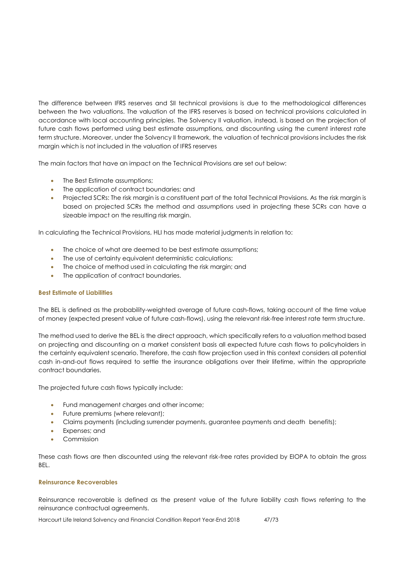The difference between IFRS reserves and SII technical provisions is due to the methodological differences between the two valuations. The valuation of the IFRS reserves is based on technical provisions calculated in accordance with local accounting principles. The Solvency II valuation, instead, is based on the projection of future cash flows performed using best estimate assumptions, and discounting using the current interest rate term structure. Moreover, under the Solvency II framework, the valuation of technical provisions includes the risk margin which is not included in the valuation of IFRS reserves

The main factors that have an impact on the Technical Provisions are set out below:

- The Best Estimate assumptions;
- The application of contract boundaries; and
- Projected SCRs: The risk margin is a constituent part of the total Technical Provisions. As the risk margin is based on projected SCRs the method and assumptions used in projecting these SCRs can have a sizeable impact on the resulting risk margin.

In calculating the Technical Provisions, HLI has made material judgments in relation to:

- The choice of what are deemed to be best estimate assumptions;
- The use of certainty equivalent deterministic calculations:
- The choice of method used in calculating the risk margin; and
- The application of contract boundaries.

### **Best Estimate of Liabilities**

The BEL is defined as the probability-weighted average of future cash-flows, taking account of the time value of money (expected present value of future cash-flows), using the relevant risk-free interest rate term structure.

The method used to derive the BEL is the direct approach, which specifically refers to a valuation method based on projecting and discounting on a market consistent basis all expected future cash flows to policyholders in the certainty equivalent scenario. Therefore, the cash flow projection used in this context considers all potential cash in-and-out flows required to settle the insurance obligations over their lifetime, within the appropriate contract boundaries.

The projected future cash flows typically include:

- Fund management charges and other income;
- Future premiums (where relevant);
- Claims payments (including surrender payments, guarantee payments and death benefits);
- Expenses; and
- Commission

These cash flows are then discounted using the relevant risk-free rates provided by EIOPA to obtain the gross **BEL.** 

#### **Reinsurance Recoverables**

Reinsurance recoverable is defined as the present value of the future liability cash flows referring to the reinsurance contractual agreements.

Harcourt Life Ireland Solvency and Financial Condition Report Year-End 2018 47/73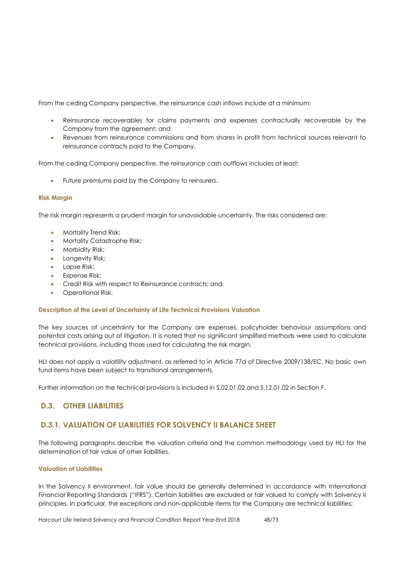From the ceding Company perspective, the reinsurance cash inflows include at a minimum:

- Reinsurance recoverables for claims payments and expenses contractually recoverable by the Company from the agreement; and
- Revenues from reinsurance commissions and from shares in profit from technical sources relevant to reinsurance contracts paid to the Company.

From the ceding Company perspective, the reinsurance cash outflows includes at least:

Future premiums paid by the Company to reinsurers.

### **Risk Margin**

The risk margin represents a prudent margin for unavoidable uncertainty. The risks considered are:

- Mortality Trend Risk;
- Mortality Catastrophe Risk;
- Morbidity Risk;
- Longevity Risk;
- Lapse Risk;
- **Expense Risk;**
- Credit Risk with respect to Reinsurance contracts; and
- Operational Risk.

### **Description of the Level of Uncertainty of Life Technical Provisions Valuation**

The key sources of uncertainty for the Company are expenses, policyholder behaviour assumptions and potential costs arising out of litigation. It is noted that no significant simplified methods were used to calculate technical provisions, including those used for calculating the risk margin.

HLI does not apply a volatility adjustment, as referred to in Article 77d of Directive 2009/138/EC. No basic own fund items have been subject to transitional arrangements.

Further information on the technical provisions is included in S.02.01.02 and S.12.01.02 in Section F.

## **D.3. OTHER LIABILITIES**

## **D.3.1. VALUATION OF LIABILITIES FOR SOLVENCY II BALANCE SHEET**

The following paragraphs describe the valuation criteria and the common methodology used by HLI for the determination of fair value of other liabilities.

### **Valuation of Liabilities**

In the Solvency II environment, fair value should be generally determined in accordance with International Financial Reporting Standards ("IFRS"). Certain liabilities are excluded or fair valued to comply with Solvency II principles. In particular, the exceptions and non-applicable items for the Company are technical liabilities;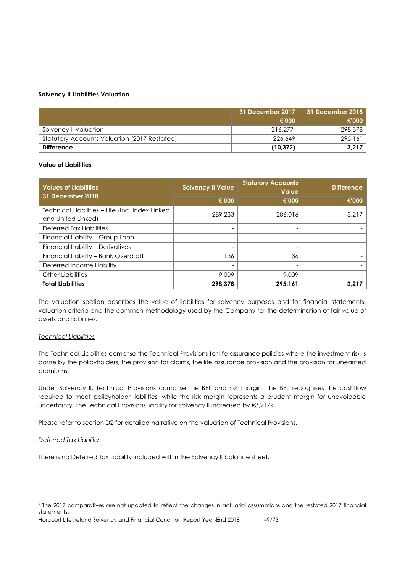### **Solvency II Liabilities Valuation**

|                                              | 31 December 2017<br>€'000 | 31 December 2018<br>€'000 |
|----------------------------------------------|---------------------------|---------------------------|
| Solvency II Valuation                        | 216.277                   | 298,378                   |
| Statutory Accounts Valuation (2017 Restated) | 226.649                   | 295,161                   |
| Difference                                   | (10, 372)                 | 3.217                     |

### **Value of Liabilities**

| <b>Values of Liabilities</b><br>31 December 2018                      | <b>Solvency II Value</b> | <b>Statutory Accounts</b><br><b>Value</b> | <b>Difference</b> |
|-----------------------------------------------------------------------|--------------------------|-------------------------------------------|-------------------|
|                                                                       | €'000                    | €'000                                     | €'000             |
| Technical Liabilities - Life (Inc. Index Linked<br>and United Linked) | 289,233                  | 286,016                                   | 3,217             |
| Deferred Tax Liabilities                                              |                          |                                           |                   |
| Financial Liability - Group Loan                                      | $\overline{\phantom{a}}$ |                                           |                   |
| Financial Liability - Derivatives                                     | $\overline{\phantom{0}}$ |                                           |                   |
| Financial Liability - Bank Overdraft                                  | 136                      | 136                                       |                   |
| Deferred Income Liability                                             |                          |                                           |                   |
| <b>Other Liabilities</b>                                              | 9,009                    | 9,009                                     |                   |
| <b>Total Liabilities</b>                                              | 298.378                  | 295,161                                   | 3.217             |

The valuation section describes the value of liabilities for solvency purposes and for financial statements, valuation criteria and the common methodology used by the Company for the determination of fair value of assets and liabilities.

### *Technical Liabilities*

The Technical Liabilities comprise the Technical Provisions for life assurance policies where the investment risk is borne by the policyholders, the provision for claims, the life assurance provision and the provision for unearned premiums.

Under Solvency II, Technical Provisions comprise the BEL and risk margin. The BEL recognises the cashflow required to meet policyholder liabilities, while the risk margin represents a prudent margin for unavoidable uncertainty. The Technical Provisions liability for Solvency II increased by €3,217k.

Please refer to section D2 for detailed narrative on the valuation of Technical Provisions.

### *Deferred Tax Liability*

 $\overline{a}$ 

There is no Deferred Tax Liability included within the Solvency II balance sheet.

Harcourt Life Ireland Solvency and Financial Condition Report Year-End 2018 49/73

<sup>7</sup> The 2017 comparatives are not updated to reflect the changes in actuarial assumptions and the restated 2017 financial statements.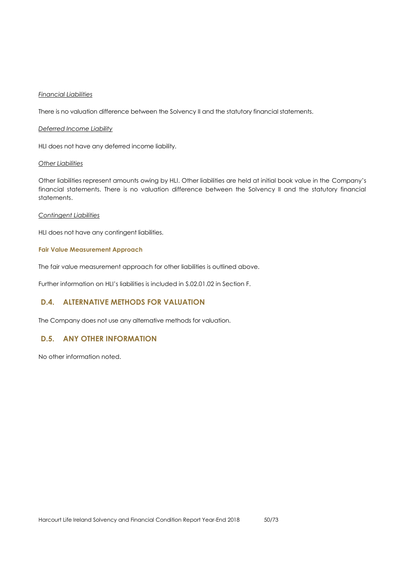### *Financial Liabilities*

There is no valuation difference between the Solvency II and the statutory financial statements.

### *Deferred Income Liability*

HLI does not have any deferred income liability.

#### *Other Liabilities*

Other liabilities represent amounts owing by HLI. Other liabilities are held at initial book value in the Company's financial statements. There is no valuation difference between the Solvency II and the statutory financial statements.

#### *Contingent Liabilities*

HLI does not have any contingent liabilities.

### **Fair Value Measurement Approach**

The fair value measurement approach for other liabilities is outlined above.

Further information on HLI's liabilities is included in S.02.01.02 in Section F.

## **D.4. ALTERNATIVE METHODS FOR VALUATION**

The Company does not use any alternative methods for valuation.

## **D.5. ANY OTHER INFORMATION**

No other information noted.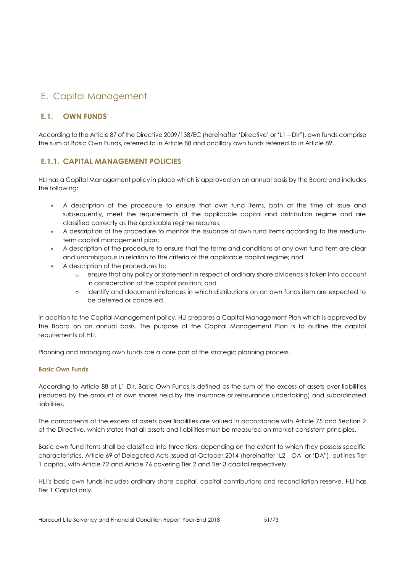# E. Capital Management

## **E.1. OWN FUNDS**

According to the Article 87 of the Directive 2009/138/EC (hereinafter 'Directive' or 'L1 – Dir"), own funds comprise the sum of Basic Own Funds, referred to in Article 88 and ancillary own funds referred to in Article 89.

## **E.1.1. CAPITAL MANAGEMENT POLICIES**

HLI has a Capital Management policy in place which is approved on an annual basis by the Board and includes the following:

- A description of the procedure to ensure that own fund items, both at the time of issue and subsequently, meet the requirements of the applicable capital and distribution regime and are classified correctly as the applicable regime requires;
- A description of the procedure to monitor the issuance of own fund items according to the mediumterm capital management plan;
- A description of the procedure to ensure that the terms and conditions of any own fund item are clear and unambiguous in relation to the criteria of the applicable capital regime; and
- A description of the procedures to:
	- o ensure that any policy or statement in respect of ordinary share dividends is taken into account in consideration of the capital position; and
	- o identify and document instances in which distributions on an own funds item are expected to be deferred or cancelled.

In addition to the Capital Management policy, HLI prepares a Capital Management Plan which is approved by the Board on an annual basis. The purpose of the Capital Management Plan is to outline the capital requirements of HLI.

Planning and managing own funds are a core part of the strategic planning process.

## **Basic Own Funds**

According to Article 88 of L1-Dir, Basic Own Funds is defined as the sum of the excess of assets over liabilities (reduced by the amount of own shares held by the insurance or reinsurance undertaking) and subordinated liabilities.

The components of the excess of assets over liabilities are valued in accordance with Article 75 and Section 2 of the Directive, which states that all assets and liabilities must be measured on market consistent principles.

Basic own fund items shall be classified into three tiers, depending on the extent to which they possess specific characteristics. Article 69 of Delegated Acts issued at October 2014 (hereinafter 'L2 – DA' or 'DA"), outlines Tier 1 capital, with Article 72 and Article 76 covering Tier 2 and Tier 3 capital respectively.

HLI's basic own funds includes ordinary share capital, capital contributions and reconciliation reserve. HLI has Tier 1 Capital only.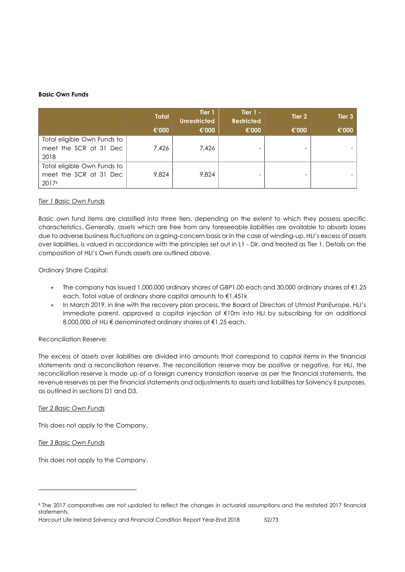### **Basic Own Funds**

|                                                                | <b>Total</b> | Tier 1<br><b>Unrestricted</b> | Tier $1 -$<br><b>Restricted</b> | Tier 2 | Tier 3 |
|----------------------------------------------------------------|--------------|-------------------------------|---------------------------------|--------|--------|
|                                                                | €'000        | €'000                         | €'000                           | €'000  | €'000  |
| Total eligible Own Funds to<br>meet the SCR at 31 Dec<br>2018  | 7,426        | 7,426                         |                                 |        |        |
| Total eligible Own Funds to<br>meet the SCR at 31 Dec<br>20178 | 9.824        | 9.824                         |                                 |        |        |

### *Tier 1 Basic Own Funds*

Basic own fund items are classified into three tiers, depending on the extent to which they possess specific characteristics. Generally, assets which are free from any foreseeable liabilities are available to absorb losses due to adverse business fluctuations on a going-concern basis or in the case of winding-up. HLI's excess of assets over liabilities, is valued in accordance with the principles set out in L1 - Dir, and treated as Tier 1. Details on the composition of HLI's Own Funds assets are outlined above.

## Ordinary Share Capital:

- The company has issued 1,000,000 ordinary shares of GBP1.00 each and 30,000 ordinary shares of €1.25 each. Total value of ordinary share capital amounts to €1,451k
- In March 2019, in line with the recovery plan process, the Board of Directors of Utmost PanEurope, HLI's immediate parent, approved a capital injection of €10m into HLI by subscribing for an additional 8,000,000 of HLI € denominated ordinary shares at €1.25 each.

### Reconciliation Reserve:

The excess of assets over liabilities are divided into amounts that correspond to capital items in the financial statements and a reconciliation reserve. The reconciliation reserve may be positive or negative. For HLI, the reconciliation reserve is made up of a foreign currency translation reserve as per the financial statements, the revenue reserves as per the financial statements and adjustments to assets and liabilities for Solvency II purposes, as outlined in sections D1 and D3.

### *Tier 2 Basic Own Funds*

This does not apply to the Company.

*Tier 3 Basic Own Funds*

 $\overline{a}$ 

This does not apply to the Company.

<sup>&</sup>lt;sup>8</sup> The 2017 comparatives are not updated to reflect the changes in actuarial assumptions and the restated 2017 financial statements.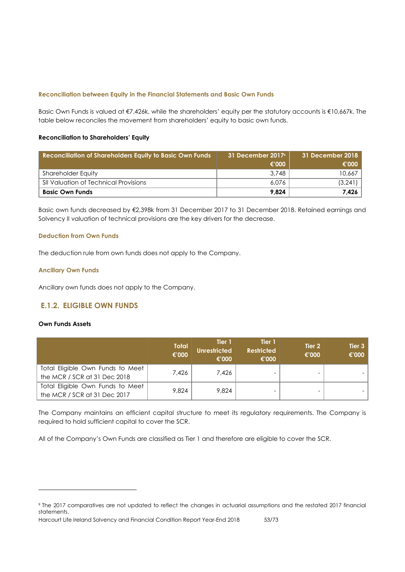### **Reconciliation between Equity in the Financial Statements and Basic Own Funds**

Basic Own Funds is valued at €7,426k, while the shareholders' equity per the statutory accounts is €10,667k. The table below reconciles the movement from shareholders' equity to basic own funds.

### **Reconciliation to Shareholders' Equity**

| <b>Reconciliation of Shareholders Equity to Basic Own Funds</b> | 31 December 2017 <sup>9</sup><br>€'000 | 31 December 2018  <br>€'000 |
|-----------------------------------------------------------------|----------------------------------------|-----------------------------|
| Shareholder Equity                                              | 3,748                                  | 10,667                      |
| SII Valuation of Technical Provisions                           | 6.076                                  | (3,241)                     |
| <b>Basic Own Funds</b>                                          | 9.824                                  | 7,426                       |

Basic own funds decreased by €2,398k from 31 December 2017 to 31 December 2018. Retained earnings and Solvency II valuation of technical provisions are the key drivers for the decrease.

## **Deduction from Own Funds**

The deduction rule from own funds does not apply to the Company.

## **Ancillary Own Funds**

Ancillary own funds does not apply to the Company.

## **E.1.2. ELIGIBLE OWN FUNDS**

## **Own Funds Assets**

 $\overline{a}$ 

|                                                                  | <b>Total</b><br>€'000 | Tier 1<br>Unrestricted<br>€'000 | Tier 1<br><b>Restricted</b><br>€'000 | Tier 2<br>€'000 | Tier <sub>3</sub><br>€'000 |
|------------------------------------------------------------------|-----------------------|---------------------------------|--------------------------------------|-----------------|----------------------------|
| Total Eligible Own Funds to Meet<br>the MCR / SCR at 31 Dec 2018 | 7.426                 | 7.426                           |                                      |                 |                            |
| Total Eligible Own Funds to Meet<br>the MCR / SCR at 31 Dec 2017 | 9.824                 | 9.824                           |                                      |                 |                            |

The Company maintains an efficient capital structure to meet its regulatory requirements. The Company is required to hold sufficient capital to cover the SCR.

All of the Company's Own Funds are classified as Tier 1 and therefore are eligible to cover the SCR.

Harcourt Life Ireland Solvency and Financial Condition Report Year-End 2018 53/73

<sup>9</sup> The 2017 comparatives are not updated to reflect the changes in actuarial assumptions and the restated 2017 financial statements.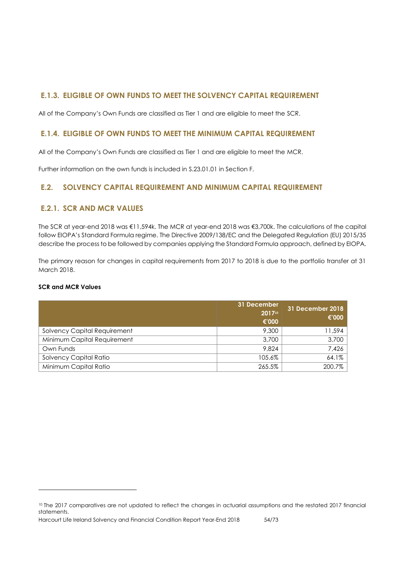## **E.1.3. ELIGIBLE OF OWN FUNDS TO MEET THE SOLVENCY CAPITAL REQUIREMENT**

All of the Company's Own Funds are classified as Tier 1 and are eligible to meet the SCR.

## **E.1.4. ELIGIBLE OF OWN FUNDS TO MEET THE MINIMUM CAPITAL REQUIREMENT**

All of the Company's Own Funds are classified as Tier 1 and are eligible to meet the MCR.

Further information on the own funds is included in S.23.01.01 in Section F.

## **E.2. SOLVENCY CAPITAL REQUIREMENT AND MINIMUM CAPITAL REQUIREMENT**

## **E.2.1. SCR AND MCR VALUES**

The SCR at year-end 2018 was €11,594k. The MCR at year-end 2018 was €3,700k. The calculations of the capital follow EIOPA's Standard Formula regime. The Directive 2009/138/EC and the Delegated Regulation (EU) 2015/35 describe the process to be followed by companies applying the Standard Formula approach, defined by EIOPA.

The primary reason for changes in capital requirements from 2017 to 2018 is due to the portfolio transfer at 31 March 2018.

## **SCR and MCR Values**

 $\overline{a}$ 

|                                     | 31 December<br>201710<br>€'000 | 31 December 2018<br>€'000 |
|-------------------------------------|--------------------------------|---------------------------|
| <b>Solvency Capital Requirement</b> | 9,300                          | 11,594                    |
| Minimum Capital Requirement         | 3,700                          | 3,700                     |
| Own Funds                           | 9.824                          | 7,426                     |
| Solvency Capital Ratio              | 105.6%                         | 64.1%                     |
| Minimum Capital Ratio               | 265.5%                         | 200.7%                    |

<sup>10</sup> The 2017 comparatives are not updated to reflect the changes in actuarial assumptions and the restated 2017 financial statements.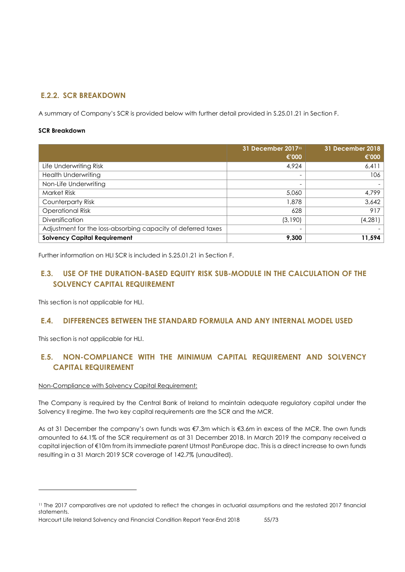## **E.2.2. SCR BREAKDOWN**

A summary of Company's SCR is provided below with further detail provided in S.25.01.21 in Section F.

## **SCR Breakdown**

|                                                              | 31 December 2017 <sup>11</sup> | <b>31 December 2018</b> |
|--------------------------------------------------------------|--------------------------------|-------------------------|
|                                                              | €'000                          | €'000                   |
| Life Underwriting Risk                                       | 4.924                          | 6,411                   |
| <b>Health Underwriting</b>                                   |                                | 106                     |
| Non-Life Underwriting                                        |                                |                         |
| <b>Market Risk</b>                                           | 5,060                          | 4.799                   |
| Counterparty Risk                                            | 1,878                          | 3,642                   |
| <b>Operational Risk</b>                                      | 628                            | 917                     |
| <b>Diversification</b>                                       | (3,190)                        | (4,281)                 |
| Adjustment for the loss-absorbing capacity of deferred taxes |                                |                         |
| <b>Solvency Capital Requirement</b>                          | 9,300                          | 11,594                  |

Further information on HLI SCR is included in S.25.01.21 in Section F.

## **E.3. USE OF THE DURATION-BASED EQUITY RISK SUB-MODULE IN THE CALCULATION OF THE SOLVENCY CAPITAL REQUIREMENT**

This section is not applicable for HLI.

## **E.4. DIFFERENCES BETWEEN THE STANDARD FORMULA AND ANY INTERNAL MODEL USED**

This section is not applicable for HLI.

 $\overline{a}$ 

## **E.5. NON-COMPLIANCE WITH THE MINIMUM CAPITAL REQUIREMENT AND SOLVENCY CAPITAL REQUIREMENT**

## Non-Compliance with Solvency Capital Requirement:

The Company is required by the Central Bank of Ireland to maintain adequate regulatory capital under the Solvency II regime. The two key capital requirements are the SCR and the MCR.

As at 31 December the company's own funds was €7.3m which is €3.6m in excess of the MCR. The own funds amounted to 64.1% of the SCR requirement as at 31 December 2018. In March 2019 the company received a capital injection of €10m from its immediate parent Utmost PanEurope dac. This is a direct increase to own funds resulting in a 31 March 2019 SCR coverage of 142.7% (unaudited).

<sup>11</sup> The 2017 comparatives are not updated to reflect the changes in actuarial assumptions and the restated 2017 financial statements.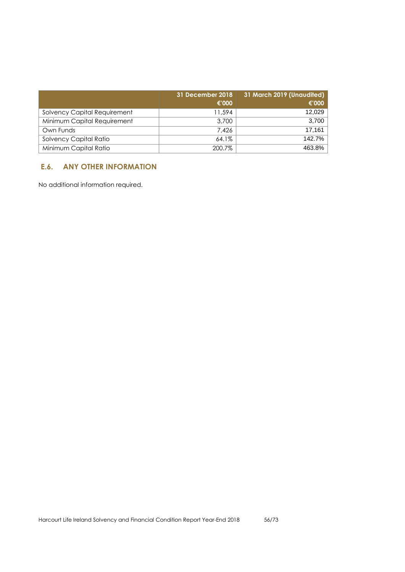|                              | 31 December 2018<br>€'000 | 31 March 2019 (Unaudited)<br>€'000 |
|------------------------------|---------------------------|------------------------------------|
| Solvency Capital Requirement | 11.594                    | 12,029                             |
| Minimum Capital Requirement  | 3,700                     | 3.700                              |
| Own Funds                    | 7.426                     | 17.161                             |
| Solvency Capital Ratio       | 64.1%                     | 142.7%                             |
| Minimum Capital Ratio        | 200.7%                    | 463.8%                             |

## **E.6. ANY OTHER INFORMATION**

No additional information required.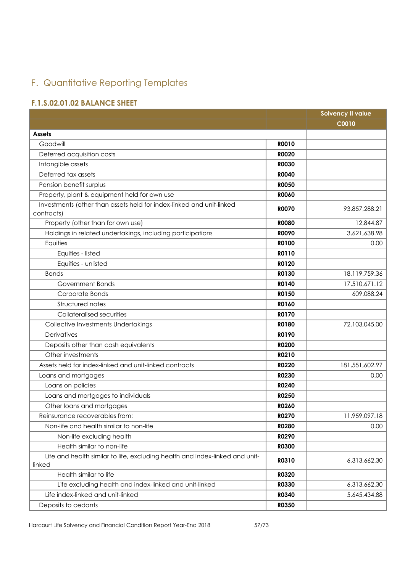# F. Quantitative Reporting Templates

## **F.1.S.02.01.02 BALANCE SHEET**

|                                                                                    |              | <b>Solvency II value</b> |
|------------------------------------------------------------------------------------|--------------|--------------------------|
|                                                                                    |              | <b>C0010</b>             |
| <b>Assets</b>                                                                      |              |                          |
| Goodwill                                                                           | <b>R0010</b> |                          |
| Deferred acquisition costs                                                         | <b>R0020</b> |                          |
| Intangible assets                                                                  | <b>R0030</b> |                          |
| Deferred tax assets                                                                | <b>R0040</b> |                          |
| Pension benefit surplus                                                            | <b>RO050</b> |                          |
| Property, plant & equipment held for own use                                       | <b>RO060</b> |                          |
| Investments (other than assets held for index-linked and unit-linked<br>contracts) | <b>R0070</b> | 93,857,288.21            |
| Property (other than for own use)                                                  | <b>R0080</b> | 12,844.87                |
| Holdings in related undertakings, including participations                         | <b>ROO90</b> | 3,621,638.98             |
| Equities                                                                           | R0100        | 0.00                     |
| Equities - listed                                                                  | R0110        |                          |
| Equities - unlisted                                                                | R0120        |                          |
| <b>Bonds</b>                                                                       | R0130        | 18,119,759.36            |
| Government Bonds                                                                   | R0140        | 17,510,671.12            |
| Corporate Bonds                                                                    | R0150        | 609,088.24               |
| Structured notes                                                                   | R0160        |                          |
| Collateralised securities                                                          | R0170        |                          |
| Collective Investments Undertakings                                                | R0180        | 72,103,045.00            |
| Derivatives                                                                        | R0190        |                          |
| Deposits other than cash equivalents                                               | R0200        |                          |
| Other investments                                                                  | R0210        |                          |
| Assets held for index-linked and unit-linked contracts                             | R0220        | 181,551,602.97           |
| Loans and mortgages                                                                | R0230        | 0.00                     |
| Loans on policies                                                                  | R0240        |                          |
| Loans and mortgages to individuals                                                 | R0250        |                          |
| Other loans and mortgages                                                          | R0260        |                          |
| Reinsurance recoverables from:                                                     | <b>RO270</b> | 11,959,097.18            |
| Non-life and health similar to non-life                                            | R0280        | 0.00                     |
| Non-life excluding health                                                          | R0290        |                          |
| Health similar to non-life                                                         | <b>R0300</b> |                          |
| Life and health similar to life, excluding health and index-linked and unit-       | R0310        | 6,313,662.30             |
| linked                                                                             |              |                          |
| Health similar to life                                                             | R0320        |                          |
| Life excluding health and index-linked and unit-linked                             | R0330        | 6,313,662.30             |
| Life index-linked and unit-linked                                                  | R0340        | 5,645,434.88             |
| Deposits to cedants                                                                | R0350        |                          |

Harcourt Life Solvency and Financial Condition Report Year-End 2018 57/73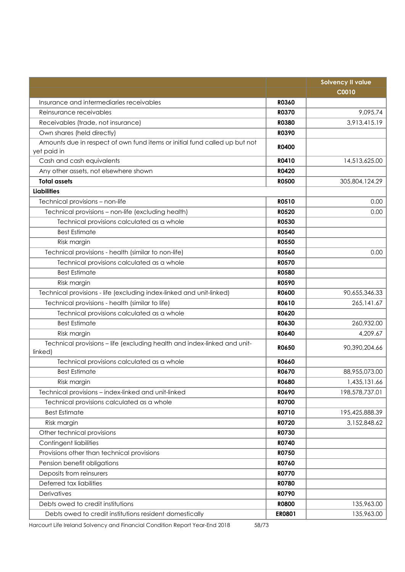|                                                                                           |              | <b>Solvency II value</b> |
|-------------------------------------------------------------------------------------------|--------------|--------------------------|
|                                                                                           |              | <b>C0010</b>             |
| Insurance and intermediaries receivables                                                  | R0360        |                          |
| Reinsurance receivables                                                                   | <b>R0370</b> | 9,095.74                 |
| Receivables (trade, not insurance)                                                        | <b>R0380</b> | 3,913,415.19             |
| Own shares (held directly)                                                                | <b>R0390</b> |                          |
| Amounts due in respect of own fund items or initial fund called up but not<br>yet paid in | <b>R0400</b> |                          |
| Cash and cash equivalents                                                                 | R0410        | 14,513,625.00            |
| Any other assets, not elsewhere shown                                                     | <b>R0420</b> |                          |
| <b>Total assets</b>                                                                       | <b>R0500</b> | 305,804,124.29           |
| <b>Liabilities</b>                                                                        |              |                          |
| Technical provisions - non-life                                                           | <b>R0510</b> | 0.00                     |
| Technical provisions - non-life (excluding health)                                        | <b>R0520</b> | 0.00                     |
| Technical provisions calculated as a whole                                                | <b>R0530</b> |                          |
| <b>Best Estimate</b>                                                                      | <b>R0540</b> |                          |
| Risk margin                                                                               | <b>R0550</b> |                          |
| Technical provisions - health (similar to non-life)                                       | <b>R0560</b> | 0.00                     |
| Technical provisions calculated as a whole                                                | <b>R0570</b> |                          |
| <b>Best Estimate</b>                                                                      | <b>R0580</b> |                          |
| Risk margin                                                                               | <b>R0590</b> |                          |
| Technical provisions - life (excluding index-linked and unit-linked)                      | <b>R0600</b> | 90,655,346.33            |
| Technical provisions - health (similar to life)                                           | R0610        | 265, 141.67              |
| Technical provisions calculated as a whole                                                | R0620        |                          |
| <b>Best Estimate</b>                                                                      | R0630        | 260,932.00               |
| Risk margin                                                                               | R0640        | 4,209.67                 |
| Technical provisions - life (excluding health and index-linked and unit-<br>linked)       | <b>RO650</b> | 90,390,204.66            |
| Technical provisions calculated as a whole                                                | <b>RO660</b> |                          |
| <b>Best Estimate</b>                                                                      | R0670        | 88,955,073.00            |
| Risk margin                                                                               | <b>R0680</b> | 1,435,131.66             |
| Technical provisions - index-linked and unit-linked                                       | R0690        | 198,578,737.01           |
| Technical provisions calculated as a whole                                                | R0700        |                          |
| <b>Best Estimate</b>                                                                      | R0710        | 195,425,888.39           |
| Risk margin                                                                               | R0720        | 3,152,848.62             |
| Other technical provisions                                                                | R0730        |                          |
| Contingent liabilities                                                                    | R0740        |                          |
| Provisions other than technical provisions                                                | R0750        |                          |
| Pension benefit obligations                                                               | R0760        |                          |
| Deposits from reinsurers                                                                  | <b>R0770</b> |                          |
| Deferred tax liabilities                                                                  | R0780        |                          |
| Derivatives                                                                               | R0790        |                          |
| Debts owed to credit institutions                                                         | <b>R0800</b> | 135,963.00               |
| Debts owed to credit institutions resident domestically                                   | ER0801       | 135,963.00               |

Harcourt Life Ireland Solvency and Financial Condition Report Year-End 2018 58/73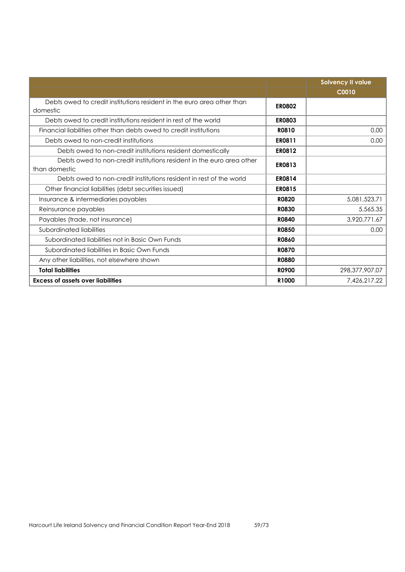|                                                                        |               | <b>Solvency II value</b> |
|------------------------------------------------------------------------|---------------|--------------------------|
|                                                                        |               | C0010                    |
| Debts owed to credit institutions resident in the euro area other than | <b>ER0802</b> |                          |
| domestic                                                               |               |                          |
| Debts owed to credit institutions resident in rest of the world        | <b>ER0803</b> |                          |
| Financial liabilities other than debts owed to credit institutions     | R0810         | 0.00                     |
| Debts owed to non-credit institutions                                  | ER0811        | 0.00                     |
| Debts owed to non-credit institutions resident domestically            | <b>ER0812</b> |                          |
| Debts owed to non-credit institutions resident in the euro area other  | <b>ER0813</b> |                          |
| than domestic                                                          |               |                          |
| Debts owed to non-credit institutions resident in rest of the world    | <b>ER0814</b> |                          |
| Other financial liabilities (debt securities issued)                   | <b>ER0815</b> |                          |
| Insurance & intermediaries payables                                    | <b>R0820</b>  | 5,081,523.71             |
| Reinsurance payables                                                   | <b>R0830</b>  | 5,565.35                 |
| Payables (trade, not insurance)                                        | <b>R0840</b>  | 3,920,771.67             |
| Subordinated liabilities                                               | <b>R0850</b>  | 0.00                     |
| Subordinated liabilities not in Basic Own Funds                        | <b>RO860</b>  |                          |
| Subordinated liabilities in Basic Own Funds                            | <b>R0870</b>  |                          |
| Any other liabilities, not elsewhere shown                             | <b>R0880</b>  |                          |
| <b>Total liabilities</b>                                               | <b>RO900</b>  | 298,377,907.07           |
| <b>Excess of assets over liabilities</b>                               | R1000         | 7,426,217.22             |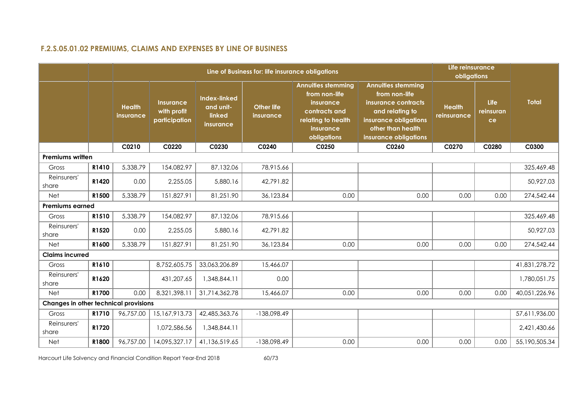## **F.2.S.05.01.02 PREMIUMS, CLAIMS AND EXPENSES BY LINE OF BUSINESS**

|                                       |       |                            |                                                  |                                                         | Line of Business for: life insurance obligations |                                                                                                                            |                                                                                                                                                             | Life reinsurance<br>obligations |                         |               |
|---------------------------------------|-------|----------------------------|--------------------------------------------------|---------------------------------------------------------|--------------------------------------------------|----------------------------------------------------------------------------------------------------------------------------|-------------------------------------------------------------------------------------------------------------------------------------------------------------|---------------------------------|-------------------------|---------------|
|                                       |       | <b>Health</b><br>insurance | <b>Insurance</b><br>with profit<br>participation | <b>Index-linked</b><br>and unit-<br>linked<br>insurance | <b>Other life</b><br>insurance                   | <b>Annuities stemming</b><br>from non-life<br>insurance<br>contracts and<br>relating to health<br>insurance<br>obligations | <b>Annuities stemming</b><br>from non-life<br>insurance contracts<br>and relating to<br>insurance obligations<br>other than health<br>insurance obligations | <b>Health</b><br>reinsurance    | Life<br>reinsuran<br>ce | <b>Total</b>  |
|                                       |       | C0210                      | C0220                                            | C0230                                                   | C0240                                            | C0250                                                                                                                      | C0260                                                                                                                                                       | C0270                           | C0280                   | C0300         |
| <b>Premiums written</b>               |       |                            |                                                  |                                                         |                                                  |                                                                                                                            |                                                                                                                                                             |                                 |                         |               |
| Gross                                 | R1410 | 5,338.79                   | 154,082.97                                       | 87,132.06                                               | 78,915.66                                        |                                                                                                                            |                                                                                                                                                             |                                 |                         | 325,469.48    |
| Reinsurers'<br>share                  | R1420 | 0.00                       | 2,255.05                                         | 5,880.16                                                | 42,791.82                                        |                                                                                                                            |                                                                                                                                                             |                                 |                         | 50,927.03     |
| Net                                   | R1500 | 5,338.79                   | 151,827.91                                       | 81,251.90                                               | 36,123.84                                        | 0.00                                                                                                                       | 0.00                                                                                                                                                        | 0.00                            | 0.00                    | 274,542.44    |
| <b>Premiums earned</b>                |       |                            |                                                  |                                                         |                                                  |                                                                                                                            |                                                                                                                                                             |                                 |                         |               |
| Gross                                 | R1510 | 5,338.79                   | 154,082.97                                       | 87,132.06                                               | 78,915.66                                        |                                                                                                                            |                                                                                                                                                             |                                 |                         | 325,469.48    |
| Reinsurers'<br>share                  | R1520 | 0.00                       | 2,255.05                                         | 5,880.16                                                | 42,791.82                                        |                                                                                                                            |                                                                                                                                                             |                                 |                         | 50,927.03     |
| Net                                   | R1600 | 5,338.79                   | 151,827.91                                       | 81,251.90                                               | 36,123.84                                        | 0.00                                                                                                                       | 0.00                                                                                                                                                        | 0.00                            | 0.00                    | 274,542.44    |
| <b>Claims incurred</b>                |       |                            |                                                  |                                                         |                                                  |                                                                                                                            |                                                                                                                                                             |                                 |                         |               |
| Gross                                 | R1610 |                            | 8,752,605.75                                     | 33,063,206.89                                           | 15,466.07                                        |                                                                                                                            |                                                                                                                                                             |                                 |                         | 41,831,278.72 |
| Reinsurers'<br>share                  | R1620 |                            | 431,207.65                                       | 1,348,844.11                                            | 0.00                                             |                                                                                                                            |                                                                                                                                                             |                                 |                         | 1,780,051.75  |
| Net                                   | R1700 | 0.00                       | 8,321,398.11                                     | 31,714,362.78                                           | 15,466.07                                        | 0.00                                                                                                                       | 0.00                                                                                                                                                        | 0.00                            | 0.00                    | 40,051,226.96 |
| Changes in other technical provisions |       |                            |                                                  |                                                         |                                                  |                                                                                                                            |                                                                                                                                                             |                                 |                         |               |
| Gross                                 | R1710 | 96,757.00                  | 15,167,913.73                                    | 42,485,363.76                                           | -138,098.49                                      |                                                                                                                            |                                                                                                                                                             |                                 |                         | 57,611,936.00 |
| Reinsurers'<br>share                  | R1720 |                            | 1,072,586.56                                     | 1,348,844.11                                            |                                                  |                                                                                                                            |                                                                                                                                                             |                                 |                         | 2,421,430.66  |
| <b>Net</b>                            | R1800 | 96,757.00                  | 14,095,327.17                                    | 41,136,519.65                                           | -138,098.49                                      | 0.00                                                                                                                       | 0.00                                                                                                                                                        | 0.00                            | 0.00                    | 55,190,505.34 |

Harcourt Life Solvency and Financial Condition Report Year-End 2018 60/73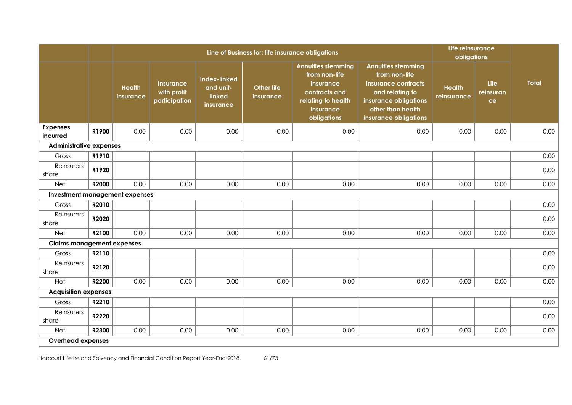|                                   |       |                            |                                                  |                                                         | Line of Business for: life insurance obligations |                                                                                                                            |                                                                                                                                                             | Life reinsurance<br>obligations |                         |              |
|-----------------------------------|-------|----------------------------|--------------------------------------------------|---------------------------------------------------------|--------------------------------------------------|----------------------------------------------------------------------------------------------------------------------------|-------------------------------------------------------------------------------------------------------------------------------------------------------------|---------------------------------|-------------------------|--------------|
|                                   |       | <b>Health</b><br>insurance | <b>Insurance</b><br>with profit<br>participation | <b>Index-linked</b><br>and unit-<br>linked<br>insurance | <b>Other life</b><br>insurance                   | <b>Annuities stemming</b><br>from non-life<br>insurance<br>contracts and<br>relating to health<br>insurance<br>obligations | <b>Annuities stemming</b><br>from non-life<br>insurance contracts<br>and relating to<br>insurance obligations<br>other than health<br>insurance obligations | <b>Health</b><br>reinsurance    | Life<br>reinsuran<br>ce | <b>Total</b> |
| <b>Expenses</b><br>incurred       | R1900 | 0.00                       | 0.00                                             | 0.00                                                    | 0.00                                             | 0.00                                                                                                                       | 0.00                                                                                                                                                        | 0.00                            | 0.00                    | 0.00         |
| <b>Administrative expenses</b>    |       |                            |                                                  |                                                         |                                                  |                                                                                                                            |                                                                                                                                                             |                                 |                         |              |
| Gross                             | R1910 |                            |                                                  |                                                         |                                                  |                                                                                                                            |                                                                                                                                                             |                                 |                         | 0.00         |
| Reinsurers'<br>share              | R1920 |                            |                                                  |                                                         |                                                  |                                                                                                                            |                                                                                                                                                             |                                 |                         | 0.00         |
| <b>Net</b>                        | R2000 | 0.00                       | 0.00                                             | 0.00                                                    | 0.00                                             | 0.00                                                                                                                       | 0.00                                                                                                                                                        | 0.00                            | 0.00                    | 0.00         |
| Investment management expenses    |       |                            |                                                  |                                                         |                                                  |                                                                                                                            |                                                                                                                                                             |                                 |                         |              |
| Gross                             | R2010 |                            |                                                  |                                                         |                                                  |                                                                                                                            |                                                                                                                                                             |                                 |                         | 0.00         |
| Reinsurers'<br>share              | R2020 |                            |                                                  |                                                         |                                                  |                                                                                                                            |                                                                                                                                                             |                                 |                         | 0.00         |
| Net                               | R2100 | 0.00                       | 0.00                                             | 0.00                                                    | 0.00                                             | 0.00                                                                                                                       | 0.00                                                                                                                                                        | 0.00                            | 0.00                    | 0.00         |
| <b>Claims management expenses</b> |       |                            |                                                  |                                                         |                                                  |                                                                                                                            |                                                                                                                                                             |                                 |                         |              |
| Gross                             | R2110 |                            |                                                  |                                                         |                                                  |                                                                                                                            |                                                                                                                                                             |                                 |                         | 0.00         |
| Reinsurers'<br>share              | R2120 |                            |                                                  |                                                         |                                                  |                                                                                                                            |                                                                                                                                                             |                                 |                         | 0.00         |
| <b>Net</b>                        | R2200 | 0.00                       | 0.00                                             | 0.00                                                    | 0.00                                             | 0.00                                                                                                                       | 0.00                                                                                                                                                        | 0.00                            | 0.00                    | 0.00         |
| <b>Acquisition expenses</b>       |       |                            |                                                  |                                                         |                                                  |                                                                                                                            |                                                                                                                                                             |                                 |                         |              |
| Gross                             | R2210 |                            |                                                  |                                                         |                                                  |                                                                                                                            |                                                                                                                                                             |                                 |                         | 0.00         |
| Reinsurers'<br>share              | R2220 |                            |                                                  |                                                         |                                                  |                                                                                                                            |                                                                                                                                                             |                                 |                         | 0.00         |
| <b>Net</b>                        | R2300 | 0.00                       | 0.00                                             | 0.00                                                    | 0.00                                             | 0.00                                                                                                                       | 0.00                                                                                                                                                        | 0.00                            | 0.00                    | 0.00         |
| <b>Overhead expenses</b>          |       |                            |                                                  |                                                         |                                                  |                                                                                                                            |                                                                                                                                                             |                                 |                         |              |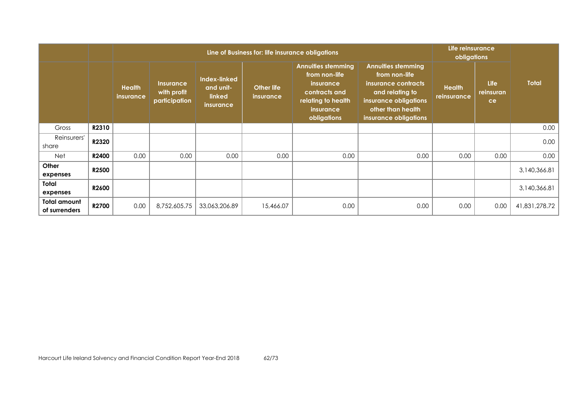|                                      |              |                                   |                                                  |                                                         | Line of Business for: life insurance obligations |                                                                                                                            |                                                                                                                                                             | Life reinsurance<br>obligations |                                |               |
|--------------------------------------|--------------|-----------------------------------|--------------------------------------------------|---------------------------------------------------------|--------------------------------------------------|----------------------------------------------------------------------------------------------------------------------------|-------------------------------------------------------------------------------------------------------------------------------------------------------------|---------------------------------|--------------------------------|---------------|
|                                      |              | <b>Health</b><br><i>insurance</i> | <b>Insurance</b><br>with profit<br>participation | Index-linked<br>and unit-<br>linked<br><i>insurance</i> | <b>Other life</b><br>insurance                   | <b>Annuities stemming</b><br>from non-life<br>insurance<br>contracts and<br>relating to health<br>insurance<br>obligations | <b>Annuities stemming</b><br>from non-life<br>insurance contracts<br>and relating to<br>insurance obligations<br>other than health<br>insurance obligations | <b>Health</b><br>reinsurance    | <b>Life</b><br>reinsuran<br>ce | <b>Total</b>  |
| Gross                                | R2310        |                                   |                                                  |                                                         |                                                  |                                                                                                                            |                                                                                                                                                             |                                 |                                | 0.00          |
| Reinsurers'<br>share                 | R2320        |                                   |                                                  |                                                         |                                                  |                                                                                                                            |                                                                                                                                                             |                                 |                                | 0.00          |
| Net                                  | R2400        | 0.00                              | 0.00                                             | 0.00                                                    | 0.00                                             | 0.00                                                                                                                       | 0.00                                                                                                                                                        | 0.00                            | 0.00                           | 0.00          |
| Other<br>expenses                    | <b>R2500</b> |                                   |                                                  |                                                         |                                                  |                                                                                                                            |                                                                                                                                                             |                                 |                                | 3,140,366.81  |
| Total<br>expenses                    | R2600        |                                   |                                                  |                                                         |                                                  |                                                                                                                            |                                                                                                                                                             |                                 |                                | 3,140,366.81  |
| <b>Total amount</b><br>of surrenders | <b>R2700</b> | 0.00                              | 8,752,605.75                                     | 33,063,206.89                                           | 15,466.07                                        | 0.00                                                                                                                       | 0.00                                                                                                                                                        | 0.00                            | 0.00                           | 41,831,278.72 |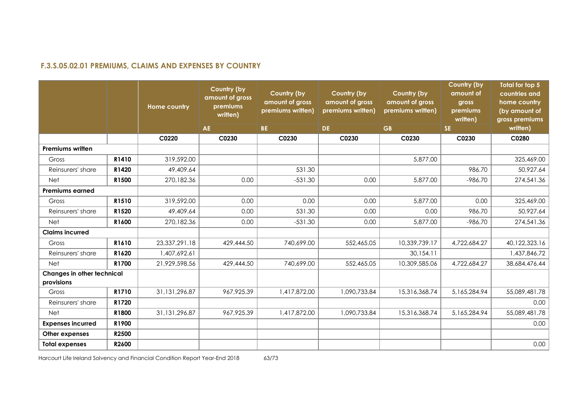## **F.3.S.05.02.01 PREMIUMS, CLAIMS AND EXPENSES BY COUNTRY**

|                                          |       | <b>Home country</b> | <b>Country (by</b><br>amount of gross<br>premiums<br>written) | Country (by<br>amount of gross<br>premiums written) | Country (by<br>amount of gross<br>premiums written) | Country (by<br>amount of gross<br>premiums written) | <b>Country (by</b><br>amount of<br>gross<br>premiums<br>written) | Total for top 5<br>countries and<br>home country<br>(by amount of<br>gross premiums |
|------------------------------------------|-------|---------------------|---------------------------------------------------------------|-----------------------------------------------------|-----------------------------------------------------|-----------------------------------------------------|------------------------------------------------------------------|-------------------------------------------------------------------------------------|
|                                          |       |                     | <b>AE</b>                                                     | BE.                                                 | DE.                                                 | <b>GB</b>                                           | <b>SE</b>                                                        | written)                                                                            |
|                                          |       | C0220               | C0230                                                         | C0230                                               | C0230                                               | C0230                                               | C0230                                                            | C0280                                                                               |
| <b>Premiums written</b>                  |       |                     |                                                               |                                                     |                                                     |                                                     |                                                                  |                                                                                     |
| Gross                                    | R1410 | 319,592.00          |                                                               |                                                     |                                                     | 5,877.00                                            |                                                                  | 325,469.00                                                                          |
| Reinsurers' share                        | R1420 | 49,409.64           |                                                               | 531.30                                              |                                                     |                                                     | 986.70                                                           | 50,927.64                                                                           |
| <b>Net</b>                               | R1500 | 270,182.36          | 0.00                                                          | $-531.30$                                           | 0.00                                                | 5,877.00                                            | $-986.70$                                                        | 274,541.36                                                                          |
| <b>Premiums earned</b>                   |       |                     |                                                               |                                                     |                                                     |                                                     |                                                                  |                                                                                     |
| Gross                                    | R1510 | 319,592.00          | 0.00                                                          | 0.00                                                | 0.00                                                | 5,877.00                                            | 0.00                                                             | 325,469.00                                                                          |
| Reinsurers' share                        | R1520 | 49,409.64           | 0.00                                                          | 531.30                                              | 0.00                                                | 0.00                                                | 986.70                                                           | 50,927.64                                                                           |
| <b>Net</b>                               | R1600 | 270,182.36          | 0.00                                                          | $-531.30$                                           | 0.00                                                | 5,877.00                                            | $-986.70$                                                        | 274,541.36                                                                          |
| <b>Claims incurred</b>                   |       |                     |                                                               |                                                     |                                                     |                                                     |                                                                  |                                                                                     |
| Gross                                    | R1610 | 23,337,291.18       | 429,444.50                                                    | 740,699.00                                          | 552,465.05                                          | 10,339,739.17                                       | 4,722,684.27                                                     | 40,122,323.16                                                                       |
| Reinsurers' share                        | R1620 | 1,407,692.61        |                                                               |                                                     |                                                     | 30,154.11                                           |                                                                  | 1,437,846.72                                                                        |
| <b>Net</b>                               | R1700 | 21,929,598.56       | 429,444.50                                                    | 740,699.00                                          | 552,465.05                                          | 10,309,585.06                                       | 4,722,684.27                                                     | 38,684,476.44                                                                       |
| Changes in other technical<br>provisions |       |                     |                                                               |                                                     |                                                     |                                                     |                                                                  |                                                                                     |
| Gross                                    | R1710 | 31,131,296.87       | 967,925.39                                                    | 1,417,872.00                                        | 1,090,733.84                                        | 15,316,368.74                                       | 5,165,284.94                                                     | 55,089,481.78                                                                       |
| Reinsurers' share                        | R1720 |                     |                                                               |                                                     |                                                     |                                                     |                                                                  | 0.00                                                                                |
| <b>Net</b>                               | R1800 | 31,131,296.87       | 967,925.39                                                    | 1,417,872.00                                        | 1,090,733.84                                        | 15,316,368.74                                       | 5,165,284.94                                                     | 55,089,481.78                                                                       |
| <b>Expenses incurred</b>                 | R1900 |                     |                                                               |                                                     |                                                     |                                                     |                                                                  | 0.00                                                                                |
| Other expenses                           | R2500 |                     |                                                               |                                                     |                                                     |                                                     |                                                                  |                                                                                     |
| <b>Total expenses</b>                    | R2600 |                     |                                                               |                                                     |                                                     |                                                     |                                                                  | 0.00                                                                                |

Harcourt Life Ireland Solvency and Financial Condition Report Year-End 2018 63/73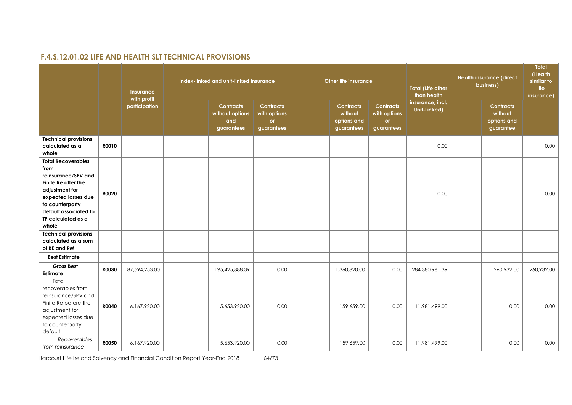## **F.4.S.12.01.02 LIFE AND HEALTH SLT TECHNICAL PROVISIONS**

|                                                                                                                                                                                                     | Insurance<br>with profit |               | Index-linked and unit-linked insurance                   |                                                      | Other life insurance                                     |                                                             | <b>Total (Life other</b><br>than health | <b>Health insurance (direct</b><br>business)            | Total<br>(Health<br>similar to<br>life<br>insurance) |
|-----------------------------------------------------------------------------------------------------------------------------------------------------------------------------------------------------|--------------------------|---------------|----------------------------------------------------------|------------------------------------------------------|----------------------------------------------------------|-------------------------------------------------------------|-----------------------------------------|---------------------------------------------------------|------------------------------------------------------|
|                                                                                                                                                                                                     |                          | participation | <b>Contracts</b><br>without options<br>and<br>guarantees | <b>Contracts</b><br>with options<br>or<br>guarantees | <b>Contracts</b><br>without<br>options and<br>guarantees | <b>Contracts</b><br>with options<br><b>or</b><br>guarantees | insurance, incl.<br>Unit-Linked)        | <b>Contracts</b><br>without<br>options and<br>guarantee |                                                      |
| <b>Technical provisions</b><br>calculated as a<br>whole                                                                                                                                             | R0010                    |               |                                                          |                                                      |                                                          |                                                             | 0.00                                    |                                                         | 0.00                                                 |
| <b>Total Recoverables</b><br>from<br>reinsurance/SPV and<br>Finite Re after the<br>adjustment for<br>expected losses due<br>to counterparty<br>default associated to<br>TP calculated as a<br>whole | <b>R0020</b>             |               |                                                          |                                                      |                                                          |                                                             | 0.00                                    |                                                         | 0.00                                                 |
| <b>Technical provisions</b><br>calculated as a sum<br>of BE and RM                                                                                                                                  |                          |               |                                                          |                                                      |                                                          |                                                             |                                         |                                                         |                                                      |
| <b>Best Estimate</b>                                                                                                                                                                                |                          |               |                                                          |                                                      |                                                          |                                                             |                                         |                                                         |                                                      |
| <b>Gross Best</b><br>Estimate                                                                                                                                                                       | <b>R0030</b>             | 87,594,253.00 | 195,425,888.39                                           | 0.00                                                 | 1,360,820.00                                             | 0.00                                                        | 284,380,961.39                          | 260,932.00                                              | 260,932.00                                           |
| Total<br>recoverables from<br>reinsurance/SPV and<br>Finite Re before the<br>adjustment for<br>expected losses due<br>to counterparty<br>default                                                    | <b>R0040</b>             | 6,167,920.00  | 5,653,920.00                                             | 0.00                                                 | 159,659.00                                               | 0.00                                                        | 11,981,499.00                           | 0.00                                                    | 0.00                                                 |
| Recoverables<br>from reinsurance                                                                                                                                                                    | <b>R0050</b>             | 6,167,920.00  | 5,653,920.00                                             | 0.00                                                 | 159,659.00                                               | 0.00                                                        | 11,981,499.00                           | 0.00                                                    | 0.00                                                 |

Harcourt Life Ireland Solvency and Financial Condition Report Year-End 2018 64/73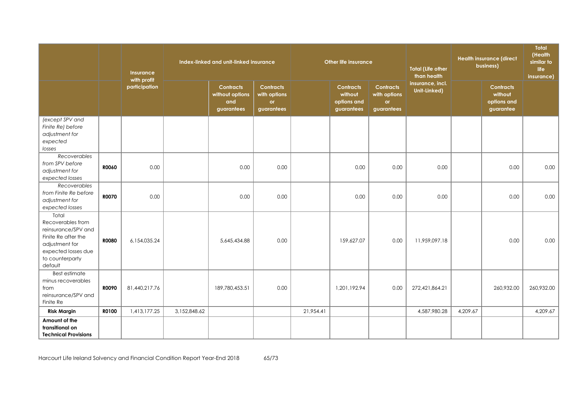|                                                                                                                                                 |              | Insurance<br>with profit |              | Index-linked and unit-linked insurance                   |                                                      |           | <b>Other life insurance</b>                              |                                                             | <b>Total (Life other</b><br>than health |          | <b>Health insurance (direct</b><br>business)            | Total<br>(Health<br>similar to<br>life<br>insurance) |
|-------------------------------------------------------------------------------------------------------------------------------------------------|--------------|--------------------------|--------------|----------------------------------------------------------|------------------------------------------------------|-----------|----------------------------------------------------------|-------------------------------------------------------------|-----------------------------------------|----------|---------------------------------------------------------|------------------------------------------------------|
|                                                                                                                                                 |              | participation            |              | <b>Contracts</b><br>without options<br>and<br>guarantees | <b>Contracts</b><br>with options<br>or<br>guarantees |           | <b>Contracts</b><br>without<br>options and<br>guarantees | <b>Contracts</b><br>with options<br><b>or</b><br>guarantees | insurance, incl.<br>Unit-Linked)        |          | <b>Contracts</b><br>without<br>options and<br>guarantee |                                                      |
| (except SPV and<br>Finite Re) before<br>adjustment for<br>expected<br>losses                                                                    |              |                          |              |                                                          |                                                      |           |                                                          |                                                             |                                         |          |                                                         |                                                      |
| Recoverables<br>from SPV before<br>adjustment for<br>expected losses                                                                            | <b>ROO60</b> | 0.00                     |              | 0.00                                                     | 0.00                                                 |           | 0.00                                                     | 0.00                                                        | 0.00                                    |          | 0.00                                                    | 0.00                                                 |
| <b>Recoverables</b><br>from Finite Re before<br>adjustment for<br>expected losses                                                               | <b>RO070</b> | 0.00                     |              | 0.00                                                     | 0.00                                                 |           | 0.00                                                     | 0.00                                                        | 0.00                                    |          | 0.00                                                    | 0.00                                                 |
| Total<br>Recoverables from<br>reinsurance/SPV and<br>Finite Re after the<br>adjustment for<br>expected losses due<br>to counterparty<br>default | <b>R0080</b> | 6,154,035.24             |              | 5,645,434.88                                             | 0.00                                                 |           | 159,627.07                                               | 0.00                                                        | 11,959,097.18                           |          | 0.00                                                    | 0.00                                                 |
| Best estimate<br>minus recoverables<br>from<br>reinsurance/SPV and<br>Finite Re                                                                 | <b>ROO90</b> | 81,440,217.76            |              | 189,780,453.51                                           | 0.00                                                 |           | 1,201,192.94                                             | 0.00                                                        | 272,421,864.21                          |          | 260,932.00                                              | 260,932.00                                           |
| <b>Risk Margin</b><br>Amount of the                                                                                                             | R0100        | 1,413,177.25             | 3,152,848.62 |                                                          |                                                      | 21,954.41 |                                                          |                                                             | 4,587,980.28                            | 4,209.67 |                                                         | 4,209.67                                             |
| transitional on<br><b>Technical Provisions</b>                                                                                                  |              |                          |              |                                                          |                                                      |           |                                                          |                                                             |                                         |          |                                                         |                                                      |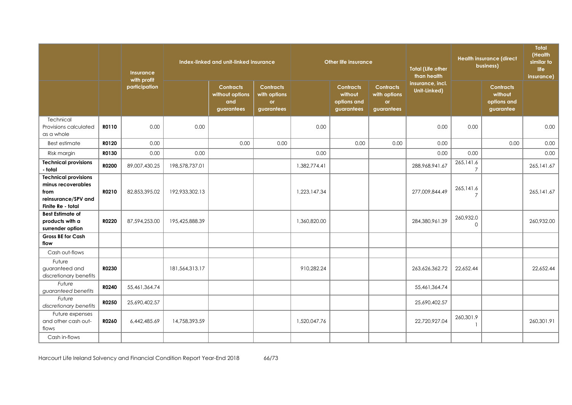|                                                                                                       | Insurance<br>with profit |               |                | Index-linked and unit-linked insurance                   |                                                      |              | Other life insurance                                     |                                                             | <b>Total (Life other</b><br>than health |                             | <b>Health insurance (direct</b><br>business)            | Total<br>(Health<br>similar to<br>life<br>insurance) |
|-------------------------------------------------------------------------------------------------------|--------------------------|---------------|----------------|----------------------------------------------------------|------------------------------------------------------|--------------|----------------------------------------------------------|-------------------------------------------------------------|-----------------------------------------|-----------------------------|---------------------------------------------------------|------------------------------------------------------|
|                                                                                                       |                          | participation |                | <b>Contracts</b><br>without options<br>and<br>guarantees | <b>Contracts</b><br>with options<br>or<br>guarantees |              | <b>Contracts</b><br>without<br>options and<br>guarantees | <b>Contracts</b><br>with options<br><b>or</b><br>guarantees | insurance, incl.<br>Unit-Linked)        |                             | <b>Contracts</b><br>without<br>options and<br>guarantee |                                                      |
| Technical<br>Provisions calculated<br>as a whole                                                      | R0110                    | 0.00          | 0.00           |                                                          |                                                      | 0.00         |                                                          |                                                             | 0.00                                    | 0.00                        |                                                         | 0.00                                                 |
| <b>Best estimate</b>                                                                                  | R0120                    | 0.00          |                | 0.00                                                     | 0.00                                                 |              | 0.00                                                     | 0.00                                                        | 0.00                                    |                             | 0.00                                                    | 0.00                                                 |
| Risk margin                                                                                           | R0130                    | 0.00          | 0.00           |                                                          |                                                      | 0.00         |                                                          |                                                             | 0.00                                    | 0.00                        |                                                         | 0.00                                                 |
| <b>Technical provisions</b><br>- total                                                                | R0200                    | 89,007,430.25 | 198,578,737.01 |                                                          |                                                      | 1,382,774.41 |                                                          |                                                             | 288, 968, 941.67                        | 265,141.6<br>$\overline{7}$ |                                                         | 265, 141.67                                          |
| <b>Technical provisions</b><br>minus recoverables<br>from<br>reinsurance/SPV and<br>Finite Re - total | R0210                    | 82,853,395.02 | 192,933,302.13 |                                                          |                                                      | 1,223,147.34 |                                                          |                                                             | 277,009,844.49                          | 265,141.6<br>$\overline{7}$ |                                                         | 265,141.67                                           |
| <b>Best Estimate of</b><br>products with a<br>surrender option                                        | R0220                    | 87,594,253.00 | 195,425,888.39 |                                                          |                                                      | 1,360,820.00 |                                                          |                                                             | 284,380,961.39                          | 260,932.0<br>0              |                                                         | 260.932.00                                           |
| <b>Gross BE for Cash</b><br>flow                                                                      |                          |               |                |                                                          |                                                      |              |                                                          |                                                             |                                         |                             |                                                         |                                                      |
| Cash out-flows                                                                                        |                          |               |                |                                                          |                                                      |              |                                                          |                                                             |                                         |                             |                                                         |                                                      |
| Future<br>guaranteed and<br>discretionary benefits                                                    | R0230                    |               | 181,564,313,17 |                                                          |                                                      | 910,282.24   |                                                          |                                                             | 263,626,362.72                          | 22,652.44                   |                                                         | 22.652.44                                            |
| Future<br>guaranteed benefits                                                                         | R0240                    | 55,461,364.74 |                |                                                          |                                                      |              |                                                          |                                                             | 55,461,364.74                           |                             |                                                         |                                                      |
| Future<br>discretionary benefits                                                                      | R0250                    | 25,690,402.57 |                |                                                          |                                                      |              |                                                          |                                                             | 25,690,402.57                           |                             |                                                         |                                                      |
| Future expenses<br>and other cash out-<br>flows                                                       | R0260                    | 6,442,485.69  | 14,758,393.59  |                                                          |                                                      | 1,520,047.76 |                                                          |                                                             | 22,720,927.04                           | 260,301.9<br>$\mathbf{1}$   |                                                         | 260,301.91                                           |
| Cash in-flows                                                                                         |                          |               |                |                                                          |                                                      |              |                                                          |                                                             |                                         |                             |                                                         |                                                      |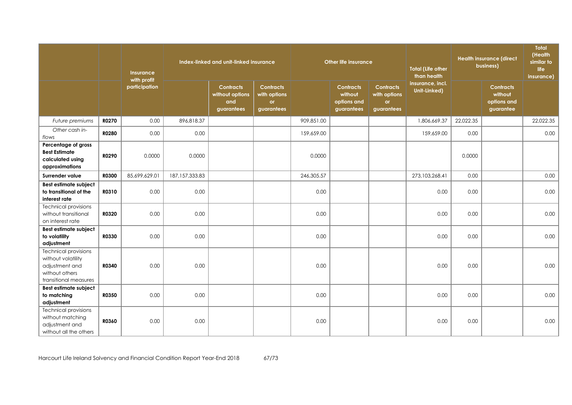|                                                                                                                |              | Insurance<br>with profit<br>participation |                  | Index-linked and unit-linked insurance                   |                                                      | <b>Other life insurance</b> |                                                          |                                                             | <b>Total (Life other</b><br>than health | <b>Health insurance (direct</b><br>business) |                                                         | Total<br>(Health<br>similar to<br>life<br>insurance) |
|----------------------------------------------------------------------------------------------------------------|--------------|-------------------------------------------|------------------|----------------------------------------------------------|------------------------------------------------------|-----------------------------|----------------------------------------------------------|-------------------------------------------------------------|-----------------------------------------|----------------------------------------------|---------------------------------------------------------|------------------------------------------------------|
|                                                                                                                |              |                                           |                  | <b>Contracts</b><br>without options<br>and<br>guarantees | <b>Contracts</b><br>with options<br>or<br>guarantees |                             | <b>Contracts</b><br>without<br>options and<br>guarantees | <b>Contracts</b><br>with options<br><b>or</b><br>guarantees | insurance, incl.<br>Unit-Linked)        |                                              | <b>Contracts</b><br>without<br>options and<br>guarantee |                                                      |
| Future premiums                                                                                                | R0270        | 0.00                                      | 896,818.37       |                                                          |                                                      | 909,851.00                  |                                                          |                                                             | 1,806,669.37                            | 22,022.35                                    |                                                         | 22,022.35                                            |
| Other cash in-<br>flows                                                                                        | <b>R0280</b> | 0.00                                      | 0.00             |                                                          |                                                      | 159,659.00                  |                                                          |                                                             | 159,659.00                              | 0.00                                         |                                                         | 0.00                                                 |
| Percentage of gross<br><b>Best Estimate</b><br>calculated using<br>approximations                              | R0290        | 0.0000                                    | 0.0000           |                                                          |                                                      | 0.0000                      |                                                          |                                                             |                                         | 0.0000                                       |                                                         |                                                      |
| Surrender value                                                                                                | <b>R0300</b> | 85,699,629.01                             | 187, 157, 333.83 |                                                          |                                                      | 246,305.57                  |                                                          |                                                             | 273,103,268.41                          | 0.00                                         |                                                         | 0.00                                                 |
| Best estimate subject<br>to transitional of the<br>interest rate                                               | R0310        | 0.00                                      | 0.00             |                                                          |                                                      | 0.00                        |                                                          |                                                             | 0.00                                    | 0.00                                         |                                                         | 0.00                                                 |
| <b>Technical provisions</b><br>without transitional<br>on interest rate                                        | R0320        | 0.00                                      | 0.00             |                                                          |                                                      | 0.00                        |                                                          |                                                             | 0.00                                    | 0.00                                         |                                                         | 0.00                                                 |
| Best estimate subject<br>to volatility<br>adjustment                                                           | R0330        | 0.00                                      | 0.00             |                                                          |                                                      | 0.00                        |                                                          |                                                             | 0.00                                    | 0.00                                         |                                                         | 0.00                                                 |
| <b>Technical provisions</b><br>without volatility<br>adjustment and<br>without others<br>transitional measures | R0340        | 0.00                                      | 0.00             |                                                          |                                                      | 0.00                        |                                                          |                                                             | 0.00                                    | 0.00                                         |                                                         | 0.00                                                 |
| Best estimate subject<br>to matching<br>adjustment                                                             | R0350        | 0.00                                      | 0.00             |                                                          |                                                      | 0.00                        |                                                          |                                                             | 0.00                                    | 0.00                                         |                                                         | 0.00                                                 |
| <b>Technical provisions</b><br>without matching<br>adjustment and<br>without all the others                    | <b>R0360</b> | 0.00                                      | 0.00             |                                                          |                                                      | 0.00                        |                                                          |                                                             | 0.00                                    | 0.00                                         |                                                         | 0.00                                                 |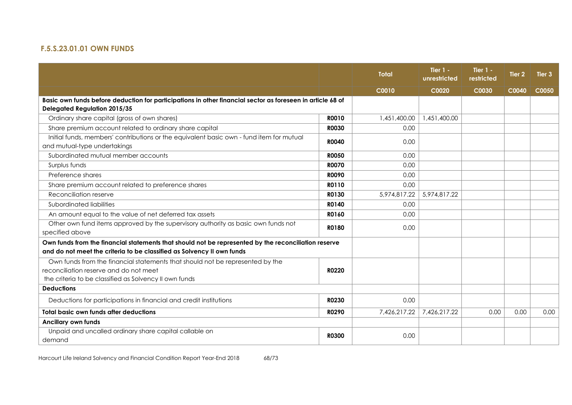## **F.5.S.23.01.01 OWN FUNDS**

|                                                                                                                                                                                   |              | <b>Total</b> | Tier $1 -$<br>unrestricted | Tier $1 -$<br>restricted | Tier <sub>2</sub> | Tier <sub>3</sub> |
|-----------------------------------------------------------------------------------------------------------------------------------------------------------------------------------|--------------|--------------|----------------------------|--------------------------|-------------------|-------------------|
|                                                                                                                                                                                   |              | C0010        | C0020                      | C0030                    | C0040             | C0050             |
| Basic own funds before deduction for participations in other financial sector as foreseen in article 68 of<br><b>Delegated Regulation 2015/35</b>                                 |              |              |                            |                          |                   |                   |
| Ordinary share capital (gross of own shares)                                                                                                                                      | R0010        | 1,451,400.00 | 1,451,400.00               |                          |                   |                   |
| Share premium account related to ordinary share capital                                                                                                                           | <b>R0030</b> | 0.00         |                            |                          |                   |                   |
| Initial funds, members' contributions or the equivalent basic own - fund item for mutual<br>and mutual-type undertakings                                                          | <b>R0040</b> | 0.00         |                            |                          |                   |                   |
| Subordinated mutual member accounts                                                                                                                                               | <b>R0050</b> | 0.00         |                            |                          |                   |                   |
| Surplus funds                                                                                                                                                                     | <b>R0070</b> | 0.00         |                            |                          |                   |                   |
| Preference shares                                                                                                                                                                 | <b>R0090</b> | 0.00         |                            |                          |                   |                   |
| Share premium account related to preference shares                                                                                                                                | R0110        | 0.00         |                            |                          |                   |                   |
| Reconciliation reserve                                                                                                                                                            | R0130        | 5,974,817.22 | 5,974,817.22               |                          |                   |                   |
| Subordinated liabilities                                                                                                                                                          | R0140        | 0.00         |                            |                          |                   |                   |
| An amount equal to the value of net deferred tax assets                                                                                                                           | R0160        | 0.00         |                            |                          |                   |                   |
| Other own fund items approved by the supervisory authority as basic own funds not<br>specified above                                                                              | R0180        | 0.00         |                            |                          |                   |                   |
| Own funds from the financial statements that should not be represented by the reconciliation reserve<br>and do not meet the criteria to be classified as Solvency II own funds    |              |              |                            |                          |                   |                   |
| Own funds from the financial statements that should not be represented by the<br>reconciliation reserve and do not meet<br>the criteria to be classified as Solvency II own funds | R0220        |              |                            |                          |                   |                   |
| <b>Deductions</b>                                                                                                                                                                 |              |              |                            |                          |                   |                   |
| Deductions for participations in financial and credit institutions                                                                                                                | R0230        | 0.00         |                            |                          |                   |                   |
| Total basic own funds after deductions                                                                                                                                            | <b>RO290</b> | 7,426,217.22 | 7,426,217.22               | 0.00                     | 0.00              | 0.00              |
| <b>Ancillary own funds</b>                                                                                                                                                        |              |              |                            |                          |                   |                   |
| Unpaid and uncalled ordinary share capital callable on<br>demand                                                                                                                  | <b>R0300</b> | 0.00         |                            |                          |                   |                   |

Harcourt Life Ireland Solvency and Financial Condition Report Year-End 2018 68/73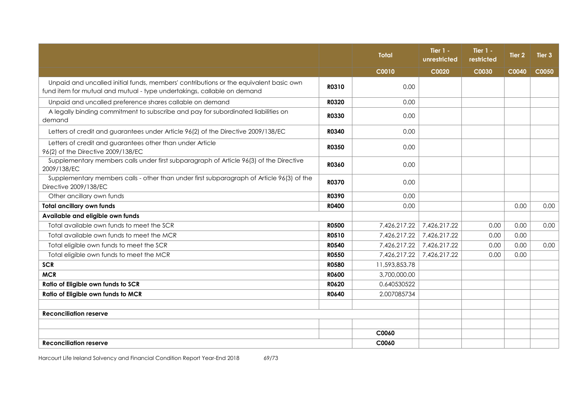|                                                                                                                                                                  |              | <b>Total</b>  | Tier $1 -$<br>unrestricted | Tier $1 -$<br>restricted | <b>Tier 2</b> | Tier <sub>3</sub> |
|------------------------------------------------------------------------------------------------------------------------------------------------------------------|--------------|---------------|----------------------------|--------------------------|---------------|-------------------|
|                                                                                                                                                                  |              | C0010         | C0020                      | C0030                    | C0040         | C0050             |
| Unpaid and uncalled initial funds, members' contributions or the equivalent basic own<br>fund item for mutual and mutual - type undertakings, callable on demand | R0310        | 0.00          |                            |                          |               |                   |
| Unpaid and uncalled preference shares callable on demand                                                                                                         | R0320        | 0.00          |                            |                          |               |                   |
| A legally binding commitment to subscribe and pay for subordinated liabilities on<br>demand                                                                      | R0330        | 0.00          |                            |                          |               |                   |
| Letters of credit and guarantees under Article 96(2) of the Directive 2009/138/EC                                                                                | R0340        | 0.00          |                            |                          |               |                   |
| Letters of credit and guarantees other than under Article<br>96(2) of the Directive 2009/138/EC                                                                  | <b>R0350</b> | 0.00          |                            |                          |               |                   |
| Supplementary members calls under first subparagraph of Article 96(3) of the Directive<br>2009/138/EC                                                            | <b>R0360</b> | 0.00          |                            |                          |               |                   |
| Supplementary members calls - other than under first subparagraph of Article 96(3) of the<br>Directive 2009/138/EC                                               | <b>R0370</b> | 0.00          |                            |                          |               |                   |
| Other ancillary own funds                                                                                                                                        | <b>R0390</b> | 0.00          |                            |                          |               |                   |
| <b>Total ancillary own funds</b>                                                                                                                                 | <b>R0400</b> | 0.00          |                            |                          | 0.00          | 0.00              |
| Available and eligible own funds                                                                                                                                 |              |               |                            |                          |               |                   |
| Total available own funds to meet the SCR                                                                                                                        | <b>R0500</b> | 7,426,217.22  | 7,426,217.22               | 0.00                     | 0.00          | 0.00              |
| Total available own funds to meet the MCR                                                                                                                        | <b>R0510</b> | 7,426,217.22  | 7,426,217.22               | 0.00                     | 0.00          |                   |
| Total eligible own funds to meet the SCR                                                                                                                         | <b>R0540</b> | 7,426,217.22  | 7,426,217.22               | 0.00                     | 0.00          | 0.00              |
| Total eligible own funds to meet the MCR                                                                                                                         | <b>R0550</b> | 7,426,217.22  | 7,426,217.22               | 0.00                     | 0.00          |                   |
| <b>SCR</b>                                                                                                                                                       | <b>R0580</b> | 11,593,853.78 |                            |                          |               |                   |
| <b>MCR</b>                                                                                                                                                       | <b>R0600</b> | 3,700,000.00  |                            |                          |               |                   |
| Ratio of Eligible own funds to SCR                                                                                                                               | R0620        | 0.640530522   |                            |                          |               |                   |
| Ratio of Eligible own funds to MCR                                                                                                                               | R0640        | 2.007085734   |                            |                          |               |                   |
|                                                                                                                                                                  |              |               |                            |                          |               |                   |
| <b>Reconciliation reserve</b>                                                                                                                                    |              |               |                            |                          |               |                   |
|                                                                                                                                                                  |              |               |                            |                          |               |                   |
|                                                                                                                                                                  |              | C0060         |                            |                          |               |                   |
| <b>Reconciliation reserve</b>                                                                                                                                    |              | C0060         |                            |                          |               |                   |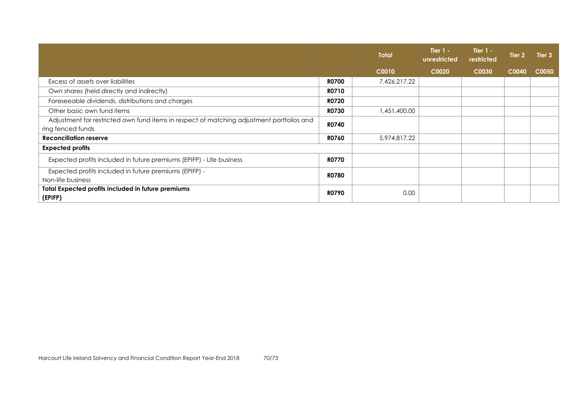|                                                                                           |              | <b>Total</b> | Tier $1 -$<br>unrestricted | <b>Tier 1 -</b><br>restricted | Tier <sub>2</sub> | Tier 3 |
|-------------------------------------------------------------------------------------------|--------------|--------------|----------------------------|-------------------------------|-------------------|--------|
|                                                                                           |              | C0010        | C0020                      | C0030                         | C0040             | C0050  |
| Excess of assets over liabilities                                                         | <b>R0700</b> | 7,426,217.22 |                            |                               |                   |        |
| Own shares (held directly and indirectly)                                                 | <b>RO710</b> |              |                            |                               |                   |        |
| Foreseeable dividends, distributions and charges                                          | <b>R0720</b> |              |                            |                               |                   |        |
| Other basic own fund items                                                                | <b>R0730</b> | 1,451,400.00 |                            |                               |                   |        |
| Adjustment for restricted own fund items in respect of matching adjustment portfolios and | <b>R0740</b> |              |                            |                               |                   |        |
| ring fenced funds                                                                         |              |              |                            |                               |                   |        |
| <b>Reconciliation reserve</b>                                                             | R0760        | 5,974,817.22 |                            |                               |                   |        |
| <b>Expected profits</b>                                                                   |              |              |                            |                               |                   |        |
| Expected profits included in future premiums (EPIFP) - Life business                      | <b>R0770</b> |              |                            |                               |                   |        |
| Expected profits included in future premiums (EPIFP) -                                    | <b>RO780</b> |              |                            |                               |                   |        |
| Non-life business                                                                         |              |              |                            |                               |                   |        |
| <b>Total Expected profits included in future premiums</b><br>(EPIFP)                      | <b>RO790</b> | 0.00         |                            |                               |                   |        |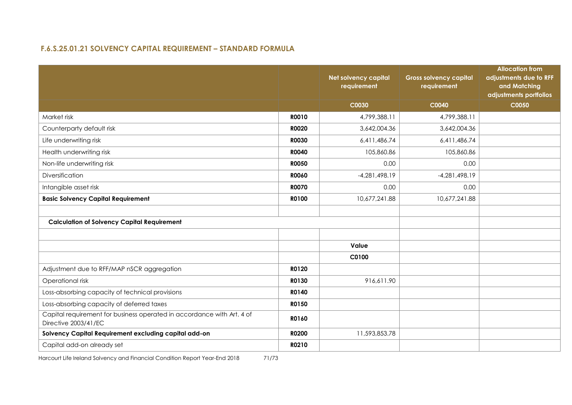## **F.6.S.25.01.21 SOLVENCY CAPITAL REQUIREMENT – STANDARD FORMULA**

|                                                                                                |              | Net solvency capital<br>requirement | <b>Gross solvency capital</b><br>requirement | <b>Allocation from</b><br>adjustments due to RFF<br>and Matching<br>adjustments portfolios |
|------------------------------------------------------------------------------------------------|--------------|-------------------------------------|----------------------------------------------|--------------------------------------------------------------------------------------------|
|                                                                                                |              | C0030                               | C0040                                        | C0050                                                                                      |
| Market risk                                                                                    | R0010        | 4,799,388.11                        | 4,799,388.11                                 |                                                                                            |
| Counterparty default risk                                                                      | <b>R0020</b> | 3,642,004.36                        | 3,642,004.36                                 |                                                                                            |
| Life underwriting risk                                                                         | <b>R0030</b> | 6,411,486.74                        | 6,411,486.74                                 |                                                                                            |
| Health underwriting risk                                                                       | <b>R0040</b> | 105,860.86                          | 105,860.86                                   |                                                                                            |
| Non-life underwriting risk                                                                     | <b>R0050</b> | 0.00                                | 0.00                                         |                                                                                            |
| Diversification                                                                                | <b>R0060</b> | $-4,281,498.19$                     | $-4,281,498.19$                              |                                                                                            |
| Intangible asset risk                                                                          | <b>R0070</b> | 0.00                                | 0.00                                         |                                                                                            |
| <b>Basic Solvency Capital Requirement</b>                                                      | R0100        | 10,677,241.88                       | 10,677,241.88                                |                                                                                            |
|                                                                                                |              |                                     |                                              |                                                                                            |
| <b>Calculation of Solvency Capital Requirement</b>                                             |              |                                     |                                              |                                                                                            |
|                                                                                                |              |                                     |                                              |                                                                                            |
|                                                                                                |              | Value                               |                                              |                                                                                            |
|                                                                                                |              | C0100                               |                                              |                                                                                            |
| Adjustment due to RFF/MAP nSCR aggregation                                                     | R0120        |                                     |                                              |                                                                                            |
| Operational risk                                                                               | R0130        | 916,611.90                          |                                              |                                                                                            |
| Loss-absorbing capacity of technical provisions                                                | R0140        |                                     |                                              |                                                                                            |
| Loss-absorbing capacity of deferred taxes                                                      | R0150        |                                     |                                              |                                                                                            |
| Capital requirement for business operated in accordance with Art. 4 of<br>Directive 2003/41/EC | R0160        |                                     |                                              |                                                                                            |
| Solvency Capital Requirement excluding capital add-on                                          | <b>R0200</b> | 11,593,853.78                       |                                              |                                                                                            |
| Capital add-on already set                                                                     | R0210        |                                     |                                              |                                                                                            |

Harcourt Life Ireland Solvency and Financial Condition Report Year-End 2018 71/73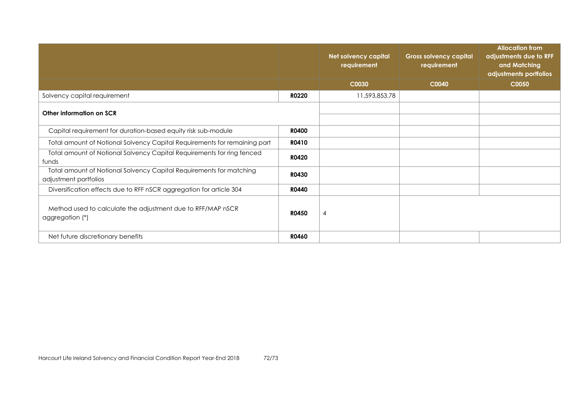|                                                                                              |              | <b>Net solvency capital</b><br>requirement | <b>Gross solvency capital</b><br>requirement | <b>Allocation from</b><br>adjustments due to RFF<br>and Matching<br>adjustments portfolios |
|----------------------------------------------------------------------------------------------|--------------|--------------------------------------------|----------------------------------------------|--------------------------------------------------------------------------------------------|
|                                                                                              |              | C0030                                      | C0040                                        | C0050                                                                                      |
| Solvency capital requirement                                                                 | <b>R0220</b> | 11,593,853.78                              |                                              |                                                                                            |
| Other information on SCR                                                                     |              |                                            |                                              |                                                                                            |
| Capital requirement for duration-based equity risk sub-module                                | <b>R0400</b> |                                            |                                              |                                                                                            |
| Total amount of Notional Solvency Capital Requirements for remaining part                    | R0410        |                                            |                                              |                                                                                            |
| Total amount of Notional Solvency Capital Requirements for ring fenced<br>funds              | R0420        |                                            |                                              |                                                                                            |
| Total amount of Notional Solvency Capital Requirements for matching<br>adjustment portfolios | <b>R0430</b> |                                            |                                              |                                                                                            |
| Diversification effects due to RFF nSCR aggregation for article 304                          | R0440        |                                            |                                              |                                                                                            |
| Method used to calculate the adjustment due to RFF/MAP nSCR<br>aggregation (*)               | <b>R0450</b> | 4                                          |                                              |                                                                                            |
| Net future discretionary benefits                                                            | <b>R0460</b> |                                            |                                              |                                                                                            |